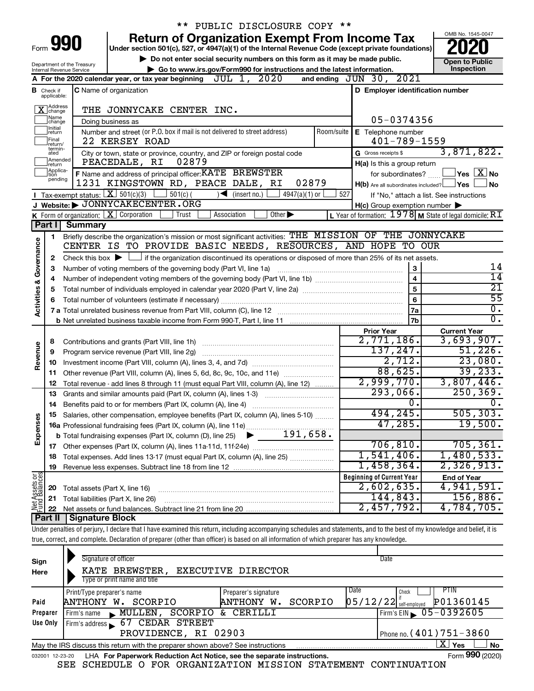|               |                                  |                                                        | ** PUBLIC DISCLOSURE COPY **                                                                                                                                               |                                                     |                                                         |
|---------------|----------------------------------|--------------------------------------------------------|----------------------------------------------------------------------------------------------------------------------------------------------------------------------------|-----------------------------------------------------|---------------------------------------------------------|
|               |                                  |                                                        | <b>Return of Organization Exempt From Income Tax</b>                                                                                                                       |                                                     | OMB No. 1545-0047                                       |
|               | Form 990                         |                                                        | Under section 501(c), 527, or 4947(a)(1) of the Internal Revenue Code (except private foundations)                                                                         |                                                     |                                                         |
|               |                                  |                                                        | Do not enter social security numbers on this form as it may be made public.                                                                                                |                                                     | <b>Open to Public</b>                                   |
|               |                                  | Department of the Treasury<br>Internal Revenue Service | Go to www.irs.gov/Form990 for instructions and the latest information.                                                                                                     |                                                     | Inspection                                              |
|               |                                  |                                                        | A For the 2020 calendar year, or tax year beginning $JUL$ 1, $2020$                                                                                                        | and ending $JUN$ $30$ , $2021$                      |                                                         |
|               | <b>B</b> Check if<br>applicable: |                                                        | <b>C</b> Name of organization                                                                                                                                              | D Employer identification number                    |                                                         |
|               | X Address                        |                                                        | THE JONNYCAKE CENTER INC.                                                                                                                                                  |                                                     |                                                         |
|               | Name<br> change                  |                                                        | Doing business as                                                                                                                                                          | 05-0374356                                          |                                                         |
|               | Initial<br>return<br>Final       |                                                        | Number and street (or P.O. box if mail is not delivered to street address)<br>Room/suite<br>22 KERSEY ROAD                                                                 | E Telephone number<br>$401 - 789 - 1559$            |                                                         |
|               | return/<br>termin-<br>ated       |                                                        | City or town, state or province, country, and ZIP or foreign postal code                                                                                                   | G Gross receipts \$                                 | 3,871,822.                                              |
|               | Amended<br>return                |                                                        | PEACEDALE, RI<br>02879                                                                                                                                                     | H(a) Is this a group return                         |                                                         |
|               | Applica-<br>Ition                |                                                        | F Name and address of principal officer: KATE BREWSTER                                                                                                                     | for subordinates?                                   | $\sqrt{}$ Yes $\sqrt{ \ \ }$ No                         |
|               | pending                          |                                                        | 1231 KINGSTOWN RD, PEACE DALE, RI<br>02879                                                                                                                                 | $H(b)$ Are all subordinates included? $\Box$ Yes    | <b>No</b>                                               |
|               |                                  |                                                        | Tax-exempt status: $X \over 301(c)(3)$<br>$\vert$ 501(c) (<br>$\sqrt{\frac{1}{1}}$ (insert no.)<br>4947(a)(1) or<br>527                                                    |                                                     | If "No," attach a list. See instructions                |
|               |                                  |                                                        | J Website: JONNYCAKECENTER.ORG                                                                                                                                             | $H(c)$ Group exemption number $\blacktriangleright$ |                                                         |
|               |                                  |                                                        | K Form of organization: $X$ Corporation<br>Trust<br>$\overline{Other}$<br>Association                                                                                      |                                                     | L Year of formation: 1978 M State of legal domicile: RI |
|               | Part I                           | <b>Summary</b>                                         |                                                                                                                                                                            |                                                     |                                                         |
|               | 1.                               |                                                        | Briefly describe the organization's mission or most significant activities: THE MISSION OF THE JONNYCAKE                                                                   |                                                     |                                                         |
|               |                                  |                                                        | CENTER IS TO PROVIDE BASIC NEEDS, RESOURCES, AND HOPE TO OUR                                                                                                               |                                                     |                                                         |
| Governance    | 2                                |                                                        | Check this box $\blacktriangleright$ $\Box$ if the organization discontinued its operations or disposed of more than 25% of its net assets.                                |                                                     |                                                         |
|               | з                                |                                                        | Number of voting members of the governing body (Part VI, line 1a)                                                                                                          | 3                                                   | 14                                                      |
|               | 4                                |                                                        |                                                                                                                                                                            | $\overline{4}$                                      | $\overline{14}$                                         |
| Activities &  | 5                                |                                                        |                                                                                                                                                                            | 5                                                   | $\overline{21}$                                         |
|               |                                  |                                                        |                                                                                                                                                                            | 6                                                   | $\overline{55}$                                         |
|               |                                  |                                                        |                                                                                                                                                                            | 7a                                                  | $\overline{0}$ .                                        |
|               |                                  |                                                        |                                                                                                                                                                            | 7b                                                  | $\overline{0}$ .                                        |
|               |                                  |                                                        |                                                                                                                                                                            | <b>Prior Year</b>                                   | <b>Current Year</b>                                     |
|               | 8                                |                                                        |                                                                                                                                                                            | $2,771,186$ .                                       | 3,693,907.                                              |
|               | 9                                |                                                        | Program service revenue (Part VIII, line 2g)                                                                                                                               | 137,247.                                            | 51,226.                                                 |
| Revenue       | 10                               |                                                        |                                                                                                                                                                            | 2,712.                                              | 23,080.                                                 |
|               | 11                               |                                                        | Other revenue (Part VIII, column (A), lines 5, 6d, 8c, 9c, 10c, and 11e)                                                                                                   | 88,625.                                             | 39, 233.                                                |
|               | 12                               |                                                        | Total revenue - add lines 8 through 11 (must equal Part VIII, column (A), line 12)                                                                                         | 2,999,770.                                          | 3,807,446.                                              |
|               | 13                               |                                                        | Grants and similar amounts paid (Part IX, column (A), lines 1-3)                                                                                                           | 293,066.                                            | 250, 369.                                               |
|               | 14                               |                                                        |                                                                                                                                                                            | о.                                                  | 0.                                                      |
|               | 15                               |                                                        | Salaries, other compensation, employee benefits (Part IX, column (A), lines 5-10)                                                                                          | 494,245.                                            | 505, 303.                                               |
|               |                                  |                                                        |                                                                                                                                                                            | 47,285.                                             | 19,500.                                                 |
| Expenses      |                                  |                                                        |                                                                                                                                                                            |                                                     |                                                         |
|               |                                  |                                                        |                                                                                                                                                                            | 706, 810.                                           | 705, 361.                                               |
|               | 18                               |                                                        | Total expenses. Add lines 13-17 (must equal Part IX, column (A), line 25)                                                                                                  | 1,541,406.                                          | 1,480,533.                                              |
|               | 19                               |                                                        |                                                                                                                                                                            | 1,458,364.                                          | 2,326,913.                                              |
|               |                                  |                                                        |                                                                                                                                                                            | <b>Beginning of Current Year</b>                    | <b>End of Year</b>                                      |
|               | 20                               | Total assets (Part X, line 16)                         |                                                                                                                                                                            | $2,602,635$ .                                       | 4,941,591.                                              |
| Net Assets or | 21                               |                                                        | Total liabilities (Part X, line 26)                                                                                                                                        | 144,843.                                            | 156,886.                                                |
|               | 22                               |                                                        |                                                                                                                                                                            | 2,457,792.                                          | 4,784,705.                                              |
|               | Part II                          | <b>Signature Block</b>                                 |                                                                                                                                                                            |                                                     |                                                         |
|               |                                  |                                                        | Under penalties of perjury, I declare that I have examined this return, including accompanying schedules and statements, and to the best of my knowledge and belief, it is |                                                     |                                                         |
|               |                                  |                                                        | true, correct, and complete. Declaration of preparer (other than officer) is based on all information of which preparer has any knowledge.                                 |                                                     |                                                         |
|               |                                  |                                                        |                                                                                                                                                                            |                                                     |                                                         |

| Sign<br>Here    | Signature of officer<br>KATE BREWSTER, EXECUTIVE DIRECTOR                       |                       | Date                                  |
|-----------------|---------------------------------------------------------------------------------|-----------------------|---------------------------------------|
|                 | Type or print name and title                                                    |                       |                                       |
|                 | Print/Type preparer's name                                                      | Preparer's signature  | Date<br>Check                         |
| Paid            | SCORPIO<br>ANTHONY W.                                                           | SCORPIO<br>ANTHONY W. | P01360145<br>$05/12/22$ self-employed |
| Preparer        | SCORPIO<br><b>MULLEN</b><br>Firm's name                                         | & CERILLI             | Firm's EIN 05-0392605                 |
| Use Only        | 67 CEDAR STREET<br>Firm's address                                               |                       |                                       |
|                 | PROVIDENCE, RI 02903                                                            |                       | Phone no. $(401)$ $751 - 3860$        |
|                 | May the IRS discuss this return with the preparer shown above? See instructions |                       | ΧI<br><b>No</b><br>Yes                |
| 032001 12-23-20 | LHA For Paperwork Reduction Act Notice, see the separate instructions.          |                       | Form 990 (2020)                       |

SEE SCHEDULE O FOR ORGANIZATION MISSION STATEMENT CONTINUATION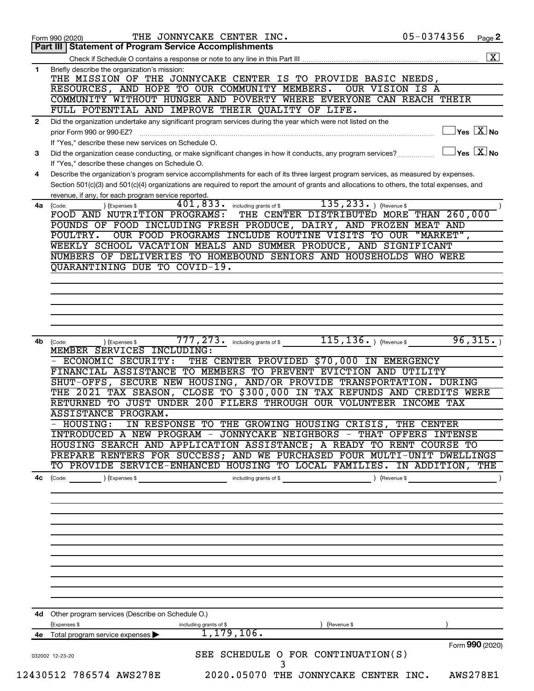| $\mathbf{1}$ | Part III   Statement of Program Service Accomplishments                                                                                                                |
|--------------|------------------------------------------------------------------------------------------------------------------------------------------------------------------------|
|              |                                                                                                                                                                        |
|              | Briefly describe the organization's mission:                                                                                                                           |
|              | THE MISSION OF THE JONNYCAKE CENTER IS TO PROVIDE BASIC NEEDS,                                                                                                         |
|              | RESOURCES, AND HOPE TO OUR COMMUNITY MEMBERS.<br>OUR VISION IS A                                                                                                       |
|              | COMMUNITY WITHOUT HUNGER AND POVERTY WHERE EVERYONE CAN REACH THEIR                                                                                                    |
|              | FULL POTENTIAL AND IMPROVE THEIR QUALITY OF LIFE.                                                                                                                      |
| $\mathbf{2}$ | Did the organization undertake any significant program services during the year which were not listed on the                                                           |
|              | $\sqrt{\mathsf{Yes}\ \mathbb{X}}$ No<br>prior Form 990 or 990-EZ?                                                                                                      |
|              | If "Yes," describe these new services on Schedule O.                                                                                                                   |
| 3            | $\vert$ Yes $\vert$ $\overline{\mathrm{X}}$ $\vert$ No<br>Did the organization cease conducting, or make significant changes in how it conducts, any program services? |
|              | If "Yes," describe these changes on Schedule O.                                                                                                                        |
| 4            | Describe the organization's program service accomplishments for each of its three largest program services, as measured by expenses.                                   |
|              | Section 501(c)(3) and 501(c)(4) organizations are required to report the amount of grants and allocations to others, the total expenses, and                           |
|              | revenue, if any, for each program service reported.                                                                                                                    |
| 4a           | 135, 233.<br>$401, 833$ $\cdot$ including grants of \$<br>) (Revenue \$<br>) (Expenses \$<br>(Code:                                                                    |
|              | THE CENTER DISTRIBUTED MORE THAN 260,000<br>FOOD AND NUTRITION PROGRAMS:                                                                                               |
|              | POUNDS OF FOOD INCLUDING FRESH PRODUCE, DAIRY, AND FROZEN MEAT AND                                                                                                     |
|              | "MARKET",<br>POULTRY.<br>OUR FOOD PROGRAMS INCLUDE ROUTINE VISITS TO OUR                                                                                               |
|              | WEEKLY SCHOOL VACATION MEALS AND SUMMER PRODUCE, AND SIGNIFICANT                                                                                                       |
|              | NUMBERS OF DELIVERIES TO HOMEBOUND SENIORS AND HOUSEHOLDS WHO WERE                                                                                                     |
|              | QUARANTINING DUE TO COVID-19.                                                                                                                                          |
|              |                                                                                                                                                                        |
|              |                                                                                                                                                                        |
|              |                                                                                                                                                                        |
|              |                                                                                                                                                                        |
|              |                                                                                                                                                                        |
|              |                                                                                                                                                                        |
| 4b           | $115, 136.$ (Revenue \$<br>96,315.<br>$\overline{777}$ , $\overline{273}$ or including grants of \$<br>(Code:<br>(Expenses \$                                          |
|              | MEMBER SERVICES INCLUDING:                                                                                                                                             |
|              | - ECONOMIC SECURITY:<br>THE CENTER PROVIDED \$70,000 IN EMERGENCY                                                                                                      |
|              | FINANCIAL ASSISTANCE TO MEMBERS TO PREVENT EVICTION AND UTILITY                                                                                                        |
|              | SHUT-OFFS, SECURE NEW HOUSING, AND/OR PROVIDE TRANSPORTATION. DURING                                                                                                   |
|              | THE 2021 TAX SEASON, CLOSE TO \$300,000 IN TAX REFUNDS AND CREDITS WERE                                                                                                |
|              | RETURNED TO JUST UNDER 200 FILERS THROUGH OUR VOLUNTEER INCOME TAX                                                                                                     |
|              |                                                                                                                                                                        |
|              | ASSISTANCE PROGRAM.                                                                                                                                                    |
|              | IN RESPONSE TO THE GROWING HOUSING CRISIS, THE CENTER<br>$-$ HOUSING:                                                                                                  |
|              | <b>INTRODUCED A NEW PROGRAM - JONNYCAKE NEIGHBORS - THAT OFFERS INTENSE</b>                                                                                            |
|              | HOUSING SEARCH AND APPLICATION ASSISTANCE; A READY TO RENT COURSE TO                                                                                                   |
|              | PREPARE RENTERS FOR SUCCESS; AND WE PURCHASED FOUR MULTI-UNIT DWELLINGS                                                                                                |
|              | TO PROVIDE SERVICE-ENHANCED HOUSING TO LOCAL FAMILIES. IN ADDITION, THE                                                                                                |
|              |                                                                                                                                                                        |
|              |                                                                                                                                                                        |
|              |                                                                                                                                                                        |
|              |                                                                                                                                                                        |
|              |                                                                                                                                                                        |
|              |                                                                                                                                                                        |
|              |                                                                                                                                                                        |
|              |                                                                                                                                                                        |
|              |                                                                                                                                                                        |
|              |                                                                                                                                                                        |
|              |                                                                                                                                                                        |
|              |                                                                                                                                                                        |
|              |                                                                                                                                                                        |
| 4с           | 4d Other program services (Describe on Schedule O.)                                                                                                                    |
|              | (Expenses \$<br>including grants of \$<br>) (Revenue \$                                                                                                                |
|              | 1,179,106.<br>4e Total program service expenses >                                                                                                                      |
|              | Form 990 (2020)                                                                                                                                                        |
|              | SEE SCHEDULE O FOR CONTINUATION(S)<br>032002 12-23-20                                                                                                                  |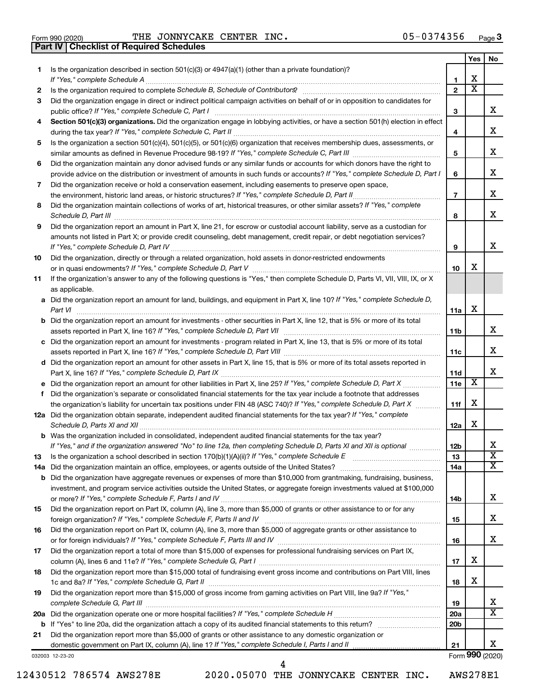|  | Form 990 (2020) |
|--|-----------------|

**Part IV Checklist of Required Schedules**

Form 990 (2020) THE JONNYCAKE CENTER INC.  $05-0374356$  Page

|     |                                                                                                                                                                                                                                     |                 | Yes | No                      |
|-----|-------------------------------------------------------------------------------------------------------------------------------------------------------------------------------------------------------------------------------------|-----------------|-----|-------------------------|
| 1   | Is the organization described in section $501(c)(3)$ or $4947(a)(1)$ (other than a private foundation)?                                                                                                                             |                 |     |                         |
|     | If "Yes," complete Schedule A                                                                                                                                                                                                       | 1               | х   |                         |
| 2   | Is the organization required to complete Schedule B, Schedule of Contributors? [11] [12] the organization required to complete Schedule B, Schedule of Contributors? [11] [12] [12] the organization required to complete Sche      | $\mathbf{2}$    | х   |                         |
| 3   | Did the organization engage in direct or indirect political campaign activities on behalf of or in opposition to candidates for                                                                                                     |                 |     |                         |
|     | public office? If "Yes," complete Schedule C, Part I                                                                                                                                                                                | З               |     | x                       |
| 4   | Section 501(c)(3) organizations. Did the organization engage in lobbying activities, or have a section 501(h) election in effect                                                                                                    |                 |     |                         |
|     |                                                                                                                                                                                                                                     | 4               |     | х                       |
| 5   | Is the organization a section 501(c)(4), 501(c)(5), or 501(c)(6) organization that receives membership dues, assessments, or                                                                                                        |                 |     |                         |
|     |                                                                                                                                                                                                                                     | 5               |     | х                       |
| 6   | Did the organization maintain any donor advised funds or any similar funds or accounts for which donors have the right to                                                                                                           |                 |     |                         |
|     | provide advice on the distribution or investment of amounts in such funds or accounts? If "Yes," complete Schedule D, Part I                                                                                                        | 6               |     | х                       |
| 7   | Did the organization receive or hold a conservation easement, including easements to preserve open space,                                                                                                                           |                 |     |                         |
|     |                                                                                                                                                                                                                                     | $\overline{7}$  |     | х                       |
| 8   | Did the organization maintain collections of works of art, historical treasures, or other similar assets? If "Yes," complete                                                                                                        |                 |     |                         |
|     | Schedule D, Part III <b>Marting Communities</b> Contract and Contract and Contract and Contract and Contract and Contract and Contract and Contract and Contract and Contract and Contract and Contract and Contract and Contract a | 8               |     | х                       |
| 9   | Did the organization report an amount in Part X, line 21, for escrow or custodial account liability, serve as a custodian for                                                                                                       |                 |     |                         |
|     | amounts not listed in Part X; or provide credit counseling, debt management, credit repair, or debt negotiation services?                                                                                                           |                 |     |                         |
|     |                                                                                                                                                                                                                                     | 9               |     | х                       |
| 10  | Did the organization, directly or through a related organization, hold assets in donor-restricted endowments                                                                                                                        |                 |     |                         |
|     |                                                                                                                                                                                                                                     | 10              | x   |                         |
| 11  | If the organization's answer to any of the following questions is "Yes," then complete Schedule D, Parts VI, VII, VIII, IX, or X                                                                                                    |                 |     |                         |
|     | as applicable.                                                                                                                                                                                                                      |                 |     |                         |
|     | a Did the organization report an amount for land, buildings, and equipment in Part X, line 10? If "Yes," complete Schedule D,                                                                                                       |                 |     |                         |
|     |                                                                                                                                                                                                                                     | 11a             | х   |                         |
|     |                                                                                                                                                                                                                                     |                 |     |                         |
|     | <b>b</b> Did the organization report an amount for investments - other securities in Part X, line 12, that is 5% or more of its total                                                                                               |                 |     | x                       |
|     |                                                                                                                                                                                                                                     | 11 <sub>b</sub> |     |                         |
|     | c Did the organization report an amount for investments - program related in Part X, line 13, that is 5% or more of its total                                                                                                       |                 |     | x                       |
|     |                                                                                                                                                                                                                                     | 11c             |     |                         |
|     | d Did the organization report an amount for other assets in Part X, line 15, that is 5% or more of its total assets reported in                                                                                                     |                 |     | x                       |
|     |                                                                                                                                                                                                                                     | 11d             | X   |                         |
|     |                                                                                                                                                                                                                                     | <b>11e</b>      |     |                         |
|     | f Did the organization's separate or consolidated financial statements for the tax year include a footnote that addresses                                                                                                           |                 |     |                         |
|     | the organization's liability for uncertain tax positions under FIN 48 (ASC 740)? If "Yes," complete Schedule D, Part X                                                                                                              | 11f             | х   |                         |
|     | 12a Did the organization obtain separate, independent audited financial statements for the tax year? If "Yes," complete                                                                                                             |                 |     |                         |
|     |                                                                                                                                                                                                                                     | 12a             | х   |                         |
|     | <b>b</b> Was the organization included in consolidated, independent audited financial statements for the tax year?                                                                                                                  |                 |     |                         |
|     | If "Yes," and if the organization answered "No" to line 12a, then completing Schedule D, Parts XI and XII is optional                                                                                                               | 12 <sub>b</sub> |     | x                       |
| 13  |                                                                                                                                                                                                                                     | 13              |     | $\overline{\textbf{x}}$ |
| 14a |                                                                                                                                                                                                                                     | 14a             |     | х                       |
| b   | Did the organization have aggregate revenues or expenses of more than \$10,000 from grantmaking, fundraising, business,                                                                                                             |                 |     |                         |
|     | investment, and program service activities outside the United States, or aggregate foreign investments valued at \$100,000                                                                                                          |                 |     |                         |
|     |                                                                                                                                                                                                                                     | 14b             |     | x                       |
| 15  | Did the organization report on Part IX, column (A), line 3, more than \$5,000 of grants or other assistance to or for any                                                                                                           |                 |     |                         |
|     |                                                                                                                                                                                                                                     | 15              |     | х                       |
| 16  | Did the organization report on Part IX, column (A), line 3, more than \$5,000 of aggregate grants or other assistance to                                                                                                            |                 |     |                         |
|     |                                                                                                                                                                                                                                     | 16              |     | x                       |
| 17  | Did the organization report a total of more than \$15,000 of expenses for professional fundraising services on Part IX,                                                                                                             |                 |     |                         |
|     |                                                                                                                                                                                                                                     | 17              | х   |                         |
| 18  | Did the organization report more than \$15,000 total of fundraising event gross income and contributions on Part VIII, lines                                                                                                        |                 |     |                         |
|     |                                                                                                                                                                                                                                     | 18              | х   |                         |
| 19  | Did the organization report more than \$15,000 of gross income from gaming activities on Part VIII, line 9a? If "Yes,"                                                                                                              |                 |     |                         |
|     |                                                                                                                                                                                                                                     | 19              |     | x                       |
|     |                                                                                                                                                                                                                                     | 20a             |     | $\overline{\text{X}}$   |
| b   |                                                                                                                                                                                                                                     | 20 <sub>b</sub> |     |                         |
| 21  | Did the organization report more than \$5,000 of grants or other assistance to any domestic organization or                                                                                                                         |                 |     |                         |
|     |                                                                                                                                                                                                                                     | 21              |     | x                       |
|     | 032003 12-23-20                                                                                                                                                                                                                     |                 |     | Form 990 (2020)         |

12430512 786574 AWS278E 2020.05070 THE JONNYCAKE CENTER INC. AWS278E1

4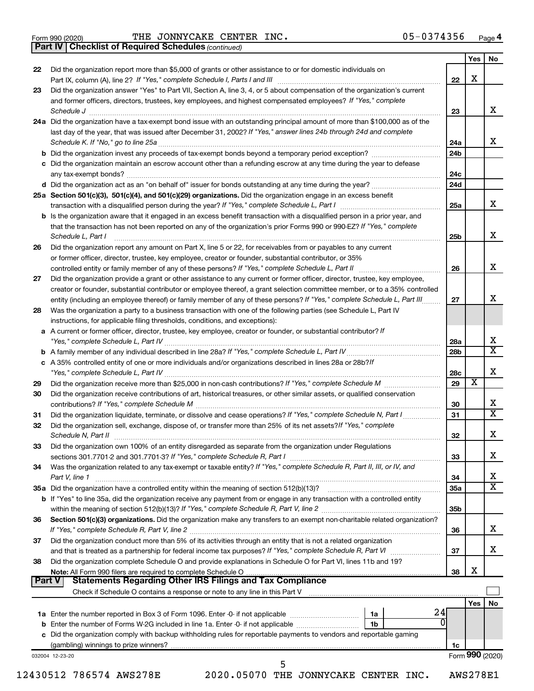|  | Form 990 (2020) |
|--|-----------------|
|  |                 |

*(continued)* **Part IV Checklist of Required Schedules**

| 22 | Did the organization report more than \$5,000 of grants or other assistance to or for domestic individuals on                                                                                                                                                                                                                                        |                 | Yes                     | No |
|----|------------------------------------------------------------------------------------------------------------------------------------------------------------------------------------------------------------------------------------------------------------------------------------------------------------------------------------------------------|-----------------|-------------------------|----|
|    |                                                                                                                                                                                                                                                                                                                                                      | 22              | X                       |    |
| 23 | Did the organization answer "Yes" to Part VII, Section A, line 3, 4, or 5 about compensation of the organization's current                                                                                                                                                                                                                           |                 |                         |    |
|    | and former officers, directors, trustees, key employees, and highest compensated employees? If "Yes," complete<br>Schedule J <b>Execute J Execute Contract Contract Contract Contract Contract Contract Contract Contract Contract Contract Contract Contract Contract Contract Contract Contract Contract Contract Contract Contract Contract C</b> | 23              |                         | x  |
|    | 24a Did the organization have a tax-exempt bond issue with an outstanding principal amount of more than \$100,000 as of the<br>last day of the year, that was issued after December 31, 2002? If "Yes," answer lines 24b through 24d and complete                                                                                                    | 24a             |                         |    |
|    | b Did the organization invest any proceeds of tax-exempt bonds beyond a temporary period exception?                                                                                                                                                                                                                                                  | 24 <sub>b</sub> |                         |    |
|    | c Did the organization maintain an escrow account other than a refunding escrow at any time during the year to defease                                                                                                                                                                                                                               | 24c             |                         |    |
|    |                                                                                                                                                                                                                                                                                                                                                      | 24d             |                         |    |
|    | 25a Section 501(c)(3), 501(c)(4), and 501(c)(29) organizations. Did the organization engage in an excess benefit                                                                                                                                                                                                                                     |                 |                         |    |
|    | <b>b</b> Is the organization aware that it engaged in an excess benefit transaction with a disqualified person in a prior year, and                                                                                                                                                                                                                  | 25a             |                         |    |
|    | that the transaction has not been reported on any of the organization's prior Forms 990 or 990-EZ? If "Yes," complete<br>Schedule L, Part I                                                                                                                                                                                                          | 25 <sub>b</sub> |                         |    |
| 26 | Did the organization report any amount on Part X, line 5 or 22, for receivables from or payables to any current                                                                                                                                                                                                                                      |                 |                         |    |
|    | or former officer, director, trustee, key employee, creator or founder, substantial contributor, or 35%                                                                                                                                                                                                                                              |                 |                         |    |
|    |                                                                                                                                                                                                                                                                                                                                                      | 26              |                         |    |
| 27 | Did the organization provide a grant or other assistance to any current or former officer, director, trustee, key employee,                                                                                                                                                                                                                          |                 |                         |    |
|    | creator or founder, substantial contributor or employee thereof, a grant selection committee member, or to a 35% controlled                                                                                                                                                                                                                          |                 |                         |    |
|    | entity (including an employee thereof) or family member of any of these persons? If "Yes," complete Schedule L, Part III                                                                                                                                                                                                                             | 27              |                         |    |
| 28 | Was the organization a party to a business transaction with one of the following parties (see Schedule L, Part IV                                                                                                                                                                                                                                    |                 |                         |    |
|    | instructions, for applicable filing thresholds, conditions, and exceptions):<br>a A current or former officer, director, trustee, key employee, creator or founder, or substantial contributor? If                                                                                                                                                   |                 |                         |    |
|    |                                                                                                                                                                                                                                                                                                                                                      | 28a             |                         |    |
|    |                                                                                                                                                                                                                                                                                                                                                      | 28b             |                         |    |
|    | c A 35% controlled entity of one or more individuals and/or organizations described in lines 28a or 28b?If                                                                                                                                                                                                                                           | 28c             |                         |    |
| 29 |                                                                                                                                                                                                                                                                                                                                                      | 29              | $\overline{\textbf{X}}$ |    |
| 30 | Did the organization receive contributions of art, historical treasures, or other similar assets, or qualified conservation                                                                                                                                                                                                                          | 30              |                         |    |
| 31 | Did the organization liquidate, terminate, or dissolve and cease operations? If "Yes," complete Schedule N, Part I                                                                                                                                                                                                                                   | 31              |                         |    |
| 32 | Did the organization sell, exchange, dispose of, or transfer more than 25% of its net assets? If "Yes," complete                                                                                                                                                                                                                                     | 32              |                         |    |
| 33 | Did the organization own 100% of an entity disregarded as separate from the organization under Regulations                                                                                                                                                                                                                                           |                 |                         |    |
|    |                                                                                                                                                                                                                                                                                                                                                      | 33              |                         |    |
| 34 | Was the organization related to any tax-exempt or taxable entity? If "Yes," complete Schedule R, Part II, III, or IV, and                                                                                                                                                                                                                            |                 |                         |    |
|    | Part V, line 1                                                                                                                                                                                                                                                                                                                                       | 34<br>35a       |                         |    |
|    | b If "Yes" to line 35a, did the organization receive any payment from or engage in any transaction with a controlled entity                                                                                                                                                                                                                          | 35 <sub>b</sub> |                         |    |
| 36 | Section 501(c)(3) organizations. Did the organization make any transfers to an exempt non-charitable related organization?                                                                                                                                                                                                                           |                 |                         |    |
|    |                                                                                                                                                                                                                                                                                                                                                      | 36              |                         |    |
| 37 | Did the organization conduct more than 5% of its activities through an entity that is not a related organization                                                                                                                                                                                                                                     | 37              |                         |    |
| 38 | Did the organization complete Schedule O and provide explanations in Schedule O for Part VI, lines 11b and 19?                                                                                                                                                                                                                                       | 38              | х                       |    |
|    | Part V<br>Check if Schedule O contains a response or note to any line in this Part V [11] [12] Check if Schedule O contains a response or note to any line in this Part V                                                                                                                                                                            |                 |                         |    |
|    |                                                                                                                                                                                                                                                                                                                                                      |                 | Yes                     |    |
|    | 24<br>1a                                                                                                                                                                                                                                                                                                                                             |                 |                         |    |
|    |                                                                                                                                                                                                                                                                                                                                                      |                 |                         |    |
|    | 0<br>1b                                                                                                                                                                                                                                                                                                                                              |                 |                         |    |
|    | c Did the organization comply with backup withholding rules for reportable payments to vendors and reportable gaming                                                                                                                                                                                                                                 |                 |                         |    |
|    |                                                                                                                                                                                                                                                                                                                                                      | 1c              |                         |    |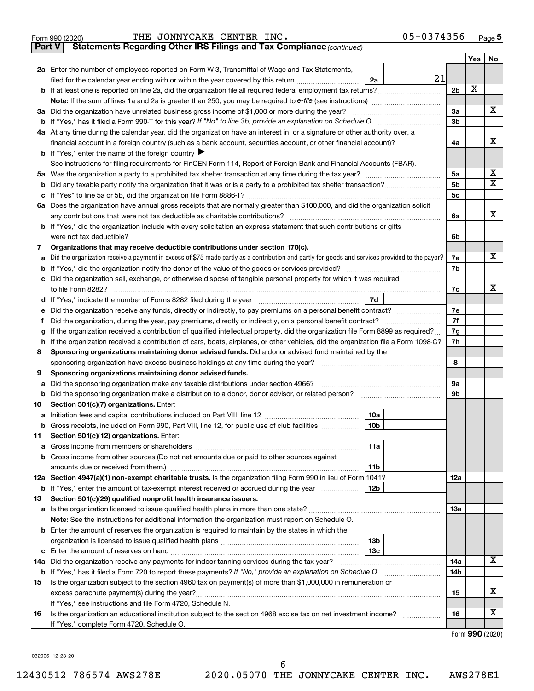| Form 990 (2020) |  | THE JONNYCAKE CENTER INC. |                                                                                     | 05-0374356 | Page |
|-----------------|--|---------------------------|-------------------------------------------------------------------------------------|------------|------|
|                 |  |                           | <b>Part V</b> Statements Regarding Other IRS Filings and Tax Compliance (continued) |            |      |

|    |                                                                                                                                                                   |                | Yes | No |  |  |
|----|-------------------------------------------------------------------------------------------------------------------------------------------------------------------|----------------|-----|----|--|--|
|    | 2a Enter the number of employees reported on Form W-3, Transmittal of Wage and Tax Statements,                                                                    |                |     |    |  |  |
|    | 21<br>filed for the calendar year ending with or within the year covered by this return <i>manumumumum</i><br>2a                                                  |                |     |    |  |  |
|    | b If at least one is reported on line 2a, did the organization file all required federal employment tax returns?                                                  | 2 <sub>b</sub> | X   |    |  |  |
|    |                                                                                                                                                                   |                |     |    |  |  |
|    | 3a Did the organization have unrelated business gross income of \$1,000 or more during the year?                                                                  | За             |     | х  |  |  |
|    |                                                                                                                                                                   | 3 <sub>b</sub> |     |    |  |  |
|    | 4a At any time during the calendar year, did the organization have an interest in, or a signature or other authority over, a                                      |                |     |    |  |  |
|    | financial account in a foreign country (such as a bank account, securities account, or other financial account)?                                                  | 4a             |     | х  |  |  |
|    | <b>b</b> If "Yes," enter the name of the foreign country                                                                                                          |                |     |    |  |  |
|    | See instructions for filing requirements for FinCEN Form 114, Report of Foreign Bank and Financial Accounts (FBAR).                                               |                |     |    |  |  |
|    |                                                                                                                                                                   | 5a             |     | х  |  |  |
| b  |                                                                                                                                                                   | 5 <sub>b</sub> |     | х  |  |  |
|    |                                                                                                                                                                   | 5 <sub>c</sub> |     |    |  |  |
|    | 6a Does the organization have annual gross receipts that are normally greater than \$100,000, and did the organization solicit                                    |                |     |    |  |  |
|    | any contributions that were not tax deductible as charitable contributions?                                                                                       | 6a             |     | x  |  |  |
|    | b If "Yes," did the organization include with every solicitation an express statement that such contributions or gifts                                            |                |     |    |  |  |
|    | were not tax deductible?                                                                                                                                          | 6b             |     |    |  |  |
| 7  | Organizations that may receive deductible contributions under section 170(c).                                                                                     |                |     | x  |  |  |
|    | Did the organization receive a payment in excess of \$75 made partly as a contribution and partly for goods and services provided to the payor?                   | 7a             |     |    |  |  |
|    | Did the organization sell, exchange, or otherwise dispose of tangible personal property for which it was required                                                 | 7b             |     |    |  |  |
| c  | to file Form 8282?                                                                                                                                                | 7с             |     | x  |  |  |
| d  | 7d<br>If "Yes," indicate the number of Forms 8282 filed during the year <i>manual contention</i> contents the number of Forms 8282 filed during the year          |                |     |    |  |  |
|    | Did the organization receive any funds, directly or indirectly, to pay premiums on a personal benefit contract?                                                   |                |     |    |  |  |
| Ť. |                                                                                                                                                                   |                |     |    |  |  |
| g  | If the organization received a contribution of qualified intellectual property, did the organization file Form 8899 as required?                                  |                |     |    |  |  |
|    | If the organization received a contribution of cars, boats, airplanes, or other vehicles, did the organization file a Form 1098-C?<br>h                           |                |     |    |  |  |
| 8  | Sponsoring organizations maintaining donor advised funds. Did a donor advised fund maintained by the                                                              |                |     |    |  |  |
|    | sponsoring organization have excess business holdings at any time during the year?                                                                                | 8              |     |    |  |  |
| 9  | Sponsoring organizations maintaining donor advised funds.                                                                                                         |                |     |    |  |  |
| а  | Did the sponsoring organization make any taxable distributions under section 4966?                                                                                | 9а             |     |    |  |  |
| b  |                                                                                                                                                                   | 9b             |     |    |  |  |
| 10 | Section 501(c)(7) organizations. Enter:                                                                                                                           |                |     |    |  |  |
| а  | 10a                                                                                                                                                               |                |     |    |  |  |
| b  | 10 <sub>b</sub><br>Gross receipts, included on Form 990, Part VIII, line 12, for public use of club facilities                                                    |                |     |    |  |  |
| 11 | Section 501(c)(12) organizations. Enter:                                                                                                                          |                |     |    |  |  |
|    | 11a                                                                                                                                                               |                |     |    |  |  |
|    | <b>b</b> Gross income from other sources (Do not net amounts due or paid to other sources against                                                                 |                |     |    |  |  |
|    | 11b                                                                                                                                                               |                |     |    |  |  |
|    | 12a Section 4947(a)(1) non-exempt charitable trusts. Is the organization filing Form 990 in lieu of Form 1041?                                                    | <b>12a</b>     |     |    |  |  |
|    | <b>b</b> If "Yes," enter the amount of tax-exempt interest received or accrued during the year<br>12b                                                             |                |     |    |  |  |
| 13 | Section 501(c)(29) qualified nonprofit health insurance issuers.                                                                                                  |                |     |    |  |  |
|    |                                                                                                                                                                   | 1За            |     |    |  |  |
|    | Note: See the instructions for additional information the organization must report on Schedule O.                                                                 |                |     |    |  |  |
|    | <b>b</b> Enter the amount of reserves the organization is required to maintain by the states in which the                                                         |                |     |    |  |  |
|    | 13b<br>13c                                                                                                                                                        |                |     |    |  |  |
|    | 14a Did the organization receive any payments for indoor tanning services during the tax year?                                                                    | 14a            |     | х  |  |  |
|    | <b>b</b> If "Yes," has it filed a Form 720 to report these payments? If "No," provide an explanation on Schedule O<br><u> 1986 - John Bernstein, skriuwer oan</u> | 14b            |     |    |  |  |
| 15 | Is the organization subject to the section 4960 tax on payment(s) of more than \$1,000,000 in remuneration or                                                     |                |     |    |  |  |
|    | excess parachute payment(s) during the year?                                                                                                                      | 15             |     | x  |  |  |
|    | If "Yes," see instructions and file Form 4720, Schedule N.                                                                                                        |                |     |    |  |  |
| 16 | Is the organization an educational institution subject to the section 4968 excise tax on net investment income?                                                   | 16             |     | x  |  |  |
|    | If "Yes," complete Form 4720, Schedule O.                                                                                                                         |                |     |    |  |  |

Form (2020) **990**

032005 12-23-20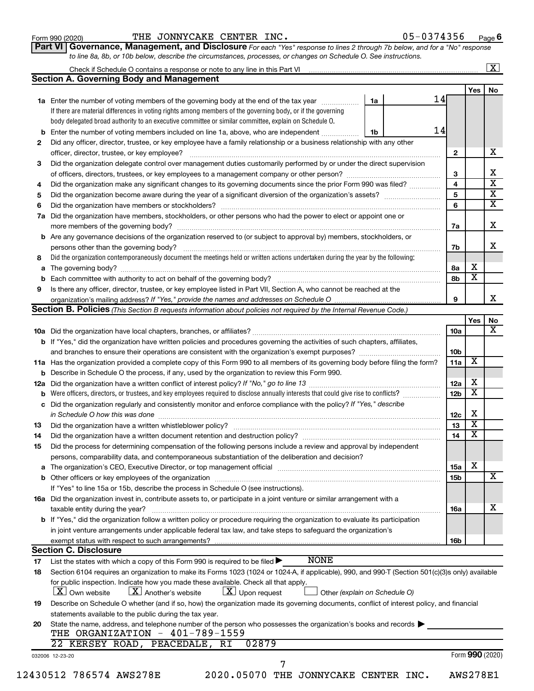#### Form 990 (2020) THE JONNYCAKE CENTER INC.  $05-0374356$  Page

**Part VI** Governance, Management, and Disclosure For each "Yes" response to lines 2 through 7b below, and for a "No" response *to line 8a, 8b, or 10b below, describe the circumstances, processes, or changes on Schedule O. See instructions.*

|     |                                                                                                                                                                                                                                    |    |    |                 |                         | $\overline{\mathbf{X}}$ |
|-----|------------------------------------------------------------------------------------------------------------------------------------------------------------------------------------------------------------------------------------|----|----|-----------------|-------------------------|-------------------------|
|     | <b>Section A. Governing Body and Management</b>                                                                                                                                                                                    |    |    |                 |                         |                         |
|     |                                                                                                                                                                                                                                    |    |    |                 | <b>Yes</b>              | No                      |
|     | 1a Enter the number of voting members of the governing body at the end of the tax year <i>manamer</i>                                                                                                                              | 1a | 14 |                 |                         |                         |
|     | If there are material differences in voting rights among members of the governing body, or if the governing                                                                                                                        |    |    |                 |                         |                         |
|     | body delegated broad authority to an executive committee or similar committee, explain on Schedule O.                                                                                                                              |    |    |                 |                         |                         |
| b   | Enter the number of voting members included on line 1a, above, who are independent                                                                                                                                                 | 1b | 14 |                 |                         |                         |
| 2   | Did any officer, director, trustee, or key employee have a family relationship or a business relationship with any other                                                                                                           |    |    |                 |                         |                         |
|     |                                                                                                                                                                                                                                    |    |    | $\mathbf{2}$    |                         |                         |
| 3   | Did the organization delegate control over management duties customarily performed by or under the direct supervision                                                                                                              |    |    |                 |                         |                         |
|     |                                                                                                                                                                                                                                    |    |    | 3               |                         |                         |
| 4   | Did the organization make any significant changes to its governing documents since the prior Form 990 was filed?                                                                                                                   |    |    | 4               |                         |                         |
| 5   |                                                                                                                                                                                                                                    |    |    | 5               |                         |                         |
| 6   |                                                                                                                                                                                                                                    |    |    | 6               |                         |                         |
| 7a  | Did the organization have members, stockholders, or other persons who had the power to elect or appoint one or                                                                                                                     |    |    |                 |                         |                         |
|     |                                                                                                                                                                                                                                    |    |    | 7a              |                         |                         |
| b   | Are any governance decisions of the organization reserved to (or subject to approval by) members, stockholders, or                                                                                                                 |    |    |                 |                         |                         |
|     | persons other than the governing body?                                                                                                                                                                                             |    |    | 7b              |                         |                         |
| 8   | Did the organization contemporaneously document the meetings held or written actions undertaken during the year by the following:                                                                                                  |    |    |                 |                         |                         |
| а   |                                                                                                                                                                                                                                    |    |    | 8а              | х                       |                         |
|     |                                                                                                                                                                                                                                    |    |    | 8b              | $\overline{\textbf{x}}$ |                         |
| 9   | Is there any officer, director, trustee, or key employee listed in Part VII, Section A, who cannot be reached at the                                                                                                               |    |    |                 |                         |                         |
|     |                                                                                                                                                                                                                                    |    |    | 9               |                         |                         |
|     | <b>Section B. Policies</b> (This Section B requests information about policies not required by the Internal Revenue Code.)                                                                                                         |    |    |                 |                         |                         |
|     |                                                                                                                                                                                                                                    |    |    |                 | Yes                     |                         |
|     |                                                                                                                                                                                                                                    |    |    | 10a             |                         |                         |
|     | <b>b</b> If "Yes," did the organization have written policies and procedures governing the activities of such chapters, affiliates,                                                                                                |    |    |                 |                         |                         |
|     | and branches to ensure their operations are consistent with the organization's exempt purposes? www.www.www.www.                                                                                                                   |    |    | 10 <sub>b</sub> |                         |                         |
|     | 11a Has the organization provided a complete copy of this Form 990 to all members of its governing body before filing the form?                                                                                                    |    |    | 11a             | X                       |                         |
|     | Describe in Schedule O the process, if any, used by the organization to review this Form 990.                                                                                                                                      |    |    |                 |                         |                         |
| 12a |                                                                                                                                                                                                                                    |    |    | 12a             | х                       |                         |
|     | Were officers, directors, or trustees, and key employees required to disclose annually interests that could give rise to conflicts?                                                                                                |    |    | 12 <sub>b</sub> | $\overline{\text{x}}$   |                         |
|     | Did the organization regularly and consistently monitor and enforce compliance with the policy? If "Yes," describe                                                                                                                 |    |    |                 |                         |                         |
| с   |                                                                                                                                                                                                                                    |    |    | 12c             | Х                       |                         |
|     | in Schedule O how this was done <i>maching and accordination of the schedule O</i> how this was done                                                                                                                               |    |    | 13              | $\overline{\textbf{x}}$ |                         |
| 13  |                                                                                                                                                                                                                                    |    |    |                 | $\overline{\mathbf{X}}$ |                         |
| 14  | Did the organization have a written document retention and destruction policy? [11] manufaction manufaction in                                                                                                                     |    |    | 14              |                         |                         |
| 15  | Did the process for determining compensation of the following persons include a review and approval by independent                                                                                                                 |    |    |                 |                         |                         |
|     | persons, comparability data, and contemporaneous substantiation of the deliberation and decision?                                                                                                                                  |    |    |                 |                         |                         |
| а   |                                                                                                                                                                                                                                    |    |    | 15a             | x                       |                         |
|     |                                                                                                                                                                                                                                    |    |    | 15b             |                         |                         |
|     | If "Yes" to line 15a or 15b, describe the process in Schedule O (see instructions).                                                                                                                                                |    |    |                 |                         |                         |
|     | 16a Did the organization invest in, contribute assets to, or participate in a joint venture or similar arrangement with a                                                                                                          |    |    |                 |                         |                         |
|     | taxable entity during the year?                                                                                                                                                                                                    |    |    | 16a             |                         |                         |
|     | b If "Yes," did the organization follow a written policy or procedure requiring the organization to evaluate its participation                                                                                                     |    |    |                 |                         |                         |
|     | in joint venture arrangements under applicable federal tax law, and take steps to safeguard the organization's                                                                                                                     |    |    |                 |                         |                         |
|     |                                                                                                                                                                                                                                    |    |    | 16b             |                         |                         |
|     | <b>Section C. Disclosure</b>                                                                                                                                                                                                       |    |    |                 |                         |                         |
| 17  | <b>NONE</b><br>List the states with which a copy of this Form 990 is required to be filed $\blacktriangleright$                                                                                                                    |    |    |                 |                         |                         |
| 18  | Section 6104 requires an organization to make its Forms 1023 (1024 or 1024-A, if applicable), 990, and 990-T (Section 501(c)(3)s only) available                                                                                   |    |    |                 |                         |                         |
|     | for public inspection. Indicate how you made these available. Check all that apply.<br>$\lfloor x \rfloor$ Another's website<br>$\lfloor \underline{X} \rfloor$ Upon request<br>  X   Own website<br>Other (explain on Schedule O) |    |    |                 |                         |                         |
| 19  | Describe on Schedule O whether (and if so, how) the organization made its governing documents, conflict of interest policy, and financial                                                                                          |    |    |                 |                         |                         |
|     | statements available to the public during the tax year.                                                                                                                                                                            |    |    |                 |                         |                         |
| 20  | State the name, address, and telephone number of the person who possesses the organization's books and records                                                                                                                     |    |    |                 |                         |                         |
|     | THE ORGANIZATION - 401-789-1559                                                                                                                                                                                                    |    |    |                 |                         |                         |
|     | 22 KERSEY ROAD, PEACEDALE, RI<br>02879                                                                                                                                                                                             |    |    |                 |                         |                         |
|     | 032006 12-23-20                                                                                                                                                                                                                    |    |    |                 | Form 990 (2020)         |                         |
|     | 7                                                                                                                                                                                                                                  |    |    |                 |                         |                         |
|     | 12430512 786574 AWS278E<br>2020.05070 THE JONNYCAKE CENTER INC.                                                                                                                                                                    |    |    |                 | <b>AWS278E1</b>         |                         |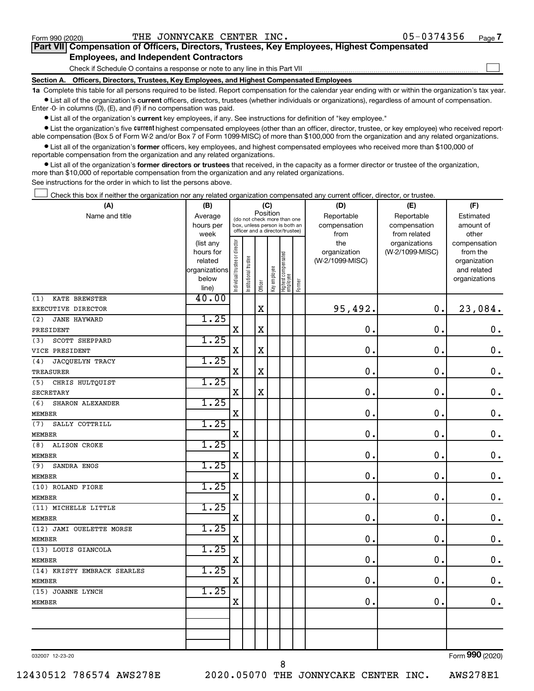$\Box$ 

| Part VII Compensation of Officers, Directors, Trustees, Key Employees, Highest Compensated |  |  |  |  |
|--------------------------------------------------------------------------------------------|--|--|--|--|
| <b>Employees, and Independent Contractors</b>                                              |  |  |  |  |

Check if Schedule O contains a response or note to any line in this Part VII

**Section A. Officers, Directors, Trustees, Key Employees, and Highest Compensated Employees**

**1a**  Complete this table for all persons required to be listed. Report compensation for the calendar year ending with or within the organization's tax year.  $\bullet$  List all of the organization's current officers, directors, trustees (whether individuals or organizations), regardless of amount of compensation.

Enter -0- in columns (D), (E), and (F) if no compensation was paid.

**•** List all of the organization's current key employees, if any. See instructions for definition of "key employee."

• List the organization's five *current* highest compensated employees (other than an officer, director, trustee, or key employee) who received reportable compensation (Box 5 of Form W-2 and/or Box 7 of Form 1099-MISC) of more than \$100,000 from the organization and any related organizations.

 $\bullet$  List all of the organization's former officers, key employees, and highest compensated employees who received more than \$100,000 of reportable compensation from the organization and any related organizations.

**•** List all of the organization's former directors or trustees that received, in the capacity as a former director or trustee of the organization, more than \$10,000 of reportable compensation from the organization and any related organizations.

See instructions for the order in which to list the persons above.

Check this box if neither the organization nor any related organization compensated any current officer, director, or trustee.  $\Box$ 

| (A)                          | (B)                  |                                         |                                                                  | (C)         |              |                                   |        | (D)                             | (E)             | (F)                      |
|------------------------------|----------------------|-----------------------------------------|------------------------------------------------------------------|-------------|--------------|-----------------------------------|--------|---------------------------------|-----------------|--------------------------|
| Name and title               | Average              | Position<br>(do not check more than one |                                                                  |             |              |                                   |        | Reportable                      | Reportable      | Estimated                |
|                              | hours per            |                                         | box, unless person is both an<br>officer and a director/trustee) |             |              |                                   |        | compensation                    | compensation    | amount of                |
|                              | week                 |                                         |                                                                  |             |              |                                   |        | from                            | from related    | other                    |
|                              | (list any            |                                         |                                                                  |             |              |                                   |        | the                             | organizations   | compensation             |
|                              | hours for<br>related |                                         |                                                                  |             |              |                                   |        | organization<br>(W-2/1099-MISC) | (W-2/1099-MISC) | from the<br>organization |
|                              | organizations        |                                         |                                                                  |             |              |                                   |        |                                 |                 | and related              |
|                              | below                |                                         |                                                                  |             |              |                                   |        |                                 |                 | organizations            |
|                              | line)                | Individual trustee or director          | Institutional trustee                                            | Officer     | Key employee | Highest compensated<br>  employee | Former |                                 |                 |                          |
| (1)<br>KATE BREWSTER         | 40.00                |                                         |                                                                  |             |              |                                   |        |                                 |                 |                          |
| EXECUTIVE DIRECTOR           |                      |                                         |                                                                  | $\mathbf X$ |              |                                   |        | 95,492.                         | 0.              | 23,084.                  |
| (2)<br>JANE HAYWARD          | 1.25                 |                                         |                                                                  |             |              |                                   |        |                                 |                 |                          |
| PRESIDENT                    |                      | $\mathbf X$                             |                                                                  | X           |              |                                   |        | $\mathbf 0$ .                   | $\mathbf 0$ .   | $\mathbf 0$ .            |
| <b>SCOTT SHEPPARD</b><br>(3) | 1.25                 |                                         |                                                                  |             |              |                                   |        |                                 |                 |                          |
| VICE PRESIDENT               |                      | $\mathbf X$                             |                                                                  | $\mathbf X$ |              |                                   |        | $\mathbf 0$ .                   | 0.              | $\mathbf 0$ .            |
| JACQUELYN TRACY<br>(4)       | 1.25                 |                                         |                                                                  |             |              |                                   |        |                                 |                 |                          |
| TREASURER                    |                      | $\mathbf x$                             |                                                                  | X           |              |                                   |        | $\mathbf 0$ .                   | $\mathbf 0$ .   | $\mathbf 0$ .            |
| CHRIS HULTQUIST<br>(5)       | 1.25                 |                                         |                                                                  |             |              |                                   |        |                                 |                 |                          |
| <b>SECRETARY</b>             |                      | $\mathbf x$                             |                                                                  | $\mathbf X$ |              |                                   |        | $\mathbf 0$ .                   | $\mathbf 0$ .   | $\mathbf 0$ .            |
| (6)<br>SHARON ALEXANDER      | 1.25                 |                                         |                                                                  |             |              |                                   |        |                                 |                 |                          |
| <b>MEMBER</b>                |                      | $\mathbf x$                             |                                                                  |             |              |                                   |        | $\mathbf 0$ .                   | $\mathbf 0$ .   | $\mathbf 0$ .            |
| SALLY COTTRILL<br>(7)        | 1.25                 |                                         |                                                                  |             |              |                                   |        |                                 |                 |                          |
| <b>MEMBER</b>                |                      | $\mathbf x$                             |                                                                  |             |              |                                   |        | 0.                              | $\mathbf 0$ .   | $\mathbf 0$ .            |
| (8)<br><b>ALISON CROKE</b>   | 1.25                 |                                         |                                                                  |             |              |                                   |        |                                 |                 |                          |
| <b>MEMBER</b>                |                      | $\mathbf X$                             |                                                                  |             |              |                                   |        | 0.                              | $\mathbf 0$ .   | $\mathbf 0$ .            |
| SANDRA ENOS<br>(9)           | 1.25                 |                                         |                                                                  |             |              |                                   |        |                                 |                 |                          |
| <b>MEMBER</b>                |                      | $\mathbf x$                             |                                                                  |             |              |                                   |        | 0.                              | $\mathbf 0$ .   | $\mathbf 0$ .            |
| (10) ROLAND FIORE            | 1.25                 |                                         |                                                                  |             |              |                                   |        |                                 |                 |                          |
| <b>MEMBER</b>                |                      | $\mathbf X$                             |                                                                  |             |              |                                   |        | $\mathbf 0$ .                   | $\mathbf 0$ .   | $\mathbf 0$ .            |
| (11) MICHELLE LITTLE         | 1.25                 |                                         |                                                                  |             |              |                                   |        |                                 |                 |                          |
| <b>MEMBER</b>                |                      | $\mathbf x$                             |                                                                  |             |              |                                   |        | 0.                              | $\mathbf 0$ .   | $\mathbf 0$ .            |
| (12) JAMI OUELETTE MORSE     | 1.25                 |                                         |                                                                  |             |              |                                   |        |                                 |                 |                          |
| <b>MEMBER</b>                |                      | $\rm X$                                 |                                                                  |             |              |                                   |        | 0.                              | О.              | $\mathbf 0$ .            |
| (13) LOUIS GIANCOLA          | 1.25                 |                                         |                                                                  |             |              |                                   |        |                                 |                 |                          |
| <b>MEMBER</b>                |                      | X                                       |                                                                  |             |              |                                   |        | $\mathbf 0$ .                   | $\mathbf 0$ .   | $\mathbf 0$ .            |
| (14) KRISTY EMBRACK SEARLES  | 1.25                 |                                         |                                                                  |             |              |                                   |        |                                 |                 |                          |
| <b>MEMBER</b>                |                      | $\mathbf X$                             |                                                                  |             |              |                                   |        | $\mathbf 0$ .                   | $\mathbf 0$ .   | $\mathbf 0$ .            |
| (15) JOANNE LYNCH            | 1.25                 |                                         |                                                                  |             |              |                                   |        |                                 |                 |                          |
| <b>MEMBER</b>                |                      | $\mathbf X$                             |                                                                  |             |              |                                   |        | $\mathbf 0$ .                   | $\mathbf 0$ .   | $\mathbf 0$ .            |
|                              |                      |                                         |                                                                  |             |              |                                   |        |                                 |                 |                          |
|                              |                      |                                         |                                                                  |             |              |                                   |        |                                 |                 |                          |
|                              |                      |                                         |                                                                  |             |              |                                   |        |                                 |                 |                          |
|                              |                      |                                         |                                                                  |             |              |                                   |        |                                 |                 |                          |

032007 12-23-20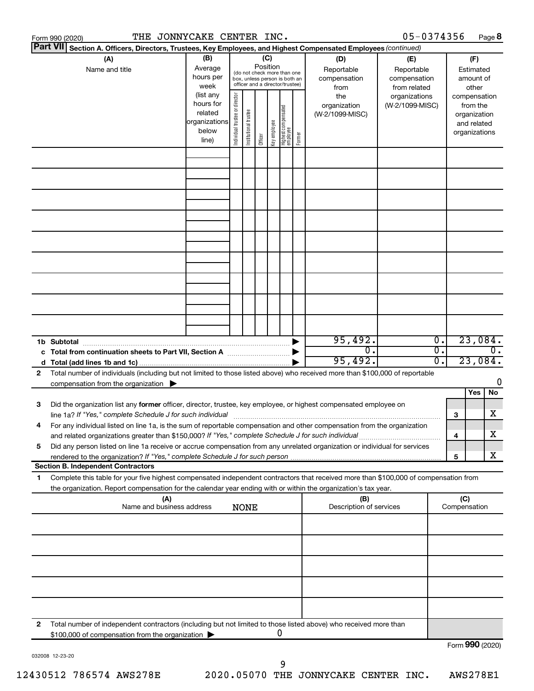|    | THE JONNYCAKE CENTER INC.<br>Form 990 (2020)                                                                                                                                                                                               |               |                                |                       |          |              |                                                              |        |                                | 05-0374356      |                  |                     | Page 8           |
|----|--------------------------------------------------------------------------------------------------------------------------------------------------------------------------------------------------------------------------------------------|---------------|--------------------------------|-----------------------|----------|--------------|--------------------------------------------------------------|--------|--------------------------------|-----------------|------------------|---------------------|------------------|
|    | <b>Part VII</b><br>Section A. Officers, Directors, Trustees, Key Employees, and Highest Compensated Employees (continued)                                                                                                                  |               |                                |                       |          |              |                                                              |        |                                |                 |                  |                     |                  |
|    | (A)                                                                                                                                                                                                                                        | (B)           |                                |                       | (C)      |              |                                                              |        | (D)                            | (E)             |                  |                     | (F)              |
|    | Name and title                                                                                                                                                                                                                             | Average       |                                |                       | Position |              |                                                              |        | Reportable                     | Reportable      |                  |                     | Estimated        |
|    |                                                                                                                                                                                                                                            | hours per     |                                |                       |          |              | (do not check more than one<br>box, unless person is both an |        | compensation                   | compensation    |                  |                     | amount of        |
|    |                                                                                                                                                                                                                                            | week          |                                |                       |          |              | officer and a director/trustee)                              |        | from                           | from related    |                  |                     | other            |
|    |                                                                                                                                                                                                                                            | (list any     |                                |                       |          |              |                                                              |        | the                            | organizations   |                  |                     | compensation     |
|    |                                                                                                                                                                                                                                            | hours for     |                                |                       |          |              |                                                              |        | organization                   | (W-2/1099-MISC) |                  |                     | from the         |
|    |                                                                                                                                                                                                                                            | related       |                                |                       |          |              |                                                              |        | (W-2/1099-MISC)                |                 |                  |                     | organization     |
|    |                                                                                                                                                                                                                                            | organizations |                                |                       |          |              |                                                              |        |                                |                 |                  |                     | and related      |
|    |                                                                                                                                                                                                                                            | below         | Individual trustee or director | Institutional trustee | Officer  | Key employee | Highest compensated<br>  employee                            | Former |                                |                 |                  |                     | organizations    |
|    |                                                                                                                                                                                                                                            | line)         |                                |                       |          |              |                                                              |        |                                |                 |                  |                     |                  |
|    |                                                                                                                                                                                                                                            |               |                                |                       |          |              |                                                              |        |                                |                 |                  |                     |                  |
|    |                                                                                                                                                                                                                                            |               |                                |                       |          |              |                                                              |        |                                |                 |                  |                     |                  |
|    |                                                                                                                                                                                                                                            |               |                                |                       |          |              |                                                              |        |                                |                 |                  |                     |                  |
|    |                                                                                                                                                                                                                                            |               |                                |                       |          |              |                                                              |        |                                |                 |                  |                     |                  |
|    |                                                                                                                                                                                                                                            |               |                                |                       |          |              |                                                              |        |                                |                 |                  |                     |                  |
|    |                                                                                                                                                                                                                                            |               |                                |                       |          |              |                                                              |        |                                |                 |                  |                     |                  |
|    |                                                                                                                                                                                                                                            |               |                                |                       |          |              |                                                              |        |                                |                 |                  |                     |                  |
|    |                                                                                                                                                                                                                                            |               |                                |                       |          |              |                                                              |        |                                |                 |                  |                     |                  |
|    |                                                                                                                                                                                                                                            |               |                                |                       |          |              |                                                              |        |                                |                 |                  |                     |                  |
|    |                                                                                                                                                                                                                                            |               |                                |                       |          |              |                                                              |        |                                |                 |                  |                     |                  |
|    |                                                                                                                                                                                                                                            |               |                                |                       |          |              |                                                              |        |                                |                 |                  |                     |                  |
|    |                                                                                                                                                                                                                                            |               |                                |                       |          |              |                                                              |        |                                |                 |                  |                     |                  |
|    |                                                                                                                                                                                                                                            |               |                                |                       |          |              |                                                              |        |                                |                 |                  |                     |                  |
|    |                                                                                                                                                                                                                                            |               |                                |                       |          |              |                                                              |        |                                |                 |                  |                     |                  |
|    |                                                                                                                                                                                                                                            |               |                                |                       |          |              |                                                              |        |                                |                 |                  |                     |                  |
|    |                                                                                                                                                                                                                                            |               |                                |                       |          |              |                                                              |        |                                |                 |                  |                     |                  |
|    |                                                                                                                                                                                                                                            |               |                                |                       |          |              |                                                              |        |                                |                 |                  |                     |                  |
|    |                                                                                                                                                                                                                                            |               |                                |                       |          |              |                                                              |        |                                |                 |                  |                     |                  |
|    | 1b Subtotal                                                                                                                                                                                                                                |               |                                |                       |          |              |                                                              |        | 95,492.                        |                 | $\overline{0}$ . |                     | 23,084.          |
|    | c Total from continuation sheets to Part VII, Section A manufactured by                                                                                                                                                                    |               |                                |                       |          |              |                                                              |        | $\overline{0}$ .               |                 | σ.               |                     | $\overline{0}$ . |
|    |                                                                                                                                                                                                                                            |               |                                |                       |          |              |                                                              |        | 95,492.                        |                 | 0.               |                     | 23,084.          |
| 2  | Total number of individuals (including but not limited to those listed above) who received more than \$100,000 of reportable                                                                                                               |               |                                |                       |          |              |                                                              |        |                                |                 |                  |                     |                  |
|    | compensation from the organization $\blacktriangleright$                                                                                                                                                                                   |               |                                |                       |          |              |                                                              |        |                                |                 |                  |                     | 0                |
|    |                                                                                                                                                                                                                                            |               |                                |                       |          |              |                                                              |        |                                |                 |                  |                     | Yes<br>No        |
| 3  | Did the organization list any former officer, director, trustee, key employee, or highest compensated employee on                                                                                                                          |               |                                |                       |          |              |                                                              |        |                                |                 |                  |                     |                  |
|    |                                                                                                                                                                                                                                            |               |                                |                       |          |              |                                                              |        |                                |                 |                  | 3                   | х                |
|    | line 1a? If "Yes," complete Schedule J for such individual manufactured content to the set of the set of the s<br>For any individual listed on line 1a, is the sum of reportable compensation and other compensation from the organization |               |                                |                       |          |              |                                                              |        |                                |                 |                  |                     |                  |
|    |                                                                                                                                                                                                                                            |               |                                |                       |          |              |                                                              |        |                                |                 |                  |                     | х                |
|    | and related organizations greater than \$150,000? If "Yes," complete Schedule J for such individual                                                                                                                                        |               |                                |                       |          |              |                                                              |        |                                |                 |                  | 4                   |                  |
| 5  | Did any person listed on line 1a receive or accrue compensation from any unrelated organization or individual for services                                                                                                                 |               |                                |                       |          |              |                                                              |        |                                |                 |                  |                     | х                |
|    |                                                                                                                                                                                                                                            |               |                                |                       |          |              |                                                              |        |                                |                 |                  | 5                   |                  |
|    | <b>Section B. Independent Contractors</b>                                                                                                                                                                                                  |               |                                |                       |          |              |                                                              |        |                                |                 |                  |                     |                  |
| 1. | Complete this table for your five highest compensated independent contractors that received more than \$100,000 of compensation from                                                                                                       |               |                                |                       |          |              |                                                              |        |                                |                 |                  |                     |                  |
|    | the organization. Report compensation for the calendar year ending with or within the organization's tax year.                                                                                                                             |               |                                |                       |          |              |                                                              |        |                                |                 |                  |                     |                  |
|    | (A)<br>Name and business address                                                                                                                                                                                                           |               |                                | <b>NONE</b>           |          |              |                                                              |        | (B)<br>Description of services |                 |                  | (C)<br>Compensation |                  |
|    |                                                                                                                                                                                                                                            |               |                                |                       |          |              |                                                              |        |                                |                 |                  |                     |                  |
|    |                                                                                                                                                                                                                                            |               |                                |                       |          |              |                                                              |        |                                |                 |                  |                     |                  |
|    |                                                                                                                                                                                                                                            |               |                                |                       |          |              |                                                              |        |                                |                 |                  |                     |                  |
|    |                                                                                                                                                                                                                                            |               |                                |                       |          |              |                                                              |        |                                |                 |                  |                     |                  |
|    |                                                                                                                                                                                                                                            |               |                                |                       |          |              |                                                              |        |                                |                 |                  |                     |                  |
|    |                                                                                                                                                                                                                                            |               |                                |                       |          |              |                                                              |        |                                |                 |                  |                     |                  |
|    |                                                                                                                                                                                                                                            |               |                                |                       |          |              |                                                              |        |                                |                 |                  |                     |                  |
|    |                                                                                                                                                                                                                                            |               |                                |                       |          |              |                                                              |        |                                |                 |                  |                     |                  |
|    |                                                                                                                                                                                                                                            |               |                                |                       |          |              |                                                              |        |                                |                 |                  |                     |                  |
|    |                                                                                                                                                                                                                                            |               |                                |                       |          |              |                                                              |        |                                |                 |                  |                     |                  |
| 2  | Total number of independent contractors (including but not limited to those listed above) who received more than                                                                                                                           |               |                                |                       |          |              |                                                              |        |                                |                 |                  |                     |                  |
|    | \$100,000 of compensation from the organization                                                                                                                                                                                            |               |                                |                       |          |              | 0                                                            |        |                                |                 |                  |                     |                  |
|    |                                                                                                                                                                                                                                            |               |                                |                       |          |              |                                                              |        |                                |                 |                  |                     | Form 990 (2020)  |

032008 12-23-20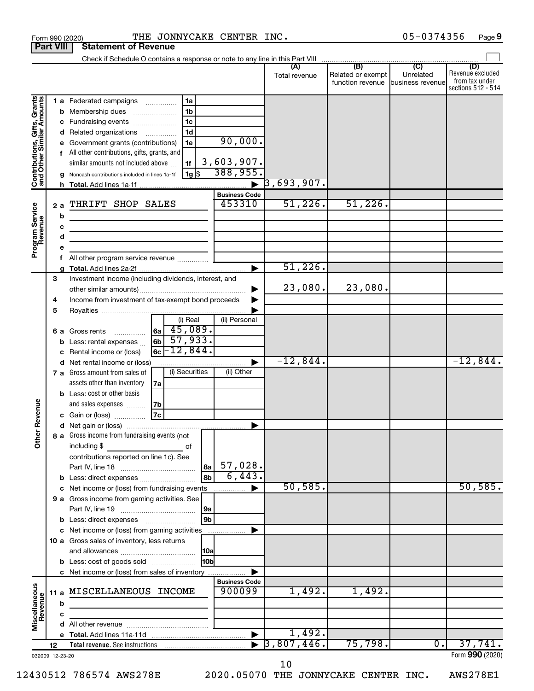|                                                           | <b>Part VIII</b> | <b>Statement of Revenue</b>                                                                                                                                                                                                                                                                   |                                                                                               |                                                                     |                                                     |                                       |                               |                                                          |
|-----------------------------------------------------------|------------------|-----------------------------------------------------------------------------------------------------------------------------------------------------------------------------------------------------------------------------------------------------------------------------------------------|-----------------------------------------------------------------------------------------------|---------------------------------------------------------------------|-----------------------------------------------------|---------------------------------------|-------------------------------|----------------------------------------------------------|
|                                                           |                  | Check if Schedule O contains a response or note to any line in this Part VIII                                                                                                                                                                                                                 |                                                                                               |                                                                     |                                                     | (B)                                   | (C)                           | (D)                                                      |
|                                                           |                  |                                                                                                                                                                                                                                                                                               |                                                                                               |                                                                     | Total revenue                                       | Related or exempt<br>function revenue | Unrelated<br>business revenue | Revenue excluded<br>from tax under<br>sections 512 - 514 |
| Contributions, Gifts, Grants<br>and Other Similar Amounts | b<br>a<br>2a     | 1 a Federated campaigns<br>Membership dues<br>c Fundraising events<br>d Related organizations<br>Government grants (contributions)<br>All other contributions, gifts, grants, and<br>similar amounts not included above<br>Noncash contributions included in lines 1a-1f<br>THRIFT SHOP SALES | 1a<br>1 <sub>b</sub><br>1 <sub>c</sub><br>1 <sub>d</sub><br>.<br>1e<br>1f<br>  1g   \$        | 90,000.<br>3,603,907.<br>388,955.<br><b>Business Code</b><br>453310 | $\left  \frac{3}{6} \right , 693, 907$ .<br>51,226. | 51,226.                               |                               |                                                          |
| Program Service<br>Revenue                                | b<br>с<br>d      | <u> 1980 - Johann Barbara, martin a</u>                                                                                                                                                                                                                                                       |                                                                                               |                                                                     |                                                     |                                       |                               |                                                          |
|                                                           |                  |                                                                                                                                                                                                                                                                                               |                                                                                               |                                                                     | 51,226.                                             |                                       |                               |                                                          |
|                                                           | 3<br>4           | Investment income (including dividends, interest, and<br>Income from investment of tax-exempt bond proceeds                                                                                                                                                                                   |                                                                                               |                                                                     | 23,080.                                             | 23,080.                               |                               |                                                          |
|                                                           | 5                |                                                                                                                                                                                                                                                                                               |                                                                                               |                                                                     |                                                     |                                       |                               |                                                          |
|                                                           | 6а               | Gross rents<br>Less: rental expenses<br>Rental income or (loss)                                                                                                                                                                                                                               | (i) Real<br>$\left  \right.$ 6a $\left  \right.$ 45,089.<br>57,933.<br> 6b <br>$6c - 12,844.$ | (ii) Personal                                                       |                                                     |                                       |                               |                                                          |
|                                                           |                  | d Net rental income or (loss)                                                                                                                                                                                                                                                                 |                                                                                               |                                                                     | $-12,844$ .                                         |                                       |                               | $-12,844.$                                               |
|                                                           |                  | 7 a Gross amount from sales of<br>assets other than inventory<br><b>b</b> Less: cost or other basis                                                                                                                                                                                           | (i) Securities<br>7a                                                                          | (ii) Other                                                          |                                                     |                                       |                               |                                                          |
| Revenue                                                   |                  | and sales expenses<br>c Gain or (loss)                                                                                                                                                                                                                                                        | 7b<br> 7c                                                                                     |                                                                     |                                                     |                                       |                               |                                                          |
| ৯<br>Ĕ                                                    |                  | 8 a Gross income from fundraising events (not<br>including \$<br>$\mathcal{L}^{\mathcal{L}}(\mathcal{L}^{\mathcal{L}})$ and $\mathcal{L}^{\mathcal{L}}(\mathcal{L}^{\mathcal{L}})$ and $\mathcal{L}^{\mathcal{L}}(\mathcal{L}^{\mathcal{L}})$<br>contributions reported on line 1c). See      | 8a                                                                                            | 57,028.                                                             |                                                     |                                       |                               |                                                          |
|                                                           |                  | b Less: direct expenses                                                                                                                                                                                                                                                                       | 8b                                                                                            | 6,443.                                                              |                                                     |                                       |                               |                                                          |
|                                                           |                  | c Net income or (loss) from fundraising events<br>9 a Gross income from gaming activities. See                                                                                                                                                                                                | 9a                                                                                            |                                                                     | 50, 585.                                            |                                       |                               | 50, 585.                                                 |
|                                                           |                  | <b>b</b> Less: direct expenses <b>manually</b>                                                                                                                                                                                                                                                | 9b                                                                                            |                                                                     |                                                     |                                       |                               |                                                          |
|                                                           |                  | c Net income or (loss) from gaming activities<br>10 a Gross sales of inventory, less returns                                                                                                                                                                                                  |                                                                                               |                                                                     |                                                     |                                       |                               |                                                          |
|                                                           |                  | <b>b</b> Less: cost of goods sold                                                                                                                                                                                                                                                             | l10bl                                                                                         |                                                                     |                                                     |                                       |                               |                                                          |
|                                                           |                  | c Net income or (loss) from sales of inventory                                                                                                                                                                                                                                                |                                                                                               |                                                                     |                                                     |                                       |                               |                                                          |
| Miscellaneous<br>Revenue                                  |                  | 11 a MISCELLANEOUS INCOME                                                                                                                                                                                                                                                                     |                                                                                               | <b>Business Code</b><br>900099                                      | 1,492.                                              | 1,492.                                |                               |                                                          |
|                                                           | b                |                                                                                                                                                                                                                                                                                               |                                                                                               |                                                                     |                                                     |                                       |                               |                                                          |
|                                                           | c                |                                                                                                                                                                                                                                                                                               |                                                                                               |                                                                     |                                                     |                                       |                               |                                                          |
|                                                           |                  |                                                                                                                                                                                                                                                                                               |                                                                                               |                                                                     | 1,492.                                              |                                       |                               |                                                          |
|                                                           | 12               |                                                                                                                                                                                                                                                                                               |                                                                                               |                                                                     | 3,807,446.                                          | 75,798.                               | 0.                            | 37,741.                                                  |
|                                                           | 032009 12-23-20  |                                                                                                                                                                                                                                                                                               |                                                                                               |                                                                     |                                                     |                                       |                               | Form 990 (2020)                                          |

Form 990 (2020) **THE JONNYCAKE CENTER INC .** 05-0374356 Page **9** 

10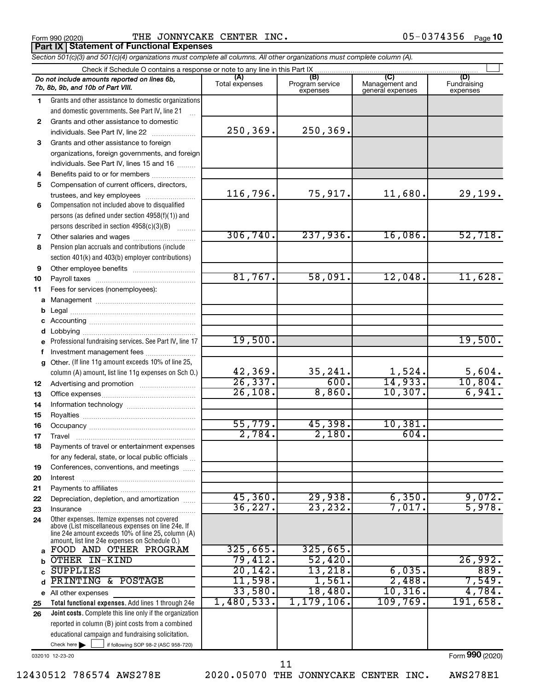**Part IX Statement of Functional Expenses**

Form 990 (2020) Page THE JONNYCAKE CENTER INC.

| Section 501(c)(3) and 501(c)(4) organizations must complete all columns. All other organizations must complete column (A). |  |  |
|----------------------------------------------------------------------------------------------------------------------------|--|--|

|          | Check if Schedule O contains a response or note to any line in this Part IX                                                                              |                       |                                    |                                    |                                |
|----------|----------------------------------------------------------------------------------------------------------------------------------------------------------|-----------------------|------------------------------------|------------------------------------|--------------------------------|
|          | Do not include amounts reported on lines 6b,<br>7b, 8b, 9b, and 10b of Part VIII.                                                                        | (A)<br>Total expenses | (B)<br>Program service<br>expenses | Management and<br>general expenses | (D)<br>Fundraising<br>expenses |
| 1.       | Grants and other assistance to domestic organizations                                                                                                    |                       |                                    |                                    |                                |
|          | and domestic governments. See Part IV, line 21                                                                                                           |                       |                                    |                                    |                                |
| 2        | Grants and other assistance to domestic                                                                                                                  |                       |                                    |                                    |                                |
|          | individuals. See Part IV, line 22                                                                                                                        | 250,369.              | 250,369.                           |                                    |                                |
| 3        | Grants and other assistance to foreign                                                                                                                   |                       |                                    |                                    |                                |
|          | organizations, foreign governments, and foreign                                                                                                          |                       |                                    |                                    |                                |
|          | individuals. See Part IV, lines 15 and 16                                                                                                                |                       |                                    |                                    |                                |
| 4        | Benefits paid to or for members                                                                                                                          |                       |                                    |                                    |                                |
| 5        | Compensation of current officers, directors,                                                                                                             |                       |                                    |                                    |                                |
|          | trustees, and key employees                                                                                                                              | 116,796.              | 75,917.                            | 11,680.                            | 29,199.                        |
| 6        | Compensation not included above to disqualified                                                                                                          |                       |                                    |                                    |                                |
|          | persons (as defined under section 4958(f)(1)) and                                                                                                        |                       |                                    |                                    |                                |
|          | persons described in section 4958(c)(3)(B)                                                                                                               | 306, 740.             | 237,936.                           | 16,086.                            | 52,718.                        |
| 7<br>8   | Other salaries and wages                                                                                                                                 |                       |                                    |                                    |                                |
|          | Pension plan accruals and contributions (include<br>section 401(k) and 403(b) employer contributions)                                                    |                       |                                    |                                    |                                |
| 9        |                                                                                                                                                          |                       |                                    |                                    |                                |
| 10       |                                                                                                                                                          | 81,767.               | 58,091.                            | 12,048.                            | 11,628.                        |
| 11       | Fees for services (nonemployees):                                                                                                                        |                       |                                    |                                    |                                |
| a        |                                                                                                                                                          |                       |                                    |                                    |                                |
| b        |                                                                                                                                                          |                       |                                    |                                    |                                |
| с        |                                                                                                                                                          |                       |                                    |                                    |                                |
| d        |                                                                                                                                                          |                       |                                    |                                    |                                |
| e        | Professional fundraising services. See Part IV, line 17                                                                                                  | 19,500.               |                                    |                                    | 19,500.                        |
| f        | Investment management fees                                                                                                                               |                       |                                    |                                    |                                |
| g        | Other. (If line 11g amount exceeds 10% of line 25,                                                                                                       |                       |                                    |                                    |                                |
|          | column (A) amount, list line 11g expenses on Sch O.)                                                                                                     | 42,369.               | 35, 241.                           | 1,524.<br>14,933.                  | 5,604.                         |
| 12       |                                                                                                                                                          | 26, 337.<br>26,108.   | 600.<br>8,860.                     | 10, 307.                           | 10,804.<br>6,941.              |
| 13       |                                                                                                                                                          |                       |                                    |                                    |                                |
| 14       |                                                                                                                                                          |                       |                                    |                                    |                                |
| 15<br>16 |                                                                                                                                                          | 55,779.               | 45,398.                            | 10,381.                            |                                |
| 17       | Travel                                                                                                                                                   | 2,784.                | 2,180.                             | 604.                               |                                |
| 18       | Payments of travel or entertainment expenses                                                                                                             |                       |                                    |                                    |                                |
|          | for any federal, state, or local public officials                                                                                                        |                       |                                    |                                    |                                |
| 19       | Conferences, conventions, and meetings                                                                                                                   |                       |                                    |                                    |                                |
| 20       | Interest                                                                                                                                                 |                       |                                    |                                    |                                |
| 21       |                                                                                                                                                          |                       |                                    |                                    |                                |
| 22       | Depreciation, depletion, and amortization                                                                                                                | 45,360.               | 29,938.                            | 6,350.                             | 9,072.                         |
| 23       | Insurance                                                                                                                                                | 36, 227.              | 23, 232.                           | 7,017.                             | 5,978.                         |
| 24       | Other expenses. Itemize expenses not covered<br>above (List miscellaneous expenses on line 24e. If<br>line 24e amount exceeds 10% of line 25, column (A) |                       |                                    |                                    |                                |
|          | amount, list line 24e expenses on Schedule O.)                                                                                                           |                       |                                    |                                    |                                |
| a        | FOOD AND OTHER PROGRAM                                                                                                                                   | 325,665.              | 325,665.                           |                                    |                                |
| b        | OTHER IN-KIND                                                                                                                                            | 79,412.               | 52,420.                            |                                    | 26,992.                        |
|          | <b>SUPPLIES</b>                                                                                                                                          | 20, 142.              | 13,218.                            | 6,035.                             | 889.                           |
| d        | PRINTING & POSTAGE                                                                                                                                       | 11,598.               | 1,561.                             | 2,488.                             | 7,549.                         |
| е        | All other expenses                                                                                                                                       | 33,580.               | 18,480.                            | 10, 316.                           | 4,784.                         |
| 25       | Total functional expenses. Add lines 1 through 24e                                                                                                       | 1,480,533.            | 1, 179, 106.                       | 109,769.                           | 191,658.                       |
| 26       | Joint costs. Complete this line only if the organization                                                                                                 |                       |                                    |                                    |                                |
|          | reported in column (B) joint costs from a combined<br>educational campaign and fundraising solicitation.                                                 |                       |                                    |                                    |                                |
|          | Check here $\blacktriangleright$<br>if following SOP 98-2 (ASC 958-720)                                                                                  |                       |                                    |                                    |                                |
|          |                                                                                                                                                          |                       |                                    |                                    | $000$ (2222)                   |

032010 12-23-20

12430512 786574 AWS278E 2020.05070 THE JONNYCAKE CENTER INC. AWS278E1

11

Form (2020) **990**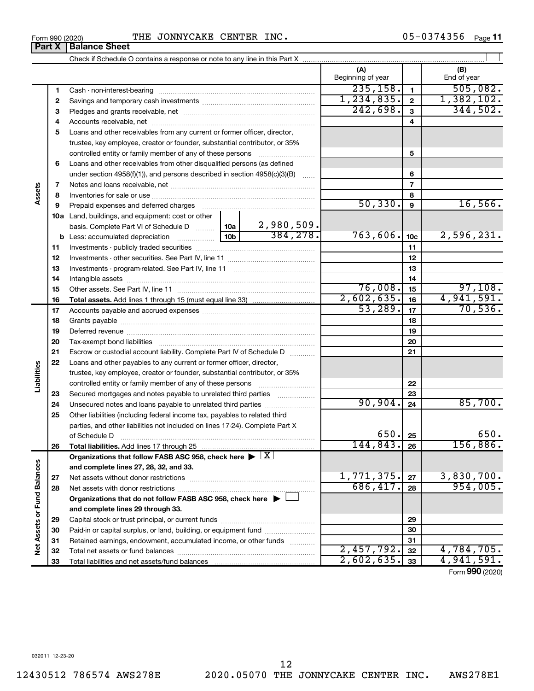$\overline{\phantom{0}}$ 

Form 990 (2020) THE JONNYCAKE CENTER INC.  $05-0374356$  Page

05-0374356 Page 11

|                             | ганл   | וסטות שוופכו                                                                                                                          |  |            |                          |                         |                    |
|-----------------------------|--------|---------------------------------------------------------------------------------------------------------------------------------------|--|------------|--------------------------|-------------------------|--------------------|
|                             |        |                                                                                                                                       |  |            |                          |                         |                    |
|                             |        |                                                                                                                                       |  |            | (A)<br>Beginning of year |                         | (B)<br>End of year |
|                             |        |                                                                                                                                       |  |            | 235, 158.                | $\mathbf{1}$            | 505,082.           |
|                             | 1      | Cash - non-interest-bearing                                                                                                           |  |            | 1, 234, 835.             | $\mathbf 2$             | 1,382,102.         |
|                             | 2      |                                                                                                                                       |  |            | 242,698.                 | 3                       | 344,502.           |
|                             | з      |                                                                                                                                       |  |            |                          | $\overline{\mathbf{4}}$ |                    |
|                             | 4<br>5 | Loans and other receivables from any current or former officer, director,                                                             |  |            |                          |                         |                    |
|                             |        |                                                                                                                                       |  |            |                          |                         |                    |
|                             |        | trustee, key employee, creator or founder, substantial contributor, or 35%                                                            |  |            |                          | 5                       |                    |
|                             | 6      | controlled entity or family member of any of these persons<br>Loans and other receivables from other disqualified persons (as defined |  |            |                          |                         |                    |
|                             |        | under section 4958(f)(1)), and persons described in section 4958(c)(3)(B)                                                             |  |            |                          | 6                       |                    |
|                             | 7      |                                                                                                                                       |  |            |                          | $\overline{7}$          |                    |
|                             | 8      |                                                                                                                                       |  |            |                          | 8                       |                    |
|                             | 9      |                                                                                                                                       |  |            | 50, 330.                 | 9                       | 16,566.            |
|                             |        | Prepaid expenses and deferred charges<br><b>10a</b> Land, buildings, and equipment: cost or other                                     |  |            |                          |                         |                    |
|                             |        |                                                                                                                                       |  | 2,980,509. |                          |                         |                    |
|                             | b      | basis. Complete Part VI of Schedule D  [10a]                                                                                          |  | 384, 278.  | 763,606.                 | 10 <sub>c</sub>         | 2,596,231.         |
|                             | 11     |                                                                                                                                       |  |            |                          | 11                      |                    |
|                             | 12     |                                                                                                                                       |  |            |                          | 12                      |                    |
|                             | 13     |                                                                                                                                       |  |            | 13                       |                         |                    |
|                             | 14     | Intangible assets                                                                                                                     |  |            | 14                       |                         |                    |
|                             | 15     |                                                                                                                                       |  |            | 76,008.                  | 15                      | 97,108.            |
|                             | 16     |                                                                                                                                       |  |            | 2,602,635.               | 16                      | 4,941,591.         |
|                             | 17     |                                                                                                                                       |  |            | 53,289.                  | 17                      | 70,536.            |
|                             | 18     |                                                                                                                                       |  |            |                          | 18                      |                    |
|                             | 19     |                                                                                                                                       |  | 19         |                          |                         |                    |
|                             | 20     |                                                                                                                                       |  |            | 20                       |                         |                    |
|                             | 21     | Escrow or custodial account liability. Complete Part IV of Schedule D                                                                 |  |            |                          | 21                      |                    |
|                             | 22     | Loans and other payables to any current or former officer, director,                                                                  |  |            |                          |                         |                    |
| Liabilities                 |        | trustee, key employee, creator or founder, substantial contributor, or 35%                                                            |  |            |                          |                         |                    |
|                             |        | controlled entity or family member of any of these persons                                                                            |  |            |                          | 22                      |                    |
|                             | 23     | Secured mortgages and notes payable to unrelated third parties                                                                        |  |            |                          | 23                      |                    |
|                             | 24     | Unsecured notes and loans payable to unrelated third parties                                                                          |  |            | 90,904.                  | 24                      | 85,700.            |
|                             | 25     | Other liabilities (including federal income tax, payables to related third                                                            |  |            |                          |                         |                    |
|                             |        | parties, and other liabilities not included on lines 17-24). Complete Part X                                                          |  |            |                          |                         |                    |
|                             |        | of Schedule D                                                                                                                         |  |            | 650.                     | 25                      | 650.               |
|                             | 26     | Total liabilities. Add lines 17 through 25                                                                                            |  |            | 144,843.                 | 26                      | 156,886.           |
|                             |        | Organizations that follow FASB ASC 958, check here $\blacktriangleright \;   \; \underline{X}  $                                      |  |            |                          |                         |                    |
|                             |        | and complete lines 27, 28, 32, and 33.                                                                                                |  |            |                          |                         |                    |
|                             | 27     | Net assets without donor restrictions                                                                                                 |  |            | 1,771,375.               | 27                      | 3,830,700.         |
|                             | 28     | Net assets with donor restrictions                                                                                                    |  |            | 686,417.                 | 28                      | 954,005.           |
|                             |        | Organizations that do not follow FASB ASC 958, check here $\blacktriangleright$                                                       |  |            |                          |                         |                    |
|                             |        | and complete lines 29 through 33.                                                                                                     |  |            |                          |                         |                    |
| Net Assets or Fund Balances | 29     |                                                                                                                                       |  |            |                          | 29                      |                    |
|                             | 30     | Paid-in or capital surplus, or land, building, or equipment fund <i>www.www.www.</i>                                                  |  |            |                          | 30                      |                    |
|                             | 31     | Retained earnings, endowment, accumulated income, or other funds                                                                      |  |            |                          | 31                      |                    |
|                             | 32     |                                                                                                                                       |  |            | 2,457,792.               | 32                      | 4,784,705.         |
|                             | 33     | Total liabilities and net assets/fund balances                                                                                        |  |            | 2,602,635.               | 33                      | 4,941,591.         |
|                             |        |                                                                                                                                       |  |            |                          |                         | Form 990 (2020)    |

**Part X Balance Sheet**<br>**Part X Balance Sheet**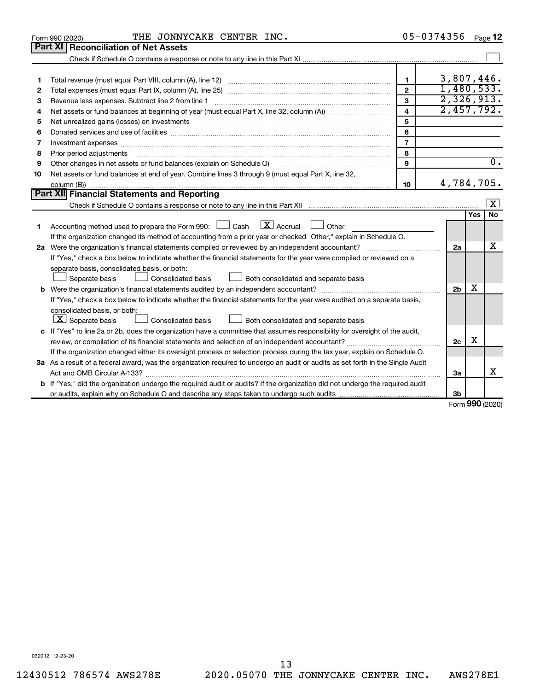|    | THE JONNYCAKE CENTER INC.<br>Form 990 (2020)                                                                                    |                | 05-0374356     |        | Page 12                 |
|----|---------------------------------------------------------------------------------------------------------------------------------|----------------|----------------|--------|-------------------------|
|    | <b>Part XI</b><br><b>Reconciliation of Net Assets</b>                                                                           |                |                |        |                         |
|    |                                                                                                                                 |                |                |        |                         |
|    |                                                                                                                                 |                |                |        |                         |
| 1  |                                                                                                                                 | $\mathbf{1}$   | 3,807,446.     |        |                         |
| 2  |                                                                                                                                 | $\overline{2}$ | 1,480,533.     |        |                         |
| 3  | Revenue less expenses. Subtract line 2 from line 1                                                                              | 3              | 2,326,913.     |        |                         |
| 4  |                                                                                                                                 | 4              | 2,457,792.     |        |                         |
| 5  |                                                                                                                                 | 5              |                |        |                         |
| 6  |                                                                                                                                 | 6              |                |        |                         |
| 7  |                                                                                                                                 | $\overline{7}$ |                |        |                         |
| 8  |                                                                                                                                 | 8              |                |        |                         |
| 9  | Other changes in net assets or fund balances (explain on Schedule O)                                                            | 9              |                |        | $\overline{0}$ .        |
| 10 | Net assets or fund balances at end of year. Combine lines 3 through 9 (must equal Part X, line 32,                              |                |                |        |                         |
|    |                                                                                                                                 | 10             | 4,784,705.     |        |                         |
|    | <b>Part XII</b> Financial Statements and Reporting                                                                              |                |                |        |                         |
|    |                                                                                                                                 |                |                |        | $\overline{\mathbf{x}}$ |
|    |                                                                                                                                 |                |                | Yes    | <b>No</b>               |
| 1. | $\lfloor \mathbf{X} \rfloor$ Accrual<br>Accounting method used to prepare the Form 990: [130] Cash<br>$\Box$ Other              |                |                |        |                         |
|    | If the organization changed its method of accounting from a prior year or checked "Other," explain in Schedule O.               |                |                |        |                         |
|    |                                                                                                                                 |                | 2a             |        | х                       |
|    | If "Yes," check a box below to indicate whether the financial statements for the year were compiled or reviewed on a            |                |                |        |                         |
|    | separate basis, consolidated basis, or both:                                                                                    |                |                |        |                         |
|    | Both consolidated and separate basis<br>Separate basis<br>Consolidated basis                                                    |                |                |        |                         |
|    |                                                                                                                                 |                | 2 <sub>b</sub> | х      |                         |
|    | If "Yes," check a box below to indicate whether the financial statements for the year were audited on a separate basis,         |                |                |        |                         |
|    | consolidated basis, or both:                                                                                                    |                |                |        |                         |
|    | $\lfloor \underline{X} \rfloor$ Separate basis<br>Consolidated basis<br>Both consolidated and separate basis                    |                |                |        |                         |
|    | c If "Yes" to line 2a or 2b, does the organization have a committee that assumes responsibility for oversight of the audit,     |                |                | х      |                         |
|    |                                                                                                                                 |                | 2c             |        |                         |
|    | If the organization changed either its oversight process or selection process during the tax year, explain on Schedule O.       |                |                |        |                         |
|    | 3a As a result of a federal award, was the organization required to undergo an audit or audits as set forth in the Single Audit |                |                |        |                         |
|    | Act and OMB Circular A-133?                                                                                                     |                | 3a             |        | x                       |
|    | b If "Yes," did the organization undergo the required audit or audits? If the organization did not undergo the required audit   |                |                |        |                         |
|    |                                                                                                                                 |                | 3b             | $\sim$ |                         |

Form (2020) **990**

032012 12-23-20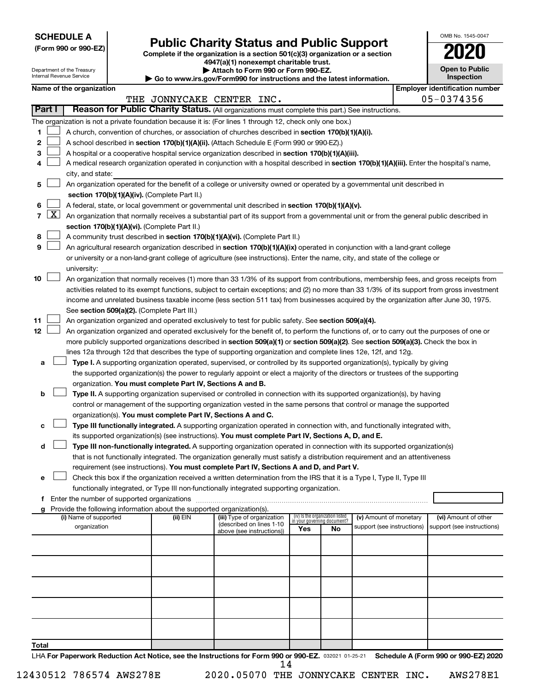**SCHEDULE A**

| (Form 990 or 990-EZ) |  |  |  |  |
|----------------------|--|--|--|--|
|----------------------|--|--|--|--|

# Form 990 or 990-EZ) **Public Charity Status and Public Support**<br>
Complete if the organization is a section 501(c)(3) organization or a section<br> **2020 4947(a)(1) nonexempt charitable trust.**

Department of the Treasury Internal Revenue Service

**| Attach to Form 990 or Form 990-EZ. | Go to www.irs.gov/Form990 for instructions and the latest information.**

| OMB No 1545-0047                    |
|-------------------------------------|
| W                                   |
| <b>Open to Public</b><br>Inspection |

| Name of the organization |  |
|--------------------------|--|
|--------------------------|--|

|                |                     | Name of the organization                                                                                                                     |          |                            |     |                                                                |                                                      |  | <b>Employer identification number</b> |  |  |  |
|----------------|---------------------|----------------------------------------------------------------------------------------------------------------------------------------------|----------|----------------------------|-----|----------------------------------------------------------------|------------------------------------------------------|--|---------------------------------------|--|--|--|
|                |                     |                                                                                                                                              |          | THE JONNYCAKE CENTER INC.  |     |                                                                |                                                      |  | 05-0374356                            |  |  |  |
|                | Part I              | Reason for Public Charity Status. (All organizations must complete this part.) See instructions.                                             |          |                            |     |                                                                |                                                      |  |                                       |  |  |  |
|                |                     | The organization is not a private foundation because it is: (For lines 1 through 12, check only one box.)                                    |          |                            |     |                                                                |                                                      |  |                                       |  |  |  |
| 1              |                     | A church, convention of churches, or association of churches described in section 170(b)(1)(A)(i).                                           |          |                            |     |                                                                |                                                      |  |                                       |  |  |  |
| 2              |                     | A school described in section 170(b)(1)(A)(ii). (Attach Schedule E (Form 990 or 990-EZ).)                                                    |          |                            |     |                                                                |                                                      |  |                                       |  |  |  |
| 3              |                     | A hospital or a cooperative hospital service organization described in section 170(b)(1)(A)(iii).                                            |          |                            |     |                                                                |                                                      |  |                                       |  |  |  |
| 4              |                     | A medical research organization operated in conjunction with a hospital described in section 170(b)(1)(A)(iii). Enter the hospital's name,   |          |                            |     |                                                                |                                                      |  |                                       |  |  |  |
|                |                     | city, and state:                                                                                                                             |          |                            |     |                                                                |                                                      |  |                                       |  |  |  |
| 5              |                     | An organization operated for the benefit of a college or university owned or operated by a governmental unit described in                    |          |                            |     |                                                                |                                                      |  |                                       |  |  |  |
|                |                     | section 170(b)(1)(A)(iv). (Complete Part II.)                                                                                                |          |                            |     |                                                                |                                                      |  |                                       |  |  |  |
| 6              |                     | A federal, state, or local government or governmental unit described in section 170(b)(1)(A)(v).                                             |          |                            |     |                                                                |                                                      |  |                                       |  |  |  |
| $\overline{7}$ | $\lfloor x \rfloor$ | An organization that normally receives a substantial part of its support from a governmental unit or from the general public described in    |          |                            |     |                                                                |                                                      |  |                                       |  |  |  |
|                |                     | section 170(b)(1)(A)(vi). (Complete Part II.)                                                                                                |          |                            |     |                                                                |                                                      |  |                                       |  |  |  |
| 8              |                     | A community trust described in section 170(b)(1)(A)(vi). (Complete Part II.)                                                                 |          |                            |     |                                                                |                                                      |  |                                       |  |  |  |
| 9              |                     | An agricultural research organization described in section 170(b)(1)(A)(ix) operated in conjunction with a land-grant college                |          |                            |     |                                                                |                                                      |  |                                       |  |  |  |
|                |                     | or university or a non-land-grant college of agriculture (see instructions). Enter the name, city, and state of the college or               |          |                            |     |                                                                |                                                      |  |                                       |  |  |  |
|                |                     | university:                                                                                                                                  |          |                            |     |                                                                |                                                      |  |                                       |  |  |  |
| 10             |                     | An organization that normally receives (1) more than 33 1/3% of its support from contributions, membership fees, and gross receipts from     |          |                            |     |                                                                |                                                      |  |                                       |  |  |  |
|                |                     | activities related to its exempt functions, subject to certain exceptions; and (2) no more than 33 1/3% of its support from gross investment |          |                            |     |                                                                |                                                      |  |                                       |  |  |  |
|                |                     | income and unrelated business taxable income (less section 511 tax) from businesses acquired by the organization after June 30, 1975.        |          |                            |     |                                                                |                                                      |  |                                       |  |  |  |
|                |                     | See section 509(a)(2). (Complete Part III.)                                                                                                  |          |                            |     |                                                                |                                                      |  |                                       |  |  |  |
| 11             |                     | An organization organized and operated exclusively to test for public safety. See section 509(a)(4).                                         |          |                            |     |                                                                |                                                      |  |                                       |  |  |  |
| 12             |                     | An organization organized and operated exclusively for the benefit of, to perform the functions of, or to carry out the purposes of one or   |          |                            |     |                                                                |                                                      |  |                                       |  |  |  |
|                |                     | more publicly supported organizations described in section 509(a)(1) or section 509(a)(2). See section 509(a)(3). Check the box in           |          |                            |     |                                                                |                                                      |  |                                       |  |  |  |
|                |                     | lines 12a through 12d that describes the type of supporting organization and complete lines 12e, 12f, and 12g.                               |          |                            |     |                                                                |                                                      |  |                                       |  |  |  |
| а              |                     | Type I. A supporting organization operated, supervised, or controlled by its supported organization(s), typically by giving                  |          |                            |     |                                                                |                                                      |  |                                       |  |  |  |
|                |                     | the supported organization(s) the power to regularly appoint or elect a majority of the directors or trustees of the supporting              |          |                            |     |                                                                |                                                      |  |                                       |  |  |  |
|                |                     | organization. You must complete Part IV, Sections A and B.                                                                                   |          |                            |     |                                                                |                                                      |  |                                       |  |  |  |
| b              |                     | Type II. A supporting organization supervised or controlled in connection with its supported organization(s), by having                      |          |                            |     |                                                                |                                                      |  |                                       |  |  |  |
|                |                     | control or management of the supporting organization vested in the same persons that control or manage the supported                         |          |                            |     |                                                                |                                                      |  |                                       |  |  |  |
|                |                     | organization(s). You must complete Part IV, Sections A and C.                                                                                |          |                            |     |                                                                |                                                      |  |                                       |  |  |  |
|                |                     | Type III functionally integrated. A supporting organization operated in connection with, and functionally integrated with,                   |          |                            |     |                                                                |                                                      |  |                                       |  |  |  |
|                |                     | its supported organization(s) (see instructions). You must complete Part IV, Sections A, D, and E.                                           |          |                            |     |                                                                |                                                      |  |                                       |  |  |  |
| d              |                     | Type III non-functionally integrated. A supporting organization operated in connection with its supported organization(s)                    |          |                            |     |                                                                |                                                      |  |                                       |  |  |  |
|                |                     | that is not functionally integrated. The organization generally must satisfy a distribution requirement and an attentiveness                 |          |                            |     |                                                                |                                                      |  |                                       |  |  |  |
|                |                     | requirement (see instructions). You must complete Part IV, Sections A and D, and Part V.                                                     |          |                            |     |                                                                |                                                      |  |                                       |  |  |  |
| е              |                     | Check this box if the organization received a written determination from the IRS that it is a Type I, Type II, Type III                      |          |                            |     |                                                                |                                                      |  |                                       |  |  |  |
|                |                     | functionally integrated, or Type III non-functionally integrated supporting organization.                                                    |          |                            |     |                                                                |                                                      |  |                                       |  |  |  |
|                |                     | f Enter the number of supported organizations                                                                                                |          |                            |     |                                                                |                                                      |  |                                       |  |  |  |
|                |                     | Provide the following information about the supported organization(s).                                                                       |          | (iii) Type of organization |     |                                                                |                                                      |  | (vi) Amount of other                  |  |  |  |
|                |                     | (i) Name of supported<br>organization                                                                                                        | (ii) EIN | (described on lines 1-10   |     | (iv) Is the organization listed<br>in your governing document? | (v) Amount of monetary<br>support (see instructions) |  | support (see instructions)            |  |  |  |
|                |                     |                                                                                                                                              |          | above (see instructions))  | Yes | No                                                             |                                                      |  |                                       |  |  |  |
|                |                     |                                                                                                                                              |          |                            |     |                                                                |                                                      |  |                                       |  |  |  |
|                |                     |                                                                                                                                              |          |                            |     |                                                                |                                                      |  |                                       |  |  |  |
|                |                     |                                                                                                                                              |          |                            |     |                                                                |                                                      |  |                                       |  |  |  |
|                |                     |                                                                                                                                              |          |                            |     |                                                                |                                                      |  |                                       |  |  |  |
|                |                     |                                                                                                                                              |          |                            |     |                                                                |                                                      |  |                                       |  |  |  |
|                |                     |                                                                                                                                              |          |                            |     |                                                                |                                                      |  |                                       |  |  |  |
|                |                     |                                                                                                                                              |          |                            |     |                                                                |                                                      |  |                                       |  |  |  |
|                |                     |                                                                                                                                              |          |                            |     |                                                                |                                                      |  |                                       |  |  |  |
|                |                     |                                                                                                                                              |          |                            |     |                                                                |                                                      |  |                                       |  |  |  |
| Total          |                     |                                                                                                                                              |          |                            |     |                                                                |                                                      |  |                                       |  |  |  |

LHA For Paperwork Reduction Act Notice, see the Instructions for Form 990 or 990-EZ. 032021 01-25-21 Schedule A (Form 990 or 990-EZ) 2020 14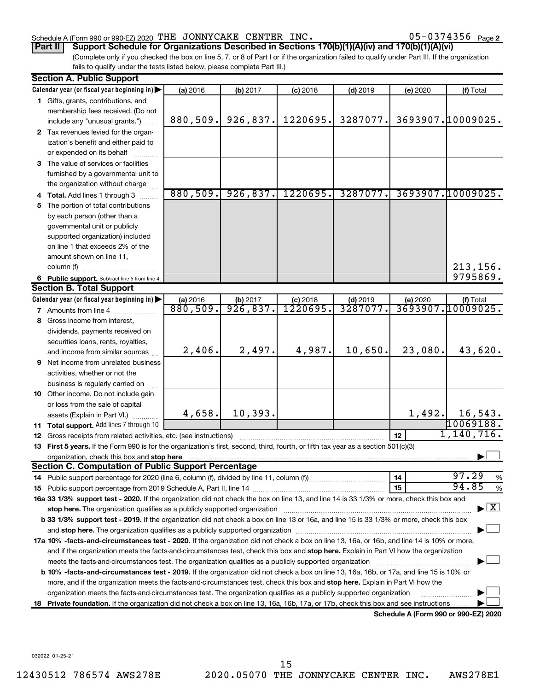#### Schedule A (Form 990 or 990-EZ) 2020 THE JONNYCAKE CENTER INC.  $05-0374356$  Page

05-0374356 <sub>Page 2</sub>

**Part II Support Schedule for Organizations Described in Sections 170(b)(1)(A)(iv) and 170(b)(1)(A)(vi)**

(Complete only if you checked the box on line 5, 7, or 8 of Part I or if the organization failed to qualify under Part III. If the organization fails to qualify under the tests listed below, please complete Part III.)

|    | <b>Section A. Public Support</b>                                                                                                                                                                                                                               |          |           |            |            |          |                                    |
|----|----------------------------------------------------------------------------------------------------------------------------------------------------------------------------------------------------------------------------------------------------------------|----------|-----------|------------|------------|----------|------------------------------------|
|    | Calendar year (or fiscal year beginning in)                                                                                                                                                                                                                    | (a) 2016 | (b) 2017  | $(c)$ 2018 | $(d)$ 2019 | (e) 2020 | (f) Total                          |
|    | 1 Gifts, grants, contributions, and                                                                                                                                                                                                                            |          |           |            |            |          |                                    |
|    | membership fees received. (Do not                                                                                                                                                                                                                              |          |           |            |            |          |                                    |
|    | include any "unusual grants.")                                                                                                                                                                                                                                 | 880,509. | 926, 837. | 1220695.   | 3287077.   |          | 3693907.10009025.                  |
|    | 2 Tax revenues levied for the organ-                                                                                                                                                                                                                           |          |           |            |            |          |                                    |
|    | ization's benefit and either paid to                                                                                                                                                                                                                           |          |           |            |            |          |                                    |
|    | or expended on its behalf                                                                                                                                                                                                                                      |          |           |            |            |          |                                    |
|    | 3 The value of services or facilities                                                                                                                                                                                                                          |          |           |            |            |          |                                    |
|    | furnished by a governmental unit to                                                                                                                                                                                                                            |          |           |            |            |          |                                    |
|    | the organization without charge                                                                                                                                                                                                                                |          |           |            |            |          |                                    |
|    | 4 Total. Add lines 1 through 3                                                                                                                                                                                                                                 | 880,509. | 926,837.  | 1220695.   | 3287077.   |          | 3693907.10009025.                  |
| 5. | The portion of total contributions                                                                                                                                                                                                                             |          |           |            |            |          |                                    |
|    | by each person (other than a                                                                                                                                                                                                                                   |          |           |            |            |          |                                    |
|    | governmental unit or publicly                                                                                                                                                                                                                                  |          |           |            |            |          |                                    |
|    | supported organization) included                                                                                                                                                                                                                               |          |           |            |            |          |                                    |
|    | on line 1 that exceeds 2% of the                                                                                                                                                                                                                               |          |           |            |            |          |                                    |
|    | amount shown on line 11,                                                                                                                                                                                                                                       |          |           |            |            |          |                                    |
|    | column (f)                                                                                                                                                                                                                                                     |          |           |            |            |          | 213,156.                           |
|    | 6 Public support. Subtract line 5 from line 4.                                                                                                                                                                                                                 |          |           |            |            |          | 9795869.                           |
|    | <b>Section B. Total Support</b>                                                                                                                                                                                                                                |          |           |            |            |          |                                    |
|    | Calendar year (or fiscal year beginning in)                                                                                                                                                                                                                    | (a) 2016 | (b) 2017  | $(c)$ 2018 | $(d)$ 2019 | (e) 2020 | (f) Total                          |
|    | <b>7</b> Amounts from line 4                                                                                                                                                                                                                                   | 880,509. | 926,837.  | 1220695.   | 3287077    |          | <u>3693907.10009025.</u>           |
|    | 8 Gross income from interest,                                                                                                                                                                                                                                  |          |           |            |            |          |                                    |
|    | dividends, payments received on                                                                                                                                                                                                                                |          |           |            |            |          |                                    |
|    | securities loans, rents, royalties,                                                                                                                                                                                                                            |          |           |            |            |          |                                    |
|    | and income from similar sources                                                                                                                                                                                                                                | 2,406.   | 2,497.    | 4,987.     | 10,650.    | 23,080.  | 43,620.                            |
|    | 9 Net income from unrelated business                                                                                                                                                                                                                           |          |           |            |            |          |                                    |
|    | activities, whether or not the                                                                                                                                                                                                                                 |          |           |            |            |          |                                    |
|    | business is regularly carried on                                                                                                                                                                                                                               |          |           |            |            |          |                                    |
|    | 10 Other income. Do not include gain                                                                                                                                                                                                                           |          |           |            |            |          |                                    |
|    | or loss from the sale of capital                                                                                                                                                                                                                               |          |           |            |            |          |                                    |
|    | assets (Explain in Part VI.)                                                                                                                                                                                                                                   | 4,658.   | 10, 393.  |            |            | 1,492.   | 16,543.                            |
|    | 11 Total support. Add lines 7 through 10                                                                                                                                                                                                                       |          |           |            |            |          | 10069188.                          |
|    | <b>12</b> Gross receipts from related activities, etc. (see instructions)                                                                                                                                                                                      |          |           |            |            | 12       | 1,140,716.                         |
|    | 13 First 5 years. If the Form 990 is for the organization's first, second, third, fourth, or fifth tax year as a section 501(c)(3)                                                                                                                             |          |           |            |            |          |                                    |
|    | organization, check this box and stop here                                                                                                                                                                                                                     |          |           |            |            |          |                                    |
|    | <b>Section C. Computation of Public Support Percentage</b>                                                                                                                                                                                                     |          |           |            |            |          |                                    |
|    |                                                                                                                                                                                                                                                                |          |           |            |            | 14       | 97.29<br>%<br>94.85                |
|    |                                                                                                                                                                                                                                                                |          |           |            |            | 15       | %                                  |
|    | 16a 33 1/3% support test - 2020. If the organization did not check the box on line 13, and line 14 is 33 1/3% or more, check this box and                                                                                                                      |          |           |            |            |          |                                    |
|    | stop here. The organization qualifies as a publicly supported organization                                                                                                                                                                                     |          |           |            |            |          | $\blacktriangleright$ $\mathbf{X}$ |
|    | b 33 1/3% support test - 2019. If the organization did not check a box on line 13 or 16a, and line 15 is 33 1/3% or more, check this box                                                                                                                       |          |           |            |            |          |                                    |
|    |                                                                                                                                                                                                                                                                |          |           |            |            |          |                                    |
|    | 17a 10% -facts-and-circumstances test - 2020. If the organization did not check a box on line 13, 16a, or 16b, and line 14 is 10% or more,                                                                                                                     |          |           |            |            |          |                                    |
|    | and if the organization meets the facts-and-circumstances test, check this box and stop here. Explain in Part VI how the organization                                                                                                                          |          |           |            |            |          |                                    |
|    | meets the facts-and-circumstances test. The organization qualifies as a publicly supported organization                                                                                                                                                        |          |           |            |            |          |                                    |
|    | b 10% -facts-and-circumstances test - 2019. If the organization did not check a box on line 13, 16a, 16b, or 17a, and line 15 is 10% or                                                                                                                        |          |           |            |            |          |                                    |
|    | more, and if the organization meets the facts-and-circumstances test, check this box and stop here. Explain in Part VI how the                                                                                                                                 |          |           |            |            |          |                                    |
|    |                                                                                                                                                                                                                                                                |          |           |            |            |          |                                    |
|    | organization meets the facts-and-circumstances test. The organization qualifies as a publicly supported organization<br>18 Private foundation. If the organization did not check a box on line 13, 16a, 16b, 17a, or 17b, check this box and see instructions. |          |           |            |            |          |                                    |

**Schedule A (Form 990 or 990-EZ) 2020**

032022 01-25-21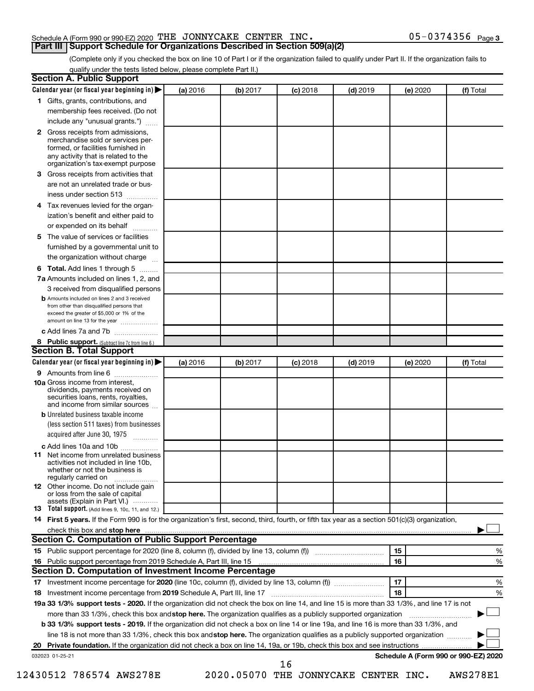#### Schedule A (Form 990 or 990-EZ) 2020 THE JONNYCAKE CENTER INC.  $05-0374356$  Page

(Complete only if you checked the box on line 10 of Part I or if the organization failed to qualify under Part II. If the organization fails to **Part III Support Schedule for Organizations Described in Section 509(a)(2)** 

qualify under the tests listed below, please complete Part II.)

| $\mathbf{2}$<br>3<br>4 | 1 Gifts, grants, contributions, and<br>membership fees received. (Do not<br>include any "unusual grants.")<br>Gross receipts from admissions,<br>merchandise sold or services per-<br>formed, or facilities furnished in<br>any activity that is related to the<br>organization's tax-exempt purpose |          |          |            |            |    |          |                                      |
|------------------------|------------------------------------------------------------------------------------------------------------------------------------------------------------------------------------------------------------------------------------------------------------------------------------------------------|----------|----------|------------|------------|----|----------|--------------------------------------|
|                        |                                                                                                                                                                                                                                                                                                      |          |          |            |            |    |          |                                      |
|                        |                                                                                                                                                                                                                                                                                                      |          |          |            |            |    |          |                                      |
|                        |                                                                                                                                                                                                                                                                                                      |          |          |            |            |    |          |                                      |
|                        |                                                                                                                                                                                                                                                                                                      |          |          |            |            |    |          |                                      |
|                        | Gross receipts from activities that                                                                                                                                                                                                                                                                  |          |          |            |            |    |          |                                      |
|                        | are not an unrelated trade or bus-                                                                                                                                                                                                                                                                   |          |          |            |            |    |          |                                      |
|                        | iness under section 513                                                                                                                                                                                                                                                                              |          |          |            |            |    |          |                                      |
|                        | Tax revenues levied for the organ-                                                                                                                                                                                                                                                                   |          |          |            |            |    |          |                                      |
|                        | ization's benefit and either paid to<br>or expended on its behalf<br>.                                                                                                                                                                                                                               |          |          |            |            |    |          |                                      |
| 5                      | The value of services or facilities                                                                                                                                                                                                                                                                  |          |          |            |            |    |          |                                      |
|                        | furnished by a governmental unit to<br>the organization without charge                                                                                                                                                                                                                               |          |          |            |            |    |          |                                      |
|                        | Total. Add lines 1 through 5                                                                                                                                                                                                                                                                         |          |          |            |            |    |          |                                      |
| 6                      | 7a Amounts included on lines 1, 2, and                                                                                                                                                                                                                                                               |          |          |            |            |    |          |                                      |
|                        | 3 received from disqualified persons                                                                                                                                                                                                                                                                 |          |          |            |            |    |          |                                      |
|                        | <b>b</b> Amounts included on lines 2 and 3 received                                                                                                                                                                                                                                                  |          |          |            |            |    |          |                                      |
|                        | from other than disqualified persons that<br>exceed the greater of \$5,000 or 1% of the<br>amount on line 13 for the year                                                                                                                                                                            |          |          |            |            |    |          |                                      |
|                        | c Add lines 7a and 7b                                                                                                                                                                                                                                                                                |          |          |            |            |    |          |                                      |
|                        | 8 Public support. (Subtract line 7c from line 6.)                                                                                                                                                                                                                                                    |          |          |            |            |    |          |                                      |
|                        | <b>Section B. Total Support</b>                                                                                                                                                                                                                                                                      |          |          |            |            |    |          |                                      |
|                        | Calendar year (or fiscal year beginning in)                                                                                                                                                                                                                                                          | (a) 2016 | (b) 2017 | $(c)$ 2018 | $(d)$ 2019 |    | (e) 2020 | (f) Total                            |
|                        | 9 Amounts from line 6                                                                                                                                                                                                                                                                                |          |          |            |            |    |          |                                      |
|                        | <b>10a</b> Gross income from interest,<br>dividends, payments received on<br>securities loans, rents, royalties,<br>and income from similar sources                                                                                                                                                  |          |          |            |            |    |          |                                      |
|                        | <b>b</b> Unrelated business taxable income                                                                                                                                                                                                                                                           |          |          |            |            |    |          |                                      |
|                        | (less section 511 taxes) from businesses<br>acquired after June 30, 1975                                                                                                                                                                                                                             |          |          |            |            |    |          |                                      |
|                        | c Add lines 10a and 10b                                                                                                                                                                                                                                                                              |          |          |            |            |    |          |                                      |
| 11                     | Net income from unrelated business<br>activities not included in line 10b.<br>whether or not the business is<br>regularly carried on                                                                                                                                                                 |          |          |            |            |    |          |                                      |
|                        | <b>12</b> Other income. Do not include gain<br>or loss from the sale of capital<br>assets (Explain in Part VI.)                                                                                                                                                                                      |          |          |            |            |    |          |                                      |
|                        | 13 Total support. (Add lines 9, 10c, 11, and 12.)                                                                                                                                                                                                                                                    |          |          |            |            |    |          |                                      |
|                        | 14 First 5 years. If the Form 990 is for the organization's first, second, third, fourth, or fifth tax year as a section 501(c)(3) organization,                                                                                                                                                     |          |          |            |            |    |          |                                      |
|                        |                                                                                                                                                                                                                                                                                                      |          |          |            |            |    |          |                                      |
|                        | <b>Section C. Computation of Public Support Percentage</b>                                                                                                                                                                                                                                           |          |          |            |            |    |          |                                      |
|                        |                                                                                                                                                                                                                                                                                                      |          |          |            |            | 15 |          | %                                    |
|                        |                                                                                                                                                                                                                                                                                                      |          |          |            |            | 16 |          | %                                    |
|                        | Section D. Computation of Investment Income Percentage                                                                                                                                                                                                                                               |          |          |            |            |    |          |                                      |
|                        |                                                                                                                                                                                                                                                                                                      |          |          |            |            | 17 |          | %                                    |
|                        |                                                                                                                                                                                                                                                                                                      |          |          |            |            | 18 |          | %                                    |
|                        | 19a 33 1/3% support tests - 2020. If the organization did not check the box on line 14, and line 15 is more than 33 1/3%, and line 17 is not                                                                                                                                                         |          |          |            |            |    |          |                                      |
|                        | more than 33 1/3%, check this box and stop here. The organization qualifies as a publicly supported organization                                                                                                                                                                                     |          |          |            |            |    |          |                                      |
|                        | <b>b 33 1/3% support tests - 2019.</b> If the organization did not check a box on line 14 or line 19a, and line 16 is more than 33 1/3%, and                                                                                                                                                         |          |          |            |            |    |          |                                      |
|                        | line 18 is not more than 33 1/3%, check this box and stop here. The organization qualifies as a publicly supported organization                                                                                                                                                                      |          |          |            |            |    |          |                                      |
|                        |                                                                                                                                                                                                                                                                                                      |          |          |            |            |    |          |                                      |
|                        | 032023 01-25-21                                                                                                                                                                                                                                                                                      |          |          | 16         |            |    |          | Schedule A (Form 990 or 990-EZ) 2020 |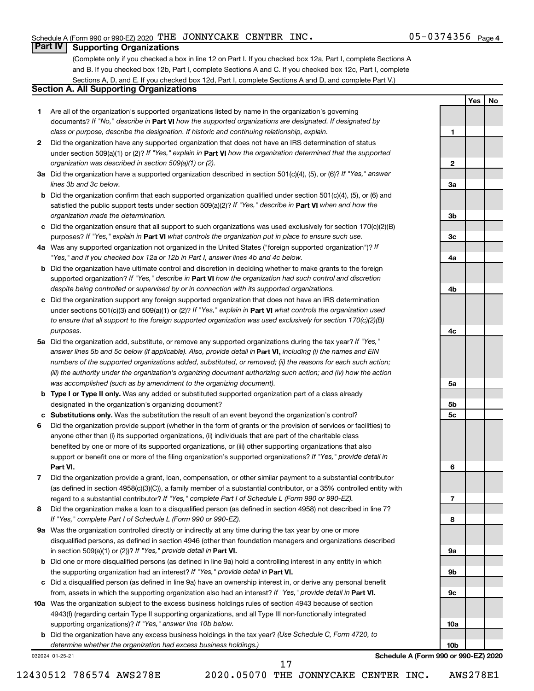**1**

**2**

**3a**

**3b**

**3c**

**4a**

**4b**

**4c**

**5a**

**5b 5c**

**6**

**7**

**8**

**9a**

**9b**

**9c**

**10a**

**10b**

**Yes No**

#### **Part IV Supporting Organizations**

(Complete only if you checked a box in line 12 on Part I. If you checked box 12a, Part I, complete Sections A and B. If you checked box 12b, Part I, complete Sections A and C. If you checked box 12c, Part I, complete Sections A, D, and E. If you checked box 12d, Part I, complete Sections A and D, and complete Part V.)

#### **Section A. All Supporting Organizations**

- **1** Are all of the organization's supported organizations listed by name in the organization's governing documents? If "No," describe in Part VI how the supported organizations are designated. If designated by *class or purpose, describe the designation. If historic and continuing relationship, explain.*
- **2** Did the organization have any supported organization that does not have an IRS determination of status under section 509(a)(1) or (2)? If "Yes," explain in Part **VI** how the organization determined that the supported *organization was described in section 509(a)(1) or (2).*
- **3a** Did the organization have a supported organization described in section 501(c)(4), (5), or (6)? If "Yes," answer *lines 3b and 3c below.*
- **b** Did the organization confirm that each supported organization qualified under section 501(c)(4), (5), or (6) and satisfied the public support tests under section 509(a)(2)? If "Yes," describe in Part VI when and how the *organization made the determination.*
- **c** Did the organization ensure that all support to such organizations was used exclusively for section 170(c)(2)(B) purposes? If "Yes," explain in Part VI what controls the organization put in place to ensure such use.
- **4 a** *If* Was any supported organization not organized in the United States ("foreign supported organization")? *"Yes," and if you checked box 12a or 12b in Part I, answer lines 4b and 4c below.*
- **b** Did the organization have ultimate control and discretion in deciding whether to make grants to the foreign supported organization? If "Yes," describe in Part VI how the organization had such control and discretion *despite being controlled or supervised by or in connection with its supported organizations.*
- **c** Did the organization support any foreign supported organization that does not have an IRS determination under sections 501(c)(3) and 509(a)(1) or (2)? If "Yes," explain in Part VI what controls the organization used *to ensure that all support to the foreign supported organization was used exclusively for section 170(c)(2)(B) purposes.*
- **5a** Did the organization add, substitute, or remove any supported organizations during the tax year? If "Yes," answer lines 5b and 5c below (if applicable). Also, provide detail in **Part VI,** including (i) the names and EIN *numbers of the supported organizations added, substituted, or removed; (ii) the reasons for each such action; (iii) the authority under the organization's organizing document authorizing such action; and (iv) how the action was accomplished (such as by amendment to the organizing document).*
- **b Type I or Type II only.** Was any added or substituted supported organization part of a class already designated in the organization's organizing document?
- **c Substitutions only.**  Was the substitution the result of an event beyond the organization's control?
- **6** Did the organization provide support (whether in the form of grants or the provision of services or facilities) to **Part VI.** support or benefit one or more of the filing organization's supported organizations? If "Yes," provide detail in anyone other than (i) its supported organizations, (ii) individuals that are part of the charitable class benefited by one or more of its supported organizations, or (iii) other supporting organizations that also
- **7** Did the organization provide a grant, loan, compensation, or other similar payment to a substantial contributor regard to a substantial contributor? If "Yes," complete Part I of Schedule L (Form 990 or 990-EZ). (as defined in section 4958(c)(3)(C)), a family member of a substantial contributor, or a 35% controlled entity with
- **8** Did the organization make a loan to a disqualified person (as defined in section 4958) not described in line 7? *If "Yes," complete Part I of Schedule L (Form 990 or 990-EZ).*
- **9 a** Was the organization controlled directly or indirectly at any time during the tax year by one or more in section 509(a)(1) or (2))? If "Yes," provide detail in **Part VI.** disqualified persons, as defined in section 4946 (other than foundation managers and organizations described
- **b** Did one or more disqualified persons (as defined in line 9a) hold a controlling interest in any entity in which the supporting organization had an interest? If "Yes," provide detail in Part VI.
- **c** Did a disqualified person (as defined in line 9a) have an ownership interest in, or derive any personal benefit from, assets in which the supporting organization also had an interest? If "Yes," provide detail in Part VI.
- **10 a** Was the organization subject to the excess business holdings rules of section 4943 because of section supporting organizations)? If "Yes," answer line 10b below. 4943(f) (regarding certain Type II supporting organizations, and all Type III non-functionally integrated
	- **b** Did the organization have any excess business holdings in the tax year? (Use Schedule C, Form 4720, to *determine whether the organization had excess business holdings.)*

032024 01-25-21

**Schedule A (Form 990 or 990-EZ) 2020**

12430512 786574 AWS278E 2020.05070 THE JONNYCAKE CENTER INC. AWS278E1

17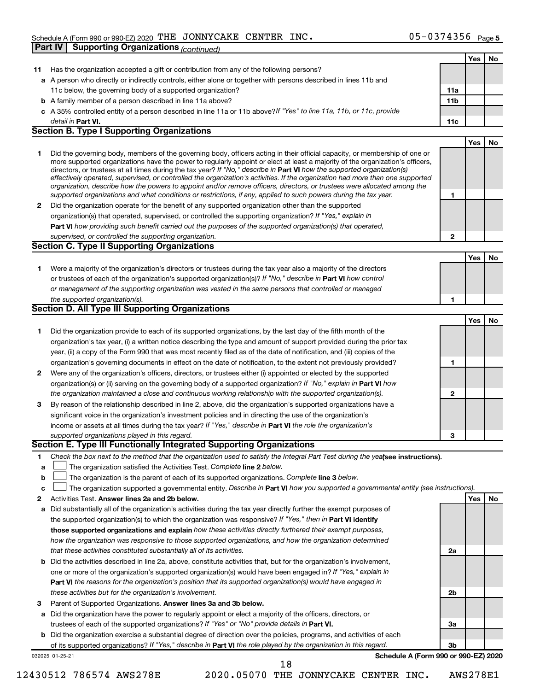#### Schedule A (Form 990 or 990-EZ) 2020 THE JONNYCAKE CENTER INC.  $05-0374356$  Page **Part IV Supporting Organizations** *(continued)*

|              |                                                                                                                                                                                                                                                            |              | Yes        | No  |
|--------------|------------------------------------------------------------------------------------------------------------------------------------------------------------------------------------------------------------------------------------------------------------|--------------|------------|-----|
| 11.          | Has the organization accepted a gift or contribution from any of the following persons?                                                                                                                                                                    |              |            |     |
|              | a A person who directly or indirectly controls, either alone or together with persons described in lines 11b and                                                                                                                                           |              |            |     |
|              | 11c below, the governing body of a supported organization?                                                                                                                                                                                                 | 11a          |            |     |
|              | <b>b</b> A family member of a person described in line 11a above?                                                                                                                                                                                          | 11b          |            |     |
|              | c A 35% controlled entity of a person described in line 11a or 11b above? If "Yes" to line 11a, 11b, or 11c, provide                                                                                                                                       |              |            |     |
|              | detail in <b>Part VI.</b>                                                                                                                                                                                                                                  | 11c          |            |     |
|              | <b>Section B. Type I Supporting Organizations</b>                                                                                                                                                                                                          |              |            |     |
|              |                                                                                                                                                                                                                                                            |              | <b>Yes</b> | No  |
| 1            | Did the governing body, members of the governing body, officers acting in their official capacity, or membership of one or                                                                                                                                 |              |            |     |
|              | more supported organizations have the power to regularly appoint or elect at least a majority of the organization's officers,                                                                                                                              |              |            |     |
|              | directors, or trustees at all times during the tax year? If "No," describe in Part VI how the supported organization(s)                                                                                                                                    |              |            |     |
|              | effectively operated, supervised, or controlled the organization's activities. If the organization had more than one supported<br>organization, describe how the powers to appoint and/or remove officers, directors, or trustees were allocated among the |              |            |     |
|              | supported organizations and what conditions or restrictions, if any, applied to such powers during the tax year.                                                                                                                                           | 1            |            |     |
| $\mathbf{2}$ | Did the organization operate for the benefit of any supported organization other than the supported                                                                                                                                                        |              |            |     |
|              | organization(s) that operated, supervised, or controlled the supporting organization? If "Yes," explain in                                                                                                                                                 |              |            |     |
|              | Part VI how providing such benefit carried out the purposes of the supported organization(s) that operated,                                                                                                                                                |              |            |     |
|              | supervised, or controlled the supporting organization.                                                                                                                                                                                                     | $\mathbf{2}$ |            |     |
|              | Section C. Type II Supporting Organizations                                                                                                                                                                                                                |              |            |     |
|              |                                                                                                                                                                                                                                                            |              | <b>Yes</b> | No  |
| 1.           | Were a majority of the organization's directors or trustees during the tax year also a majority of the directors                                                                                                                                           |              |            |     |
|              | or trustees of each of the organization's supported organization(s)? If "No," describe in Part VI how control                                                                                                                                              |              |            |     |
|              | or management of the supporting organization was vested in the same persons that controlled or managed                                                                                                                                                     |              |            |     |
|              | the supported organization(s).                                                                                                                                                                                                                             | 1            |            |     |
|              | Section D. All Type III Supporting Organizations                                                                                                                                                                                                           |              |            |     |
|              |                                                                                                                                                                                                                                                            |              | <b>Yes</b> | No. |
| 1            | Did the organization provide to each of its supported organizations, by the last day of the fifth month of the                                                                                                                                             |              |            |     |
|              | organization's tax year, (i) a written notice describing the type and amount of support provided during the prior tax                                                                                                                                      |              |            |     |
|              | year, (ii) a copy of the Form 990 that was most recently filed as of the date of notification, and (iii) copies of the                                                                                                                                     |              |            |     |
|              | organization's governing documents in effect on the date of notification, to the extent not previously provided?                                                                                                                                           | 1            |            |     |
| 2            | Were any of the organization's officers, directors, or trustees either (i) appointed or elected by the supported                                                                                                                                           |              |            |     |
|              | organization(s) or (ii) serving on the governing body of a supported organization? If "No," explain in Part VI how                                                                                                                                         |              |            |     |
|              | the organization maintained a close and continuous working relationship with the supported organization(s).                                                                                                                                                | $\mathbf{2}$ |            |     |
| 3            | By reason of the relationship described in line 2, above, did the organization's supported organizations have a                                                                                                                                            |              |            |     |
|              | significant voice in the organization's investment policies and in directing the use of the organization's                                                                                                                                                 |              |            |     |
|              | income or assets at all times during the tax year? If "Yes," describe in Part VI the role the organization's                                                                                                                                               |              |            |     |
|              | supported organizations played in this regard.                                                                                                                                                                                                             | З            |            |     |
|              | Section E. Type III Functionally Integrated Supporting Organizations                                                                                                                                                                                       |              |            |     |
| 1            | Check the box next to the method that the organization used to satisfy the Integral Part Test during the yealsee instructions).                                                                                                                            |              |            |     |
| а            | The organization satisfied the Activities Test. Complete line 2 below.                                                                                                                                                                                     |              |            |     |
| b            | The organization is the parent of each of its supported organizations. Complete line 3 below.                                                                                                                                                              |              |            |     |
| с            | The organization supported a governmental entity. Describe in Part VI how you supported a governmental entity (see instructions).                                                                                                                          |              |            |     |
| 2            | Activities Test. Answer lines 2a and 2b below.                                                                                                                                                                                                             |              | Yes        | No  |
| а            | Did substantially all of the organization's activities during the tax year directly further the exempt purposes of                                                                                                                                         |              |            |     |
|              | the supported organization(s) to which the organization was responsive? If "Yes," then in Part VI identify                                                                                                                                                 |              |            |     |
|              | those supported organizations and explain how these activities directly furthered their exempt purposes,                                                                                                                                                   |              |            |     |
|              | how the organization was responsive to those supported organizations, and how the organization determined                                                                                                                                                  |              |            |     |
|              | that these activities constituted substantially all of its activities.                                                                                                                                                                                     | 2a           |            |     |
|              | <b>b</b> Did the activities described in line 2a, above, constitute activities that, but for the organization's involvement,                                                                                                                               |              |            |     |
|              | one or more of the organization's supported organization(s) would have been engaged in? If "Yes," explain in                                                                                                                                               |              |            |     |
|              | <b>Part VI</b> the reasons for the organization's position that its supported organization(s) would have engaged in                                                                                                                                        |              |            |     |
|              | these activities but for the organization's involvement.                                                                                                                                                                                                   | 2b           |            |     |
| 3            | Parent of Supported Organizations. Answer lines 3a and 3b below.                                                                                                                                                                                           |              |            |     |
|              | a Did the organization have the power to regularly appoint or elect a majority of the officers, directors, or                                                                                                                                              |              |            |     |
|              | trustees of each of the supported organizations? If "Yes" or "No" provide details in Part VI.                                                                                                                                                              | За           |            |     |
|              | <b>b</b> Did the organization exercise a substantial degree of direction over the policies, programs, and activities of each                                                                                                                               |              |            |     |
|              | of its supported organizations? If "Yes," describe in Part VI the role played by the organization in this regard.                                                                                                                                          | 3b           |            |     |
|              | Schedule A (Form 990 or 990-EZ) 2020<br>032025 01-25-21<br>18                                                                                                                                                                                              |              |            |     |
|              |                                                                                                                                                                                                                                                            |              |            |     |

<sup>12430512 786574</sup> AWS278E 2020.05070 THE JONNYCAKE CENTER INC. AWS278E1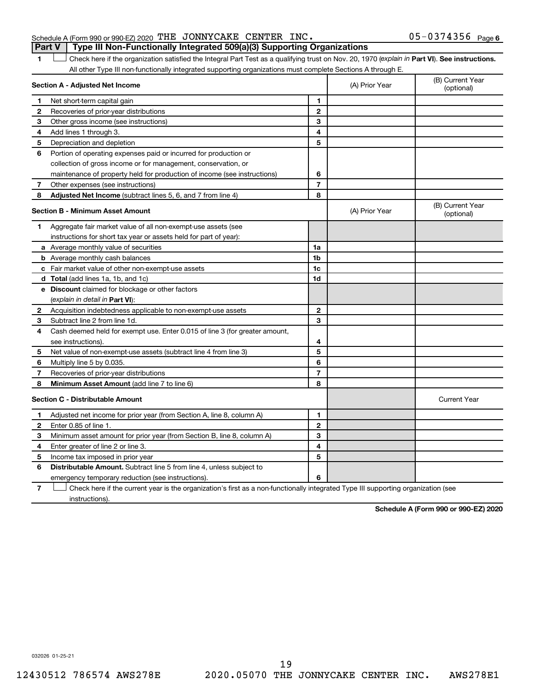#### Schedule A (Form 990 or 990-EZ) 2020 THE JONNYCAKE CENTER INC.  $05-0374356$  Page **Part V Type III Non-Functionally Integrated 509(a)(3) Supporting Organizations**

1 **Letter See instructions.** Check here if the organization satisfied the Integral Part Test as a qualifying trust on Nov. 20, 1970 (*explain in* Part **VI**). See instructions. All other Type III non-functionally integrated supporting organizations must complete Sections A through E.

|    | Section A - Adjusted Net Income                                                                                                   | (A) Prior Year | (B) Current Year<br>(optional) |                                |
|----|-----------------------------------------------------------------------------------------------------------------------------------|----------------|--------------------------------|--------------------------------|
| 1  | Net short-term capital gain                                                                                                       | 1              |                                |                                |
| 2  | Recoveries of prior-year distributions                                                                                            | $\mathbf{2}$   |                                |                                |
| З  | Other gross income (see instructions)                                                                                             | З              |                                |                                |
| 4  | Add lines 1 through 3.                                                                                                            | 4              |                                |                                |
| 5  | Depreciation and depletion                                                                                                        | 5              |                                |                                |
| 6  | Portion of operating expenses paid or incurred for production or                                                                  |                |                                |                                |
|    | collection of gross income or for management, conservation, or                                                                    |                |                                |                                |
|    | maintenance of property held for production of income (see instructions)                                                          | 6              |                                |                                |
| 7  | Other expenses (see instructions)                                                                                                 | $\overline{7}$ |                                |                                |
| 8  | Adjusted Net Income (subtract lines 5, 6, and 7 from line 4)                                                                      | 8              |                                |                                |
|    | <b>Section B - Minimum Asset Amount</b>                                                                                           |                | (A) Prior Year                 | (B) Current Year<br>(optional) |
| 1  | Aggregate fair market value of all non-exempt-use assets (see                                                                     |                |                                |                                |
|    | instructions for short tax year or assets held for part of year):                                                                 |                |                                |                                |
|    | a Average monthly value of securities                                                                                             | 1a             |                                |                                |
|    | <b>b</b> Average monthly cash balances                                                                                            | 1 <sub>b</sub> |                                |                                |
|    | c Fair market value of other non-exempt-use assets                                                                                | 1c             |                                |                                |
|    | d Total (add lines 1a, 1b, and 1c)                                                                                                | 1d             |                                |                                |
|    | e Discount claimed for blockage or other factors                                                                                  |                |                                |                                |
|    | (explain in detail in <b>Part VI</b> ):                                                                                           |                |                                |                                |
| 2  | Acquisition indebtedness applicable to non-exempt-use assets                                                                      | $\mathbf{2}$   |                                |                                |
| 3  | Subtract line 2 from line 1d.                                                                                                     | 3              |                                |                                |
| 4  | Cash deemed held for exempt use. Enter 0.015 of line 3 (for greater amount,                                                       |                |                                |                                |
|    | see instructions).                                                                                                                | 4              |                                |                                |
| 5  | Net value of non-exempt-use assets (subtract line 4 from line 3)                                                                  | 5              |                                |                                |
| 6  | Multiply line 5 by 0.035.                                                                                                         | 6              |                                |                                |
| 7  | Recoveries of prior-year distributions                                                                                            | $\overline{7}$ |                                |                                |
| 8  | Minimum Asset Amount (add line 7 to line 6)                                                                                       | 8              |                                |                                |
|    | <b>Section C - Distributable Amount</b>                                                                                           |                |                                | <b>Current Year</b>            |
| 1. | Adjusted net income for prior year (from Section A, line 8, column A)                                                             | 1              |                                |                                |
| 2  | Enter 0.85 of line 1.                                                                                                             | $\overline{2}$ |                                |                                |
| з  | Minimum asset amount for prior year (from Section B, line 8, column A)                                                            | 3              |                                |                                |
| 4  | Enter greater of line 2 or line 3.                                                                                                | 4              |                                |                                |
| 5  | Income tax imposed in prior year                                                                                                  | 5              |                                |                                |
| 6  | <b>Distributable Amount.</b> Subtract line 5 from line 4, unless subject to                                                       |                |                                |                                |
|    | emergency temporary reduction (see instructions).                                                                                 | 6              |                                |                                |
| 7  | Check here if the current year is the organization's first as a non-functionally integrated Type III supporting organization (see |                |                                |                                |

instructions).

**Schedule A (Form 990 or 990-EZ) 2020**

032026 01-25-21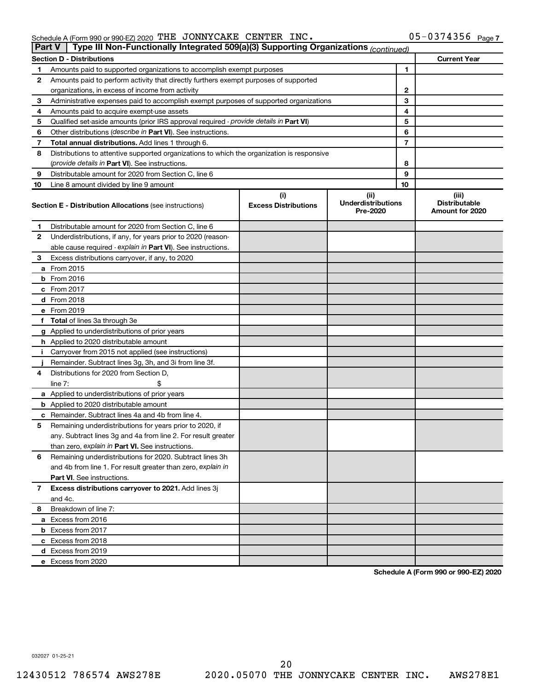#### Schedule A (Form 990 or 990-EZ) 2020 THE JONNYCAKE CENTER INC . USING MILL BELL ON STATER Page THE JONNYCAKE CENTER INC. 05-0374356

| Part V | Type III Non-Functionally Integrated 509(a)(3) Supporting Organizations (continued)        |                                    |                                               |    |                                                  |
|--------|--------------------------------------------------------------------------------------------|------------------------------------|-----------------------------------------------|----|--------------------------------------------------|
|        | <b>Section D - Distributions</b>                                                           |                                    |                                               |    | <b>Current Year</b>                              |
| 1      | Amounts paid to supported organizations to accomplish exempt purposes                      |                                    | 1                                             |    |                                                  |
| 2      | Amounts paid to perform activity that directly furthers exempt purposes of supported       |                                    |                                               |    |                                                  |
|        | organizations, in excess of income from activity                                           |                                    |                                               | 2  |                                                  |
| 3      | Administrative expenses paid to accomplish exempt purposes of supported organizations      |                                    |                                               | 3  |                                                  |
| 4      | Amounts paid to acquire exempt-use assets                                                  |                                    |                                               | 4  |                                                  |
| 5      | Qualified set-aside amounts (prior IRS approval required - provide details in Part VI)     |                                    |                                               | 5  |                                                  |
| 6      | Other distributions (describe in Part VI). See instructions.                               |                                    |                                               | 6  |                                                  |
| 7      | Total annual distributions. Add lines 1 through 6.                                         |                                    |                                               | 7  |                                                  |
| 8      | Distributions to attentive supported organizations to which the organization is responsive |                                    |                                               |    |                                                  |
|        | ( <i>provide details in Part VI</i> ). See instructions.                                   |                                    |                                               | 8  |                                                  |
| 9      | Distributable amount for 2020 from Section C, line 6                                       |                                    |                                               | 9  |                                                  |
| 10     | Line 8 amount divided by line 9 amount                                                     |                                    |                                               | 10 |                                                  |
|        | <b>Section E - Distribution Allocations (see instructions)</b>                             | (i)<br><b>Excess Distributions</b> | (ii)<br><b>Underdistributions</b><br>Pre-2020 |    | (iii)<br><b>Distributable</b><br>Amount for 2020 |
| 1      | Distributable amount for 2020 from Section C, line 6                                       |                                    |                                               |    |                                                  |
| 2      | Underdistributions, if any, for years prior to 2020 (reason-                               |                                    |                                               |    |                                                  |
|        | able cause required - explain in Part VI). See instructions.                               |                                    |                                               |    |                                                  |
| З      | Excess distributions carryover, if any, to 2020                                            |                                    |                                               |    |                                                  |
|        | a From 2015                                                                                |                                    |                                               |    |                                                  |
|        | $b$ From 2016                                                                              |                                    |                                               |    |                                                  |
|        | c From 2017                                                                                |                                    |                                               |    |                                                  |
|        | <b>d</b> From 2018                                                                         |                                    |                                               |    |                                                  |
|        | e From 2019                                                                                |                                    |                                               |    |                                                  |
|        | f Total of lines 3a through 3e                                                             |                                    |                                               |    |                                                  |
|        | g Applied to underdistributions of prior years                                             |                                    |                                               |    |                                                  |
|        | <b>h</b> Applied to 2020 distributable amount                                              |                                    |                                               |    |                                                  |
| Ť.     | Carryover from 2015 not applied (see instructions)                                         |                                    |                                               |    |                                                  |
|        | Remainder. Subtract lines 3g, 3h, and 3i from line 3f.                                     |                                    |                                               |    |                                                  |
| 4      | Distributions for 2020 from Section D,                                                     |                                    |                                               |    |                                                  |
|        | line 7:                                                                                    |                                    |                                               |    |                                                  |
|        | a Applied to underdistributions of prior years                                             |                                    |                                               |    |                                                  |
|        | <b>b</b> Applied to 2020 distributable amount                                              |                                    |                                               |    |                                                  |
|        | c Remainder. Subtract lines 4a and 4b from line 4.                                         |                                    |                                               |    |                                                  |
| 5      | Remaining underdistributions for years prior to 2020, if                                   |                                    |                                               |    |                                                  |
|        | any. Subtract lines 3g and 4a from line 2. For result greater                              |                                    |                                               |    |                                                  |
|        | than zero, explain in Part VI. See instructions.                                           |                                    |                                               |    |                                                  |
| 6      | Remaining underdistributions for 2020. Subtract lines 3h                                   |                                    |                                               |    |                                                  |
|        | and 4b from line 1. For result greater than zero, explain in                               |                                    |                                               |    |                                                  |
|        | <b>Part VI.</b> See instructions.                                                          |                                    |                                               |    |                                                  |
| 7      | Excess distributions carryover to 2021. Add lines 3j                                       |                                    |                                               |    |                                                  |
|        | and 4c.                                                                                    |                                    |                                               |    |                                                  |
| 8      | Breakdown of line 7:                                                                       |                                    |                                               |    |                                                  |
|        | a Excess from 2016                                                                         |                                    |                                               |    |                                                  |
|        | <b>b</b> Excess from 2017                                                                  |                                    |                                               |    |                                                  |
|        | c Excess from 2018                                                                         |                                    |                                               |    |                                                  |
|        | d Excess from 2019                                                                         |                                    |                                               |    |                                                  |
|        | e Excess from 2020                                                                         |                                    |                                               |    |                                                  |

**Schedule A (Form 990 or 990-EZ) 2020**

032027 01-25-21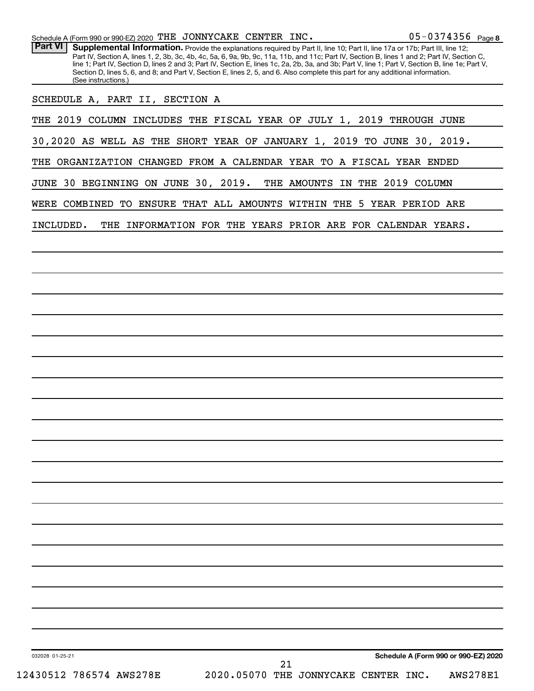| Schedule A (Form 990 or 990-EZ) 2020 THE JONNYCAKE CENTER INC.                                                                                                                                                                                                                                                                                                                                                                                                                                                                                                                                                |                                            |                                                             | $05 - 0374356$ Page 8 |
|---------------------------------------------------------------------------------------------------------------------------------------------------------------------------------------------------------------------------------------------------------------------------------------------------------------------------------------------------------------------------------------------------------------------------------------------------------------------------------------------------------------------------------------------------------------------------------------------------------------|--------------------------------------------|-------------------------------------------------------------|-----------------------|
| <b>Part VI</b><br>Supplemental Information. Provide the explanations required by Part II, line 10; Part II, line 17a or 17b; Part III, line 12;<br>Part IV, Section A, lines 1, 2, 3b, 3c, 4b, 4c, 5a, 6, 9a, 9b, 9c, 11a, 11b, and 11c; Part IV, Section B, lines 1 and 2; Part IV, Section C,<br>line 1; Part IV, Section D, lines 2 and 3; Part IV, Section E, lines 1c, 2a, 2b, 3a, and 3b; Part V, line 1; Part V, Section B, line 1e; Part V,<br>Section D, lines 5, 6, and 8; and Part V, Section E, lines 2, 5, and 6. Also complete this part for any additional information.<br>(See instructions.) |                                            |                                                             |                       |
| SCHEDULE A, PART II, SECTION A                                                                                                                                                                                                                                                                                                                                                                                                                                                                                                                                                                                |                                            |                                                             |                       |
| THE 2019 COLUMN INCLUDES THE FISCAL YEAR OF JULY 1, 2019 THROUGH JUNE                                                                                                                                                                                                                                                                                                                                                                                                                                                                                                                                         |                                            |                                                             |                       |
| 30,2020 AS WELL AS THE SHORT YEAR OF JANUARY 1, 2019 TO JUNE 30, 2019.                                                                                                                                                                                                                                                                                                                                                                                                                                                                                                                                        |                                            |                                                             |                       |
| THE ORGANIZATION CHANGED FROM A CALENDAR YEAR TO A FISCAL YEAR ENDED                                                                                                                                                                                                                                                                                                                                                                                                                                                                                                                                          |                                            |                                                             |                       |
| JUNE 30 BEGINNING ON JUNE 30, 2019.                                                                                                                                                                                                                                                                                                                                                                                                                                                                                                                                                                           |                                            | THE AMOUNTS IN THE 2019 COLUMN                              |                       |
| WERE COMBINED TO ENSURE THAT ALL AMOUNTS WITHIN THE 5 YEAR PERIOD ARE                                                                                                                                                                                                                                                                                                                                                                                                                                                                                                                                         |                                            |                                                             |                       |
| INCLUDED.                                                                                                                                                                                                                                                                                                                                                                                                                                                                                                                                                                                                     |                                            | THE INFORMATION FOR THE YEARS PRIOR ARE FOR CALENDAR YEARS. |                       |
|                                                                                                                                                                                                                                                                                                                                                                                                                                                                                                                                                                                                               |                                            |                                                             |                       |
|                                                                                                                                                                                                                                                                                                                                                                                                                                                                                                                                                                                                               |                                            |                                                             |                       |
|                                                                                                                                                                                                                                                                                                                                                                                                                                                                                                                                                                                                               |                                            |                                                             |                       |
|                                                                                                                                                                                                                                                                                                                                                                                                                                                                                                                                                                                                               |                                            |                                                             |                       |
|                                                                                                                                                                                                                                                                                                                                                                                                                                                                                                                                                                                                               |                                            |                                                             |                       |
|                                                                                                                                                                                                                                                                                                                                                                                                                                                                                                                                                                                                               |                                            |                                                             |                       |
|                                                                                                                                                                                                                                                                                                                                                                                                                                                                                                                                                                                                               |                                            |                                                             |                       |
|                                                                                                                                                                                                                                                                                                                                                                                                                                                                                                                                                                                                               |                                            |                                                             |                       |
|                                                                                                                                                                                                                                                                                                                                                                                                                                                                                                                                                                                                               |                                            |                                                             |                       |
|                                                                                                                                                                                                                                                                                                                                                                                                                                                                                                                                                                                                               |                                            |                                                             |                       |
|                                                                                                                                                                                                                                                                                                                                                                                                                                                                                                                                                                                                               |                                            |                                                             |                       |
|                                                                                                                                                                                                                                                                                                                                                                                                                                                                                                                                                                                                               |                                            |                                                             |                       |
|                                                                                                                                                                                                                                                                                                                                                                                                                                                                                                                                                                                                               |                                            |                                                             |                       |
|                                                                                                                                                                                                                                                                                                                                                                                                                                                                                                                                                                                                               |                                            |                                                             |                       |
|                                                                                                                                                                                                                                                                                                                                                                                                                                                                                                                                                                                                               |                                            |                                                             |                       |
|                                                                                                                                                                                                                                                                                                                                                                                                                                                                                                                                                                                                               |                                            |                                                             |                       |
|                                                                                                                                                                                                                                                                                                                                                                                                                                                                                                                                                                                                               |                                            |                                                             |                       |
|                                                                                                                                                                                                                                                                                                                                                                                                                                                                                                                                                                                                               |                                            |                                                             |                       |
|                                                                                                                                                                                                                                                                                                                                                                                                                                                                                                                                                                                                               |                                            |                                                             |                       |
|                                                                                                                                                                                                                                                                                                                                                                                                                                                                                                                                                                                                               |                                            |                                                             |                       |
| 032028 01-25-21                                                                                                                                                                                                                                                                                                                                                                                                                                                                                                                                                                                               |                                            | Schedule A (Form 990 or 990-EZ) 2020                        |                       |
| 12430512 786574 AWS278E                                                                                                                                                                                                                                                                                                                                                                                                                                                                                                                                                                                       | 21<br>2020.05070 THE JONNYCAKE CENTER INC. |                                                             | <b>AWS278E1</b>       |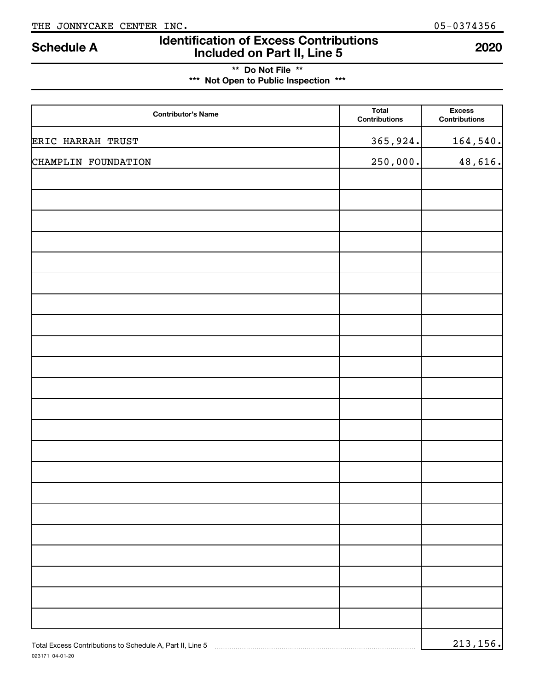023171 04-01-20

# **Identification of Excess Contributions Included on Part II, Line 5 Schedule A <sup>2020</sup>**

**\*\* Do Not File \*\* \*\*\* Not Open to Public Inspection \*\*\***

| <b>Contributor's Name</b>                                 | <b>Total</b><br>Contributions | <b>Excess</b><br><b>Contributions</b> |
|-----------------------------------------------------------|-------------------------------|---------------------------------------|
| ERIC HARRAH TRUST                                         | 365,924.                      | 164,540.                              |
| CHAMPLIN FOUNDATION                                       | 250,000.                      | 48,616.                               |
|                                                           |                               |                                       |
|                                                           |                               |                                       |
|                                                           |                               |                                       |
|                                                           |                               |                                       |
|                                                           |                               |                                       |
|                                                           |                               |                                       |
|                                                           |                               |                                       |
|                                                           |                               |                                       |
|                                                           |                               |                                       |
|                                                           |                               |                                       |
|                                                           |                               |                                       |
|                                                           |                               |                                       |
|                                                           |                               |                                       |
|                                                           |                               |                                       |
|                                                           |                               |                                       |
|                                                           |                               |                                       |
|                                                           |                               |                                       |
|                                                           |                               |                                       |
|                                                           |                               |                                       |
|                                                           |                               |                                       |
|                                                           |                               |                                       |
| Total Excess Contributions to Schedule A, Part II, Line 5 |                               | 213, 156.                             |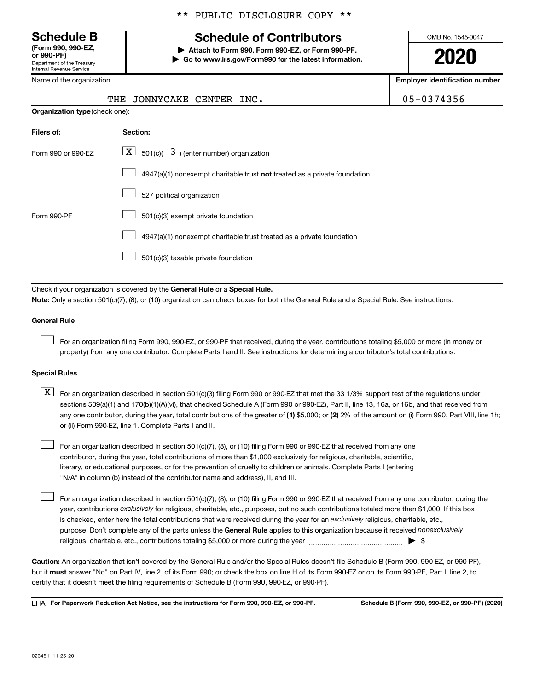Department of the Treasury Internal Revenue Service **(Form 990, 990-EZ,**

Name of the organization

#### \*\* PUBLIC DISCLOSURE COPY \*\*

# **Schedule B Schedule of Contributors**

**or 990-PF) | Attach to Form 990, Form 990-EZ, or Form 990-PF. | Go to www.irs.gov/Form990 for the latest information.** OMB No. 1545-0047

**2020**

**Employer identification number**

|  | 05-0374356 |  |  |  |  |  |  |  |  |
|--|------------|--|--|--|--|--|--|--|--|
|--|------------|--|--|--|--|--|--|--|--|

|                                       |          | THE JUNNICANE CENTER INC.                                   |  |
|---------------------------------------|----------|-------------------------------------------------------------|--|
| <b>Organization type (check one):</b> |          |                                                             |  |
| Filers of:                            | Section: |                                                             |  |
| Form 990 or 990-EZ                    |          | $\boxed{\mathbf{X}}$ 501(c)( 3) (enter number) organization |  |

THE JONNYCAKE CENTER INC. 05-0374356

| $\boxed{\phantom{1}}$ 4947(a)(1) nonexempt charitable trust <b>not</b> treated as a private foundation |
|--------------------------------------------------------------------------------------------------------|
|                                                                                                        |

| 527 political organization |  |
|----------------------------|--|
|----------------------------|--|

|  | $\Box$ 501(c)(3) exempt private foundation |
|--|--------------------------------------------|
|--|--------------------------------------------|

4947(a)(1) nonexempt charitable trust treated as a private foundation  $\Box$ 

501(c)(3) taxable private foundation  $\Box$ 

Check if your organization is covered by the General Rule or a Special Rule.

**Note:**  Only a section 501(c)(7), (8), or (10) organization can check boxes for both the General Rule and a Special Rule. See instructions.

#### **General Rule**

 $\Box$ 

 $\Box$ 

Form 990-PF

For an organization filing Form 990, 990-EZ, or 990-PF that received, during the year, contributions totaling \$5,000 or more (in money or property) from any one contributor. Complete Parts I and II. See instructions for determining a contributor's total contributions.

#### **Special Rules**

any one contributor, during the year, total contributions of the greater of (1) \$5,000; or (2) 2% of the amount on (i) Form 990, Part VIII, line 1h;  $\boxed{\text{X}}$  For an organization described in section 501(c)(3) filing Form 990 or 990-EZ that met the 33 1/3% support test of the regulations under sections 509(a)(1) and 170(b)(1)(A)(vi), that checked Schedule A (Form 990 or 990-EZ), Part II, line 13, 16a, or 16b, and that received from or (ii) Form 990-EZ, line 1. Complete Parts I and II.

For an organization described in section 501(c)(7), (8), or (10) filing Form 990 or 990-EZ that received from any one contributor, during the year, total contributions of more than \$1,000 exclusively for religious, charitable, scientific, literary, or educational purposes, or for the prevention of cruelty to children or animals. Complete Parts I (entering "N/A" in column (b) instead of the contributor name and address), II, and III.  $\Box$ 

purpose. Don't complete any of the parts unless the General Rule applies to this organization because it received nonexclusively year, contributions exclusively for religious, charitable, etc., purposes, but no such contributions totaled more than \$1,000. If this box is checked, enter here the total contributions that were received during the year for an exclusively religious, charitable, etc., For an organization described in section 501(c)(7), (8), or (10) filing Form 990 or 990-EZ that received from any one contributor, during the religious, charitable, etc., contributions totaling \$5,000 or more during the year  $~\ldots\ldots\ldots\ldots\ldots\ldots\ldots\ldots\blacktriangleright~$ \$

**Caution:**  An organization that isn't covered by the General Rule and/or the Special Rules doesn't file Schedule B (Form 990, 990-EZ, or 990-PF),  **must** but it answer "No" on Part IV, line 2, of its Form 990; or check the box on line H of its Form 990-EZ or on its Form 990-PF, Part I, line 2, to certify that it doesn't meet the filing requirements of Schedule B (Form 990, 990-EZ, or 990-PF).

**For Paperwork Reduction Act Notice, see the instructions for Form 990, 990-EZ, or 990-PF. Schedule B (Form 990, 990-EZ, or 990-PF) (2020)** LHA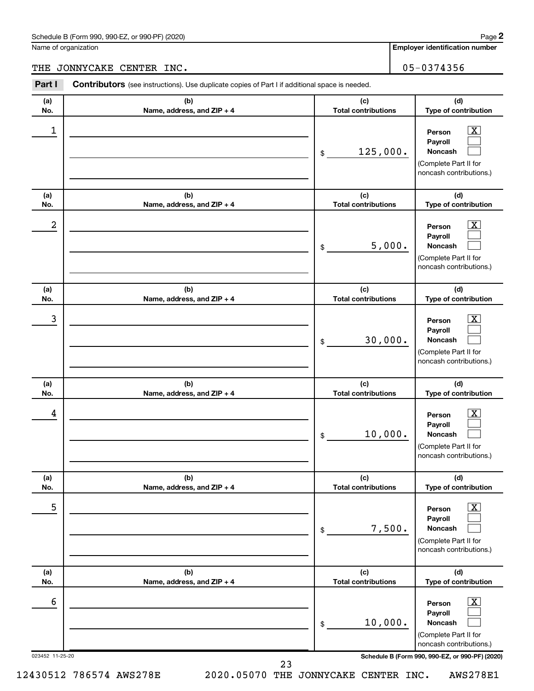Name of organization

**Employer identification number**

THE JONNYCAKE CENTER INC. 2008 2012 105-0374356

| Part I           | Contributors (see instructions). Use duplicate copies of Part I if additional space is needed. |                                   |                                                                                                                 |
|------------------|------------------------------------------------------------------------------------------------|-----------------------------------|-----------------------------------------------------------------------------------------------------------------|
| (a)<br>No.       | (b)<br>Name, address, and ZIP + 4                                                              | (c)<br><b>Total contributions</b> | (d)<br>Type of contribution                                                                                     |
| 1                |                                                                                                | 125,000.<br>\$                    | $\boxed{\textbf{X}}$<br>Person<br>Payroll<br><b>Noncash</b><br>(Complete Part II for<br>noncash contributions.) |
| (a)<br>No.       | (b)<br>Name, address, and ZIP + 4                                                              | (c)<br><b>Total contributions</b> | (d)<br>Type of contribution                                                                                     |
| $\boldsymbol{2}$ |                                                                                                | 5,000.<br>\$                      | $\boxed{\textbf{X}}$<br>Person<br>Payroll<br><b>Noncash</b><br>(Complete Part II for<br>noncash contributions.) |
| (a)<br>No.       | (b)<br>Name, address, and ZIP + 4                                                              | (c)<br><b>Total contributions</b> | (d)<br>Type of contribution                                                                                     |
| 3                |                                                                                                | 30,000.<br>\$                     | $\boxed{\mathbf{X}}$<br>Person<br>Payroll<br><b>Noncash</b><br>(Complete Part II for<br>noncash contributions.) |
| (a)<br>No.       | (b)<br>Name, address, and ZIP + 4                                                              | (c)<br><b>Total contributions</b> | (d)<br>Type of contribution                                                                                     |
| 4                |                                                                                                | 10,000.<br>\$                     | $\boxed{\mathbf{X}}$<br>Person<br>Payroll<br><b>Noncash</b><br>(Complete Part II for<br>noncash contributions.) |
| (a)<br>No.       | (b)<br>Name, address, and ZIP + 4                                                              | (c)<br><b>Total contributions</b> | (d)<br>Type of contribution                                                                                     |
| 5                |                                                                                                | 7,500.<br>\$                      | $\boxed{\textbf{X}}$<br>Person<br>Payroll<br><b>Noncash</b><br>(Complete Part II for<br>noncash contributions.) |
| (a)<br>No.       | (b)<br>Name, address, and ZIP + 4                                                              | (c)<br><b>Total contributions</b> | (d)<br>Type of contribution                                                                                     |
| 6                |                                                                                                | 10,000.<br>\$                     | $\boxed{\mathbf{X}}$<br>Person<br>Payroll<br>Noncash<br>(Complete Part II for<br>noncash contributions.)        |
| 023452 11-25-20  |                                                                                                | 23                                | Schedule B (Form 990, 990-EZ, or 990-PF) (2020)                                                                 |

12430512 786574 AWS278E 2020.05070 THE JONNYCAKE CENTER INC. AWS278E1

**2**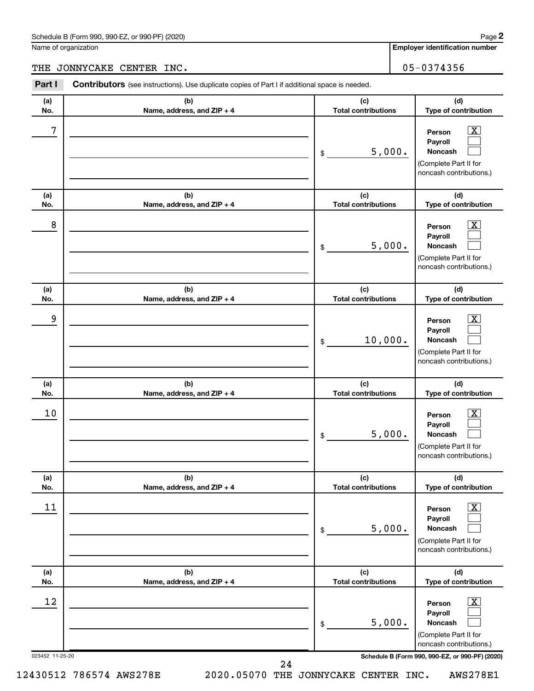Name of organization

**Employer identification number**

## THE JONNYCAKE CENTER INC. 05-0374356

| Part I          | <b>Contributors</b> (see instructions). Use duplicate copies of Part I if additional space is needed. |                                   |                                                                                                                    |  |
|-----------------|-------------------------------------------------------------------------------------------------------|-----------------------------------|--------------------------------------------------------------------------------------------------------------------|--|
| (a)<br>No.      | (b)<br>Name, address, and ZIP + 4                                                                     | (c)<br><b>Total contributions</b> | (d)<br>Type of contribution                                                                                        |  |
| 7               |                                                                                                       | 5,000.<br>\$                      | $\mathbf{X}$<br>Person<br>Payroll<br><b>Noncash</b><br>(Complete Part II for<br>noncash contributions.)            |  |
| (a)<br>No.      | (b)<br>Name, address, and ZIP + 4                                                                     | (c)<br><b>Total contributions</b> | (d)<br>Type of contribution                                                                                        |  |
| 8               |                                                                                                       | 5,000.<br>\$                      | $\mathbf{X}$<br>Person<br>Payroll<br><b>Noncash</b><br>(Complete Part II for<br>noncash contributions.)            |  |
| (a)<br>No.      | (b)<br>Name, address, and ZIP + 4                                                                     | (c)<br><b>Total contributions</b> | (d)<br>Type of contribution                                                                                        |  |
| 9               |                                                                                                       | 10,000.<br>\$                     | $\mathbf{X}$<br>Person<br>Payroll<br><b>Noncash</b><br>(Complete Part II for<br>noncash contributions.)            |  |
| (a)<br>No.      | (b)<br>Name, address, and ZIP + 4                                                                     | (c)<br><b>Total contributions</b> | (d)<br>Type of contribution                                                                                        |  |
| 10              |                                                                                                       | 5,000.<br>\$                      | $\mathbf{X}$<br>Person<br>Payroll<br><b>Noncash</b><br>(Complete Part II for<br>noncash contributions.)            |  |
| (a)<br>No.      | (b)<br>Name, address, and ZIP + 4                                                                     | (c)<br><b>Total contributions</b> | (d)<br>Type of contribution                                                                                        |  |
| 11              |                                                                                                       | 5,000.<br>\$                      | $\overline{\mathbf{X}}$<br>Person<br>Payroll<br><b>Noncash</b><br>(Complete Part II for<br>noncash contributions.) |  |
| (a)<br>No.      | (b)<br>Name, address, and ZIP + 4                                                                     | (c)<br><b>Total contributions</b> | (d)<br>Type of contribution                                                                                        |  |
| 12              |                                                                                                       | 5,000.<br>\$                      | $\overline{\mathbf{X}}$<br>Person<br>Payroll<br><b>Noncash</b><br>(Complete Part II for<br>noncash contributions.) |  |
| 023452 11-25-20 |                                                                                                       | 24                                | Schedule B (Form 990, 990-EZ, or 990-PF) (2020)                                                                    |  |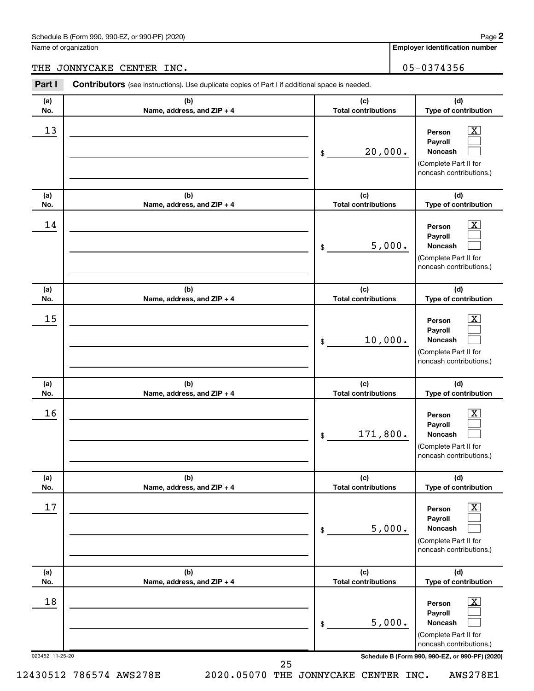Name of organization

#### THE JONNYCAKE CENTER INC. 05-0374356

| (a)<br>No.<br>13      | (b)<br>Name, address, and ZIP + 4 | (c)<br>(d)<br><b>Total contributions</b><br>Type of contribution                                                                                                                      |
|-----------------------|-----------------------------------|---------------------------------------------------------------------------------------------------------------------------------------------------------------------------------------|
|                       |                                   |                                                                                                                                                                                       |
|                       |                                   | $\overline{\mathbf{X}}$<br>Person<br>Payroll<br>20,000.<br><b>Noncash</b><br>\$<br>(Complete Part II for<br>noncash contributions.)                                                   |
| (a)<br>No.            | (b)<br>Name, address, and ZIP + 4 | (c)<br>(d)<br><b>Total contributions</b><br>Type of contribution                                                                                                                      |
| 14                    |                                   | $\overline{\mathbf{X}}$<br>Person<br>Payroll<br>5,000.<br><b>Noncash</b><br>\$<br>(Complete Part II for<br>noncash contributions.)                                                    |
| (a)<br>No.            | (b)<br>Name, address, and ZIP + 4 | (c)<br>(d)<br><b>Total contributions</b><br>Type of contribution                                                                                                                      |
| 15                    |                                   | $\overline{\mathbf{X}}$<br>Person<br>Payroll<br>10,000.<br><b>Noncash</b><br>\$<br>(Complete Part II for<br>noncash contributions.)                                                   |
| (a)<br>No.            | (b)<br>Name, address, and ZIP + 4 | (c)<br>(d)<br><b>Total contributions</b><br>Type of contribution                                                                                                                      |
| 16                    |                                   | $\overline{\mathbf{X}}$<br>Person<br>Payroll<br>171,800.<br>Noncash<br>\$<br>(Complete Part II for<br>noncash contributions.)                                                         |
| (a)<br>No.            | (b)<br>Name, address, and ZIP + 4 | (d)<br>(c)<br><b>Total contributions</b><br>Type of contribution                                                                                                                      |
| 17                    |                                   | $\overline{\mathbf{X}}$<br>Person<br>Payroll<br>5,000.<br><b>Noncash</b><br>\$<br>(Complete Part II for<br>noncash contributions.)                                                    |
| (a)<br>No.            | (b)<br>Name, address, and ZIP + 4 | (c)<br>(d)<br><b>Total contributions</b><br>Type of contribution                                                                                                                      |
| 18<br>023452 11-25-20 |                                   | $\overline{\mathbf{X}}$<br>Person<br>Payroll<br>5,000.<br><b>Noncash</b><br>\$<br>(Complete Part II for<br>noncash contributions.)<br>Schedule B (Form 990, 990-EZ, or 990-PF) (2020) |

25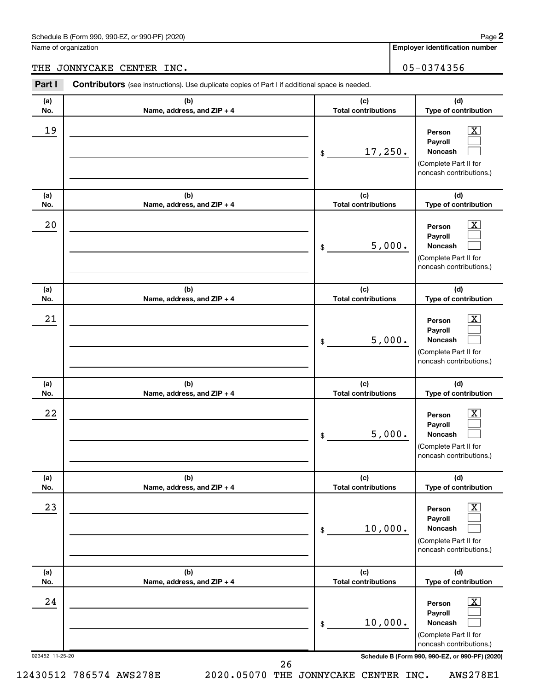Name of organization

#### THE JONNYCAKE CENTER INC. 05-0374356

| Part I          | <b>Contributors</b> (see instructions). Use duplicate copies of Part I if additional space is needed. |                                   |                                                                                                                    |  |
|-----------------|-------------------------------------------------------------------------------------------------------|-----------------------------------|--------------------------------------------------------------------------------------------------------------------|--|
| (a)<br>No.      | (b)<br>Name, address, and ZIP + 4                                                                     | (c)<br><b>Total contributions</b> | (d)<br>Type of contribution                                                                                        |  |
| 19              |                                                                                                       | 17,250.<br>\$                     | $\mathbf{X}$<br>Person<br>Payroll<br><b>Noncash</b><br>(Complete Part II for<br>noncash contributions.)            |  |
| (a)<br>No.      | (b)<br>Name, address, and ZIP + 4                                                                     | (c)<br><b>Total contributions</b> | (d)<br>Type of contribution                                                                                        |  |
| 20              |                                                                                                       | 5,000.<br>\$                      | $\mathbf{X}$<br>Person<br>Payroll<br><b>Noncash</b><br>(Complete Part II for<br>noncash contributions.)            |  |
| (a)<br>No.      | (b)<br>Name, address, and ZIP + 4                                                                     | (c)<br><b>Total contributions</b> | (d)<br>Type of contribution                                                                                        |  |
| 21              |                                                                                                       | 5,000.<br>\$                      | $\overline{\mathbf{x}}$<br>Person<br>Payroll<br><b>Noncash</b><br>(Complete Part II for<br>noncash contributions.) |  |
| (a)<br>No.      | (b)<br>Name, address, and ZIP + 4                                                                     | (c)<br><b>Total contributions</b> | (d)<br>Type of contribution                                                                                        |  |
| 22              |                                                                                                       | 5,000.<br>\$                      | $\overline{\mathbf{x}}$<br>Person<br>Payroll<br>Noncash<br>(Complete Part II for<br>noncash contributions.)        |  |
| (a)<br>No.      | (b)<br>Name, address, and ZIP + 4                                                                     | (c)<br><b>Total contributions</b> | (d)<br>Type of contribution                                                                                        |  |
| 23              |                                                                                                       | 10,000.<br>\$                     | $\overline{\mathbf{x}}$<br>Person<br>Payroll<br><b>Noncash</b><br>(Complete Part II for<br>noncash contributions.) |  |
| (a)<br>No.      | (b)<br>Name, address, and ZIP + 4                                                                     | (c)<br><b>Total contributions</b> | (d)<br>Type of contribution                                                                                        |  |
| 24              |                                                                                                       | 10,000.<br>\$                     | $\mathbf{X}$<br>Person<br>Payroll<br><b>Noncash</b><br>(Complete Part II for<br>noncash contributions.)            |  |
| 023452 11-25-20 | 26                                                                                                    |                                   | Schedule B (Form 990, 990-EZ, or 990-PF) (2020)                                                                    |  |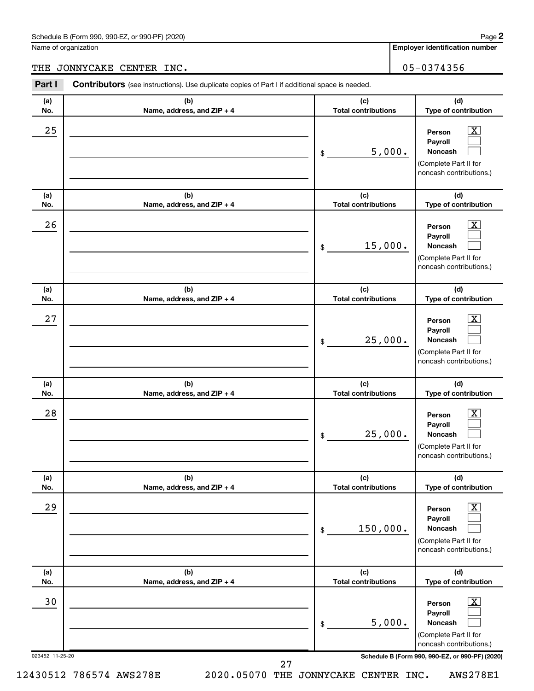Name of organization

#### THE JONNYCAKE CENTER INC. 05-0374356

| (a) | (b)                        | (c)                        |                                                                                                             |
|-----|----------------------------|----------------------------|-------------------------------------------------------------------------------------------------------------|
| No. | Name, address, and ZIP + 4 | <b>Total contributions</b> |                                                                                                             |
| 25  |                            | 5,000.<br>\$               | $\overline{\text{X}}$<br>Person<br>Payroll<br>Noncash<br>(Complete Part II for<br>noncash contributions.)   |
| (a) | (b)                        | (c)                        | (d)                                                                                                         |
| No. | Name, address, and ZIP + 4 | <b>Total contributions</b> | Type of contribution                                                                                        |
| 26  |                            | 15,000.<br>\$              | $\overline{\mathbf{X}}$<br>Person<br>Payroll<br>Noncash<br>(Complete Part II for<br>noncash contributions.) |
| (a) | (b)                        | (c)                        | (d)                                                                                                         |
| No. | Name, address, and ZIP + 4 | <b>Total contributions</b> | Type of contribution                                                                                        |
| 27  |                            | 25,000.<br>\$              | $\overline{\mathbf{X}}$<br>Person<br>Payroll<br>Noncash<br>(Complete Part II for<br>noncash contributions.) |
| (a) | (b)                        | (c)                        | (d)                                                                                                         |
| No. | Name, address, and ZIP + 4 | <b>Total contributions</b> | Type of contribution                                                                                        |
| 28  |                            | 25,000.<br>\$              | $\overline{\mathbf{X}}$<br>Person<br>Payroll<br>Noncash<br>(Complete Part II for<br>noncash contributions.) |
| (a) | (b)                        | (c)                        | (d)                                                                                                         |
| No. | Name, address, and ZIP + 4 | <b>Total contributions</b> | Type of contribution                                                                                        |
| 29  |                            | 150,000.<br>\$             | $\mathbf{X}$<br>Person<br>Payroll<br>Noncash<br>(Complete Part II for<br>noncash contributions.)            |
| (a) | (b)                        | (c)                        | (d)                                                                                                         |
| No. | Name, address, and ZIP + 4 | <b>Total contributions</b> | Type of contribution                                                                                        |
| 30  |                            | 5,000.<br>\$               | $\overline{\text{X}}$<br>Person<br>Payroll<br>Noncash<br>(Complete Part II for<br>noncash contributions.)   |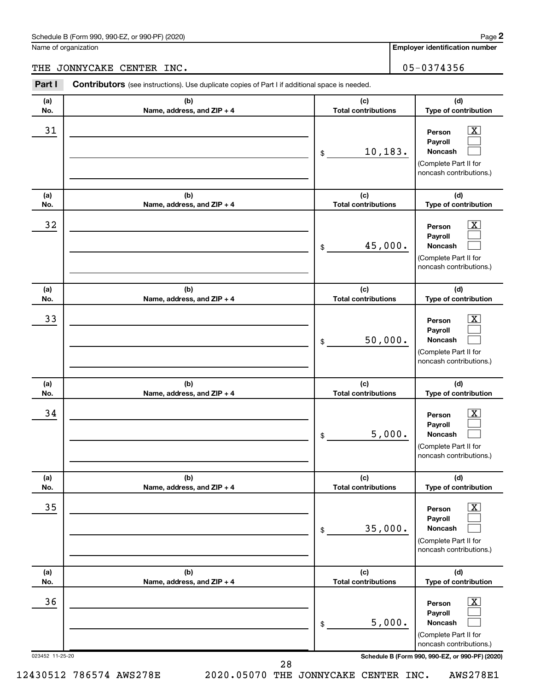Name of organization

#### THE JONNYCAKE CENTER INC. 05-0374356

| Part I                | <b>Contributors</b> (see instructions). Use duplicate copies of Part I if additional space is needed. |                                   |                                                                                                                                                            |
|-----------------------|-------------------------------------------------------------------------------------------------------|-----------------------------------|------------------------------------------------------------------------------------------------------------------------------------------------------------|
| (a)<br>No.            | (b)<br>Name, address, and ZIP + 4                                                                     | (c)<br><b>Total contributions</b> | (d)<br>Type of contribution                                                                                                                                |
| 31                    |                                                                                                       | 10,183.<br>\$                     | $\mathbf{X}$<br>Person<br>Payroll<br><b>Noncash</b><br>(Complete Part II for<br>noncash contributions.)                                                    |
| (a)<br>No.            | (b)<br>Name, address, and ZIP + 4                                                                     | (c)<br><b>Total contributions</b> | (d)<br>Type of contribution                                                                                                                                |
| 32                    |                                                                                                       | 45,000.<br>\$                     | $\mathbf{X}$<br>Person<br>Payroll<br><b>Noncash</b><br>(Complete Part II for<br>noncash contributions.)                                                    |
| (a)<br>No.            | (b)<br>Name, address, and ZIP + 4                                                                     | (c)<br><b>Total contributions</b> | (d)<br>Type of contribution                                                                                                                                |
| 33                    |                                                                                                       | 50,000.<br>\$                     | $\overline{\mathbf{x}}$<br>Person<br>Payroll<br><b>Noncash</b><br>(Complete Part II for<br>noncash contributions.)                                         |
| (a)<br>No.            | (b)<br>Name, address, and ZIP + 4                                                                     | (c)<br><b>Total contributions</b> | (d)<br>Type of contribution                                                                                                                                |
| 34                    |                                                                                                       | 5,000.<br>\$                      | $\overline{\mathbf{x}}$<br>Person<br>Payroll<br>Noncash<br>(Complete Part II for<br>noncash contributions.)                                                |
| (a)<br>No.            | (b)<br>Name, address, and ZIP + 4                                                                     | (c)<br><b>Total contributions</b> | (d)<br>Type of contribution                                                                                                                                |
| 35                    |                                                                                                       | 35,000.<br>\$                     | $\overline{\mathbf{X}}$<br>Person<br>Payroll<br><b>Noncash</b><br>(Complete Part II for<br>noncash contributions.)                                         |
| (a)<br>No.            | (b)<br>Name, address, and ZIP + 4                                                                     | (c)<br><b>Total contributions</b> | (d)<br>Type of contribution                                                                                                                                |
| 36<br>023452 11-25-20 |                                                                                                       | 5,000.<br>\$                      | $\mathbf{X}$<br>Person<br>Payroll<br><b>Noncash</b><br>(Complete Part II for<br>noncash contributions.)<br>Schedule B (Form 990, 990-EZ, or 990-PF) (2020) |
|                       |                                                                                                       | 28                                |                                                                                                                                                            |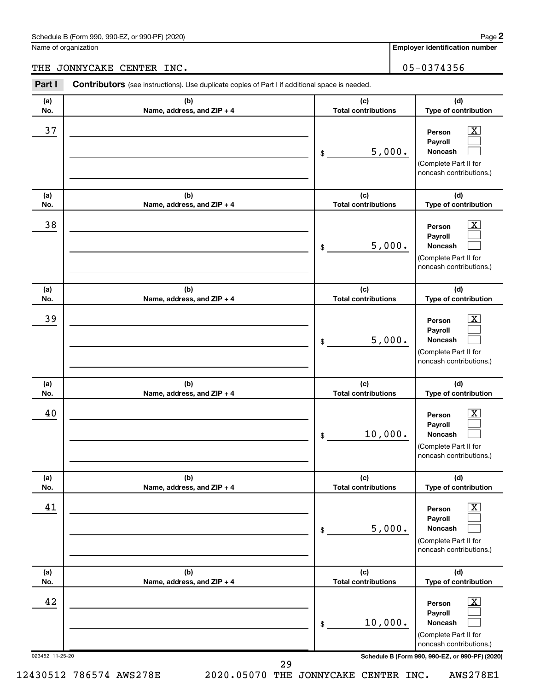Name of organization

## THE JONNYCAKE CENTER INC. 05-0374356

| Part I          | <b>Contributors</b> (see instructions). Use duplicate copies of Part I if additional space is needed. |                                   |                                                                                                                 |  |
|-----------------|-------------------------------------------------------------------------------------------------------|-----------------------------------|-----------------------------------------------------------------------------------------------------------------|--|
| (a)<br>No.      | (b)<br>Name, address, and ZIP + 4                                                                     | (c)<br><b>Total contributions</b> | (d)<br>Type of contribution                                                                                     |  |
| 37              |                                                                                                       | 5,000.<br>\$                      | $\mathbf{X}$<br>Person<br>Payroll<br><b>Noncash</b><br>(Complete Part II for<br>noncash contributions.)         |  |
| (a)<br>No.      | (b)<br>Name, address, and ZIP + 4                                                                     | (c)<br><b>Total contributions</b> | (d)<br>Type of contribution                                                                                     |  |
| 38              |                                                                                                       | 5,000.<br>\$                      | $\mathbf{X}$<br>Person<br>Payroll<br><b>Noncash</b><br>(Complete Part II for<br>noncash contributions.)         |  |
| (a)<br>No.      | (b)<br>Name, address, and ZIP + 4                                                                     | (c)<br><b>Total contributions</b> | (d)<br>Type of contribution                                                                                     |  |
| 39              |                                                                                                       | 5,000.<br>\$                      | $\mathbf{X}$<br>Person<br>Payroll<br><b>Noncash</b><br>(Complete Part II for<br>noncash contributions.)         |  |
| (a)<br>No.      | (b)<br>Name, address, and ZIP + 4                                                                     | (c)<br><b>Total contributions</b> | (d)<br>Type of contribution                                                                                     |  |
| 40              |                                                                                                       | 10,000.<br>\$                     | $\mathbf{X}$<br>Person<br>Payroll<br><b>Noncash</b><br>(Complete Part II for<br>noncash contributions.)         |  |
| (a)<br>No.      | (b)<br>Name, address, and ZIP + 4                                                                     | (c)<br><b>Total contributions</b> | (d)<br>Type of contribution                                                                                     |  |
| 41              |                                                                                                       | 5,000.<br>\$                      | $\boxed{\textbf{X}}$<br>Person<br>Payroll<br><b>Noncash</b><br>(Complete Part II for<br>noncash contributions.) |  |
| (a)<br>No.      | (b)<br>Name, address, and ZIP + 4                                                                     | (c)<br><b>Total contributions</b> | (d)<br>Type of contribution                                                                                     |  |
| 42              |                                                                                                       | 10,000.<br>\$                     | $\boxed{\textbf{X}}$<br>Person<br>Payroll<br><b>Noncash</b><br>(Complete Part II for<br>noncash contributions.) |  |
| 023452 11-25-20 |                                                                                                       | 29                                | Schedule B (Form 990, 990-EZ, or 990-PF) (2020)                                                                 |  |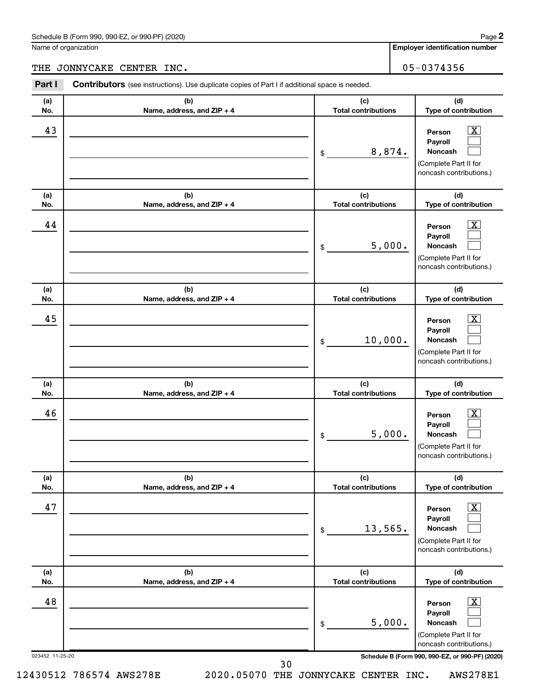Name of organization

#### THE JONNYCAKE CENTER INC. 05-0374356

| Part I          | <b>Contributors</b> (see instructions). Use duplicate copies of Part I if additional space is needed. |                                   |                                                                                                                 |  |
|-----------------|-------------------------------------------------------------------------------------------------------|-----------------------------------|-----------------------------------------------------------------------------------------------------------------|--|
| (a)<br>No.      | (b)<br>Name, address, and ZIP + 4                                                                     | (c)<br><b>Total contributions</b> | (d)<br>Type of contribution                                                                                     |  |
| 43              |                                                                                                       | 8,874.<br>\$                      | $\mathbf{X}$<br>Person<br>Payroll<br><b>Noncash</b><br>(Complete Part II for<br>noncash contributions.)         |  |
| (a)<br>No.      | (b)<br>Name, address, and ZIP + 4                                                                     | (c)<br><b>Total contributions</b> | (d)<br>Type of contribution                                                                                     |  |
| 44              |                                                                                                       | 5,000.<br>\$                      | $\mathbf{X}$<br>Person<br>Payroll<br><b>Noncash</b><br>(Complete Part II for<br>noncash contributions.)         |  |
| (a)<br>No.      | (b)<br>Name, address, and ZIP + 4                                                                     | (c)<br><b>Total contributions</b> | (d)<br>Type of contribution                                                                                     |  |
| 45              |                                                                                                       | 10,000.<br>\$                     | $\mathbf{X}$<br>Person<br>Payroll<br><b>Noncash</b><br>(Complete Part II for<br>noncash contributions.)         |  |
| (a)<br>No.      | (b)<br>Name, address, and ZIP + 4                                                                     | (c)<br><b>Total contributions</b> | (d)<br>Type of contribution                                                                                     |  |
| 46              |                                                                                                       | 5,000.<br>\$                      | $\mathbf{X}$<br>Person<br>Payroll<br><b>Noncash</b><br>(Complete Part II for<br>noncash contributions.)         |  |
| (a)<br>No.      | (b)<br>Name, address, and ZIP + 4                                                                     | (c)<br><b>Total contributions</b> | (d)<br>Type of contribution                                                                                     |  |
| 47              |                                                                                                       | 13,565.<br>\$                     | $\boxed{\textbf{X}}$<br>Person<br>Payroll<br><b>Noncash</b><br>(Complete Part II for<br>noncash contributions.) |  |
| (a)<br>No.      | (b)<br>Name, address, and ZIP + 4                                                                     | (c)<br><b>Total contributions</b> | (d)<br>Type of contribution                                                                                     |  |
| 48              |                                                                                                       | 5,000.<br>\$                      | $\boxed{\textbf{X}}$<br>Person<br>Payroll<br><b>Noncash</b><br>(Complete Part II for<br>noncash contributions.) |  |
| 023452 11-25-20 | 30                                                                                                    |                                   | Schedule B (Form 990, 990-EZ, or 990-PF) (2020)                                                                 |  |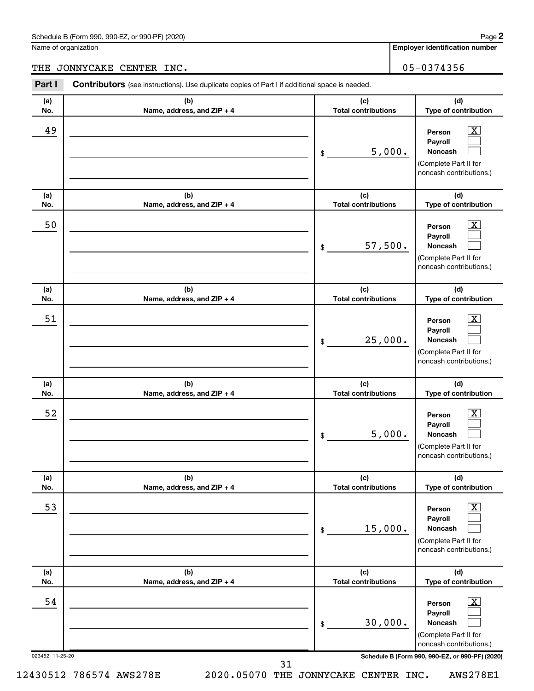Name of organization

**Employer identification number**

## THE JONNYCAKE CENTER INC. 05-0374356

|                       | Part I<br><b>Contributors</b> (see instructions). Use duplicate copies of Part I if additional space is needed. |                                   |                                                                                                                                                     |  |
|-----------------------|-----------------------------------------------------------------------------------------------------------------|-----------------------------------|-----------------------------------------------------------------------------------------------------------------------------------------------------|--|
| (a)<br>No.            | (b)<br>Name, address, and ZIP + 4                                                                               | (c)<br><b>Total contributions</b> | (d)<br>Type of contribution                                                                                                                         |  |
| 49                    |                                                                                                                 | 5,000.<br>\$                      | $\mathbf{X}$<br>Person<br>Payroll<br><b>Noncash</b><br>(Complete Part II for<br>noncash contributions.)                                             |  |
| (a)<br>No.            | (b)<br>Name, address, and ZIP + 4                                                                               | (c)<br><b>Total contributions</b> | (d)<br>Type of contribution                                                                                                                         |  |
| 50                    |                                                                                                                 | 57,500.<br>\$                     | $\mathbf{X}$<br>Person<br>Payroll<br>Noncash<br>(Complete Part II for<br>noncash contributions.)                                                    |  |
| (a)<br>No.            | (b)<br>Name, address, and ZIP + 4                                                                               | (c)<br><b>Total contributions</b> | (d)<br>Type of contribution                                                                                                                         |  |
| 51                    |                                                                                                                 | 25,000.<br>\$                     | $\mathbf{X}$<br>Person<br>Payroll<br><b>Noncash</b><br>(Complete Part II for<br>noncash contributions.)                                             |  |
| (a)<br>No.            | (b)<br>Name, address, and ZIP + 4                                                                               | (c)<br><b>Total contributions</b> | (d)<br>Type of contribution                                                                                                                         |  |
| 52                    |                                                                                                                 | 5,000.<br>\$                      | $\mathbf{X}$<br>Person<br>Payroll<br><b>Noncash</b>                                                                                                 |  |
|                       |                                                                                                                 |                                   | (Complete Part II for<br>noncash contributions.)                                                                                                    |  |
| (a)<br>No.            | (b)<br>Name, address, and ZIP + 4                                                                               | (c)<br><b>Total contributions</b> | (d)<br>Type of contribution                                                                                                                         |  |
| 53                    |                                                                                                                 | 15,000.<br>\$                     | $\overline{\mathbf{X}}$<br>Person<br>Payroll<br>Noncash<br>(Complete Part II for<br>noncash contributions.)                                         |  |
| (a)<br>No.            | (b)<br>Name, address, and ZIP + 4                                                                               | (c)<br><b>Total contributions</b> | (d)<br>Type of contribution                                                                                                                         |  |
| 54<br>023452 11-25-20 |                                                                                                                 | 30,000.<br>\$                     | $\mathbf{X}$<br>Person<br>Payroll<br>Noncash<br>(Complete Part II for<br>noncash contributions.)<br>Schedule B (Form 990, 990-EZ, or 990-PF) (2020) |  |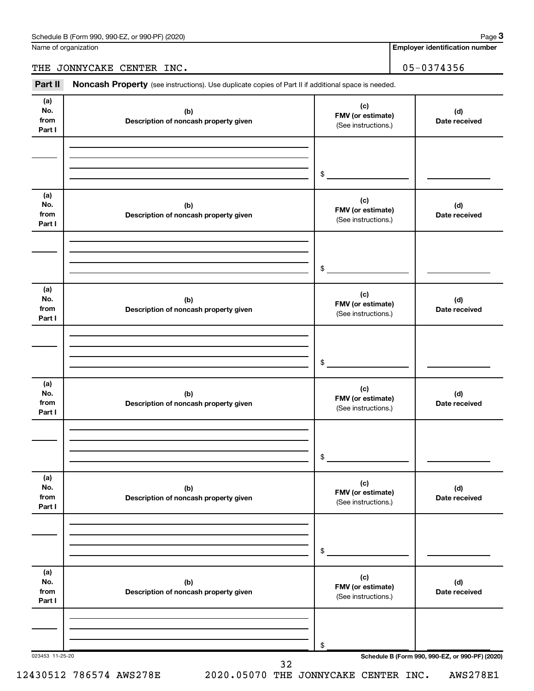Name of organization

**Employer identification number**

THE JONNYCAKE CENTER INC. 05-0374356

Part II Noncash Property (see instructions). Use duplicate copies of Part II if additional space is needed.

| No.<br>from<br>Part I        | (b)<br>Description of noncash property given | (c)<br>FMV (or estimate)<br>(See instructions.) | (d)<br>Date received                            |
|------------------------------|----------------------------------------------|-------------------------------------------------|-------------------------------------------------|
|                              |                                              | \$                                              |                                                 |
| (a)<br>No.<br>from<br>Part I | (b)<br>Description of noncash property given | (c)<br>FMV (or estimate)<br>(See instructions.) | (d)<br>Date received                            |
|                              |                                              | \$                                              |                                                 |
| (a)<br>No.<br>from<br>Part I | (b)<br>Description of noncash property given | (c)<br>FMV (or estimate)<br>(See instructions.) | (d)<br>Date received                            |
|                              |                                              | \$                                              |                                                 |
| (a)<br>No.<br>from<br>Part I | (b)<br>Description of noncash property given | (c)<br>FMV (or estimate)<br>(See instructions.) | (d)<br>Date received                            |
|                              |                                              | \$                                              |                                                 |
| (a)<br>No.<br>from<br>Part I | (b)<br>Description of noncash property given | (c)<br>FMV (or estimate)<br>(See instructions.) | (d)<br>Date received                            |
|                              |                                              | \$                                              |                                                 |
| (a)<br>No.<br>from<br>Part I | (b)<br>Description of noncash property given | (c)<br>FMV (or estimate)<br>(See instructions.) | (d)<br>Date received                            |
|                              |                                              | \$                                              | Schedule B (Form 990, 990-EZ, or 990-PF) (2020) |

**3**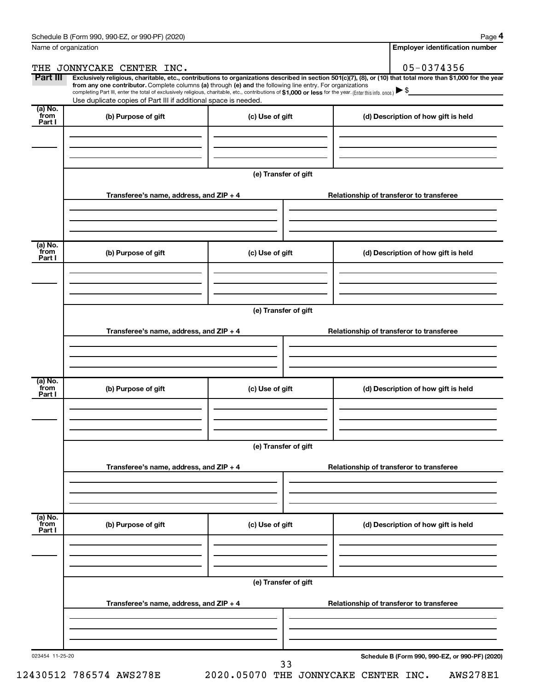**4**

| Name of organization       |                                                                                                                                                                                                                                                                                                                                                                                                                                                                                                             |                      | <b>Employer identification number</b>           |
|----------------------------|-------------------------------------------------------------------------------------------------------------------------------------------------------------------------------------------------------------------------------------------------------------------------------------------------------------------------------------------------------------------------------------------------------------------------------------------------------------------------------------------------------------|----------------------|-------------------------------------------------|
|                            | THE JONNYCAKE CENTER INC.                                                                                                                                                                                                                                                                                                                                                                                                                                                                                   |                      | 05-0374356                                      |
| Part III                   | Exclusively religious, charitable, etc., contributions to organizations described in section 501(c)(7), (8), or (10) that total more than \$1,000 for the year<br>from any one contributor. Complete columns (a) through (e) and the following line entry. For organizations<br>completing Part III, enter the total of exclusively religious, charitable, etc., contributions of \$1,000 or less for the year. (Enter this info. once.)<br>Use duplicate copies of Part III if additional space is needed. |                      |                                                 |
| (a) No.<br>`from<br>Part I | (b) Purpose of gift                                                                                                                                                                                                                                                                                                                                                                                                                                                                                         | (c) Use of gift      | (d) Description of how gift is held             |
|                            |                                                                                                                                                                                                                                                                                                                                                                                                                                                                                                             |                      |                                                 |
|                            |                                                                                                                                                                                                                                                                                                                                                                                                                                                                                                             | (e) Transfer of gift |                                                 |
|                            | Transferee's name, address, and ZIP + 4                                                                                                                                                                                                                                                                                                                                                                                                                                                                     |                      | Relationship of transferor to transferee        |
| (a) No.<br>`from<br>Part I | (b) Purpose of gift                                                                                                                                                                                                                                                                                                                                                                                                                                                                                         | (c) Use of gift      | (d) Description of how gift is held             |
|                            |                                                                                                                                                                                                                                                                                                                                                                                                                                                                                                             |                      |                                                 |
|                            |                                                                                                                                                                                                                                                                                                                                                                                                                                                                                                             | (e) Transfer of gift |                                                 |
|                            | Transferee's name, address, and ZIP + 4                                                                                                                                                                                                                                                                                                                                                                                                                                                                     |                      | Relationship of transferor to transferee        |
| (a) No.<br>`from           | (b) Purpose of gift                                                                                                                                                                                                                                                                                                                                                                                                                                                                                         | (c) Use of gift      | (d) Description of how gift is held             |
| Part I                     |                                                                                                                                                                                                                                                                                                                                                                                                                                                                                                             |                      |                                                 |
|                            |                                                                                                                                                                                                                                                                                                                                                                                                                                                                                                             | (e) Transfer of gift |                                                 |
|                            | Transferee's name, address, and ZIP + 4                                                                                                                                                                                                                                                                                                                                                                                                                                                                     |                      | Relationship of transferor to transferee        |
| (a) No.<br>from<br>Part I  | (b) Purpose of gift                                                                                                                                                                                                                                                                                                                                                                                                                                                                                         | (c) Use of gift      | (d) Description of how gift is held             |
|                            |                                                                                                                                                                                                                                                                                                                                                                                                                                                                                                             |                      |                                                 |
|                            | Transferee's name, address, and ZIP + 4                                                                                                                                                                                                                                                                                                                                                                                                                                                                     | (e) Transfer of gift | Relationship of transferor to transferee        |
|                            |                                                                                                                                                                                                                                                                                                                                                                                                                                                                                                             |                      |                                                 |
| 023454 11-25-20            |                                                                                                                                                                                                                                                                                                                                                                                                                                                                                                             | 33                   | Schedule B (Form 990, 990-EZ, or 990-PF) (2020) |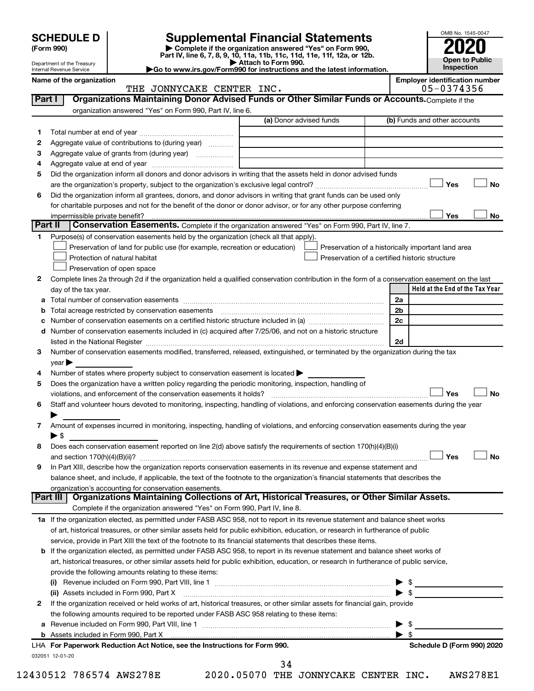# **SCHEDULE D Supplemental Financial Statements**<br> **Form 990 2020**<br> **Part IV** line 6.7.8.9.10, 11a, 11b, 11d, 11d, 11d, 11d, 11d, 12a, 0r, 12b

**(Form 990) | Complete if the organization answered "Yes" on Form 990, Part IV, line 6, 7, 8, 9, 10, 11a, 11b, 11c, 11d, 11e, 11f, 12a, or 12b.**

**| Attach to Form 990. |Go to www.irs.gov/Form990 for instructions and the latest information.**



Department of the Treasury Internal Revenue Service

#### Name of the organization<br>
THE JONNYCAKE CENTER INC.<br> **Employer identification number**<br>
05-0374356 THE JONNYCAKE CENTER INC.

| Part I   | Organizations Maintaining Donor Advised Funds or Other Similar Funds or Accounts. Complete if the<br>organization answered "Yes" on Form 990, Part IV, line 6.                                                                 |                         |                                                    |
|----------|--------------------------------------------------------------------------------------------------------------------------------------------------------------------------------------------------------------------------------|-------------------------|----------------------------------------------------|
|          |                                                                                                                                                                                                                                | (a) Donor advised funds | (b) Funds and other accounts                       |
| 1.       |                                                                                                                                                                                                                                |                         |                                                    |
| 2        | Aggregate value of contributions to (during year)                                                                                                                                                                              |                         |                                                    |
| З        | Aggregate value of grants from (during year)                                                                                                                                                                                   |                         |                                                    |
| 4        |                                                                                                                                                                                                                                |                         |                                                    |
| 5        | Did the organization inform all donors and donor advisors in writing that the assets held in donor advised funds                                                                                                               |                         |                                                    |
|          |                                                                                                                                                                                                                                |                         | Yes<br>No                                          |
| 6        | Did the organization inform all grantees, donors, and donor advisors in writing that grant funds can be used only                                                                                                              |                         |                                                    |
|          | for charitable purposes and not for the benefit of the donor or donor advisor, or for any other purpose conferring                                                                                                             |                         |                                                    |
|          |                                                                                                                                                                                                                                |                         | Yes<br>No                                          |
| Part II  | Conservation Easements. Complete if the organization answered "Yes" on Form 990, Part IV, line 7.                                                                                                                              |                         |                                                    |
| 1.       | Purpose(s) of conservation easements held by the organization (check all that apply).                                                                                                                                          |                         |                                                    |
|          | Preservation of land for public use (for example, recreation or education)                                                                                                                                                     |                         | Preservation of a historically important land area |
|          | Protection of natural habitat                                                                                                                                                                                                  |                         | Preservation of a certified historic structure     |
|          | Preservation of open space                                                                                                                                                                                                     |                         |                                                    |
| 2        | Complete lines 2a through 2d if the organization held a qualified conservation contribution in the form of a conservation easement on the last                                                                                 |                         |                                                    |
|          | day of the tax year.                                                                                                                                                                                                           |                         | Held at the End of the Tax Year                    |
| а        |                                                                                                                                                                                                                                |                         | 2a                                                 |
| b        |                                                                                                                                                                                                                                |                         | 2b                                                 |
| с        |                                                                                                                                                                                                                                |                         | 2c                                                 |
| d        | Number of conservation easements included in (c) acquired after 7/25/06, and not on a historic structure                                                                                                                       |                         |                                                    |
|          | listed in the National Register [111] in the National Register [11] in the National Register [11] in the National Register [11] in the National Register [11] in the National Register [11] in the National Register [11] in t |                         | 2d                                                 |
| 3        | Number of conservation easements modified, transferred, released, extinguished, or terminated by the organization during the tax                                                                                               |                         |                                                    |
|          | year                                                                                                                                                                                                                           |                         |                                                    |
| 4        | Number of states where property subject to conservation easement is located >                                                                                                                                                  |                         |                                                    |
| 5        | Does the organization have a written policy regarding the periodic monitoring, inspection, handling of                                                                                                                         |                         |                                                    |
|          | violations, and enforcement of the conservation easements it holds?                                                                                                                                                            |                         | Yes<br>No                                          |
| 6        | Staff and volunteer hours devoted to monitoring, inspecting, handling of violations, and enforcing conservation easements during the year                                                                                      |                         |                                                    |
|          |                                                                                                                                                                                                                                |                         |                                                    |
| 7        | Amount of expenses incurred in monitoring, inspecting, handling of violations, and enforcing conservation easements during the year                                                                                            |                         |                                                    |
|          | $\blacktriangleright$ s                                                                                                                                                                                                        |                         |                                                    |
| 8        | Does each conservation easement reported on line 2(d) above satisfy the requirements of section 170(h)(4)(B)(i)                                                                                                                |                         |                                                    |
|          |                                                                                                                                                                                                                                |                         | Yes<br>No                                          |
| 9        | In Part XIII, describe how the organization reports conservation easements in its revenue and expense statement and                                                                                                            |                         |                                                    |
|          | balance sheet, and include, if applicable, the text of the footnote to the organization's financial statements that describes the                                                                                              |                         |                                                    |
|          | organization's accounting for conservation easements.                                                                                                                                                                          |                         |                                                    |
| Part III | Organizations Maintaining Collections of Art, Historical Treasures, or Other Similar Assets.                                                                                                                                   |                         |                                                    |
|          | Complete if the organization answered "Yes" on Form 990, Part IV, line 8.                                                                                                                                                      |                         |                                                    |
|          | 1a If the organization elected, as permitted under FASB ASC 958, not to report in its revenue statement and balance sheet works                                                                                                |                         |                                                    |
|          | of art, historical treasures, or other similar assets held for public exhibition, education, or research in furtherance of public                                                                                              |                         |                                                    |
|          | service, provide in Part XIII the text of the footnote to its financial statements that describes these items.                                                                                                                 |                         |                                                    |
| b        | If the organization elected, as permitted under FASB ASC 958, to report in its revenue statement and balance sheet works of                                                                                                    |                         |                                                    |
|          | art, historical treasures, or other similar assets held for public exhibition, education, or research in furtherance of public service,                                                                                        |                         |                                                    |
|          | provide the following amounts relating to these items:                                                                                                                                                                         |                         |                                                    |
|          |                                                                                                                                                                                                                                |                         | $\frac{1}{2}$                                      |
|          | (ii) Assets included in Form 990, Part X                                                                                                                                                                                       |                         | $\blacktriangleright$ \$                           |
| 2        | If the organization received or held works of art, historical treasures, or other similar assets for financial gain, provide                                                                                                   |                         |                                                    |
|          | the following amounts required to be reported under FASB ASC 958 relating to these items:                                                                                                                                      |                         |                                                    |
|          |                                                                                                                                                                                                                                |                         | -\$                                                |
|          |                                                                                                                                                                                                                                |                         | $\blacktriangleright$ s                            |
|          | LHA For Paperwork Reduction Act Notice, see the Instructions for Form 990.                                                                                                                                                     |                         | Schedule D (Form 990) 2020                         |
|          | 032051 12-01-20                                                                                                                                                                                                                |                         |                                                    |
|          |                                                                                                                                                                                                                                | 34                      |                                                    |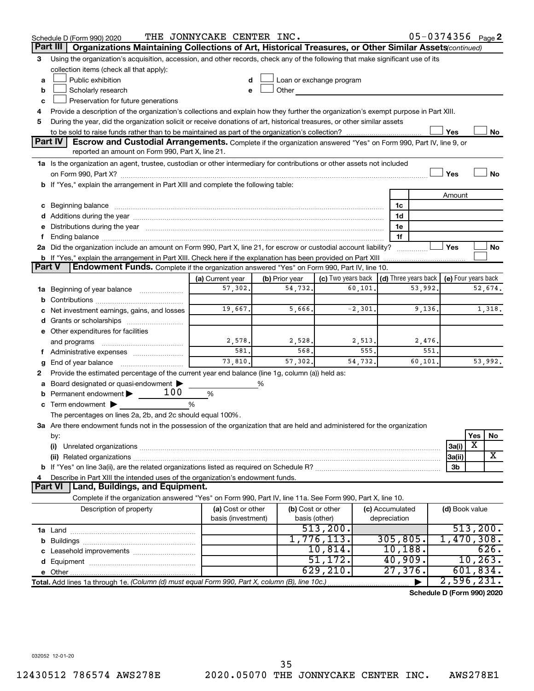|               | Schedule D (Form 990) 2020                                                                                                                                                                                                     | THE JONNYCAKE CENTER INC. |                |                                                         |           |                 | 05-0374356 Page 2          |                     |           |         |
|---------------|--------------------------------------------------------------------------------------------------------------------------------------------------------------------------------------------------------------------------------|---------------------------|----------------|---------------------------------------------------------|-----------|-----------------|----------------------------|---------------------|-----------|---------|
|               | Organizations Maintaining Collections of Art, Historical Treasures, or Other Similar Assets (continued)<br>Part III                                                                                                            |                           |                |                                                         |           |                 |                            |                     |           |         |
| 3             | Using the organization's acquisition, accession, and other records, check any of the following that make significant use of its                                                                                                |                           |                |                                                         |           |                 |                            |                     |           |         |
|               | collection items (check all that apply):                                                                                                                                                                                       |                           |                |                                                         |           |                 |                            |                     |           |         |
| a             | Public exhibition                                                                                                                                                                                                              |                           |                | Loan or exchange program                                |           |                 |                            |                     |           |         |
| b             | Scholarly research                                                                                                                                                                                                             |                           | Other          |                                                         |           |                 |                            |                     |           |         |
| c             | Preservation for future generations                                                                                                                                                                                            |                           |                |                                                         |           |                 |                            |                     |           |         |
| 4             | Provide a description of the organization's collections and explain how they further the organization's exempt purpose in Part XIII.                                                                                           |                           |                |                                                         |           |                 |                            |                     |           |         |
| 5             | During the year, did the organization solicit or receive donations of art, historical treasures, or other similar assets                                                                                                       |                           |                |                                                         |           |                 |                            |                     |           |         |
|               |                                                                                                                                                                                                                                |                           |                |                                                         |           |                 |                            | Yes                 |           | No      |
|               | <b>Part IV</b><br><b>Escrow and Custodial Arrangements.</b> Complete if the organization answered "Yes" on Form 990, Part IV, line 9, or<br>reported an amount on Form 990, Part X, line 21.                                   |                           |                |                                                         |           |                 |                            |                     |           |         |
|               | 1a Is the organization an agent, trustee, custodian or other intermediary for contributions or other assets not included                                                                                                       |                           |                |                                                         |           |                 |                            |                     |           |         |
|               |                                                                                                                                                                                                                                |                           |                |                                                         |           |                 |                            | Yes                 |           | No      |
|               | b If "Yes," explain the arrangement in Part XIII and complete the following table:                                                                                                                                             |                           |                |                                                         |           |                 |                            |                     |           |         |
|               |                                                                                                                                                                                                                                |                           |                |                                                         |           |                 |                            | Amount              |           |         |
|               |                                                                                                                                                                                                                                |                           |                |                                                         |           | 1c              |                            |                     |           |         |
|               |                                                                                                                                                                                                                                |                           |                |                                                         |           | 1d              |                            |                     |           |         |
|               | e Distributions during the year manufactured and contain an account of the year manufactured and the year manufactured and the year manufactured and the year manufactured and the year manufactured and the year manufactured |                           |                |                                                         |           | 1e              |                            |                     |           |         |
|               |                                                                                                                                                                                                                                |                           |                |                                                         |           | 1f              |                            |                     |           |         |
|               | 2a Did the organization include an amount on Form 990, Part X, line 21, for escrow or custodial account liability?                                                                                                             |                           |                |                                                         |           |                 |                            | Yes                 |           | No      |
|               | b If "Yes," explain the arrangement in Part XIII. Check here if the explanation has been provided on Part XIII                                                                                                                 |                           |                |                                                         |           |                 |                            |                     |           |         |
| <b>Part V</b> | <b>Endowment Funds.</b> Complete if the organization answered "Yes" on Form 990, Part IV, line 10.                                                                                                                             |                           |                |                                                         |           |                 |                            |                     |           |         |
|               |                                                                                                                                                                                                                                | (a) Current year          | (b) Prior year | (c) Two years back $\vert$ (d) Three years back $\vert$ |           |                 |                            | (e) Four years back |           |         |
|               | 1a Beginning of year balance                                                                                                                                                                                                   | 57,302.                   | 54,732.        |                                                         | 60, 101.  |                 | 53,992.                    |                     |           | 52,674. |
|               |                                                                                                                                                                                                                                |                           |                |                                                         |           |                 |                            |                     |           |         |
|               | c Net investment earnings, gains, and losses                                                                                                                                                                                   | 19,667.                   | 5,666.         |                                                         | $-2,301.$ |                 | 9,136.                     |                     |           | 1,318.  |
|               |                                                                                                                                                                                                                                |                           |                |                                                         |           |                 |                            |                     |           |         |
|               | e Other expenditures for facilities                                                                                                                                                                                            |                           |                |                                                         |           |                 |                            |                     |           |         |
|               | and programs                                                                                                                                                                                                                   | 2,578.                    | 2,528.         |                                                         | 2,513.    |                 | 2,476.                     |                     |           |         |
|               |                                                                                                                                                                                                                                | 581.                      | 568.           |                                                         | 555.      |                 | 551.                       |                     |           |         |
| g             |                                                                                                                                                                                                                                | 73,810.                   | 57,302.        |                                                         | 54,732.   |                 | 60,101.                    |                     |           | 53,992. |
| 2             | Provide the estimated percentage of the current year end balance (line 1g, column (a)) held as:                                                                                                                                |                           |                |                                                         |           |                 |                            |                     |           |         |
| а             | Board designated or quasi-endowment                                                                                                                                                                                            |                           | %              |                                                         |           |                 |                            |                     |           |         |
|               | 100<br><b>b</b> Permanent endowment $\blacktriangleright$                                                                                                                                                                      | %                         |                |                                                         |           |                 |                            |                     |           |         |
|               | c Term endowment $\blacktriangleright$                                                                                                                                                                                         | %                         |                |                                                         |           |                 |                            |                     |           |         |
|               | The percentages on lines 2a, 2b, and 2c should equal 100%.                                                                                                                                                                     |                           |                |                                                         |           |                 |                            |                     |           |         |
|               | 3a Are there endowment funds not in the possession of the organization that are held and administered for the organization<br>by:                                                                                              |                           |                |                                                         |           |                 |                            |                     | Yes       | No      |
|               | (i)                                                                                                                                                                                                                            |                           |                |                                                         |           |                 |                            | 3a(i)               | X         |         |
|               |                                                                                                                                                                                                                                |                           |                |                                                         |           |                 |                            | 3a(ii)              |           | X       |
|               |                                                                                                                                                                                                                                |                           |                |                                                         |           |                 |                            | 3b                  |           |         |
| 4             | Describe in Part XIII the intended uses of the organization's endowment funds.                                                                                                                                                 |                           |                |                                                         |           |                 |                            |                     |           |         |
|               | <b>Land, Buildings, and Equipment.</b><br><b>Part VI</b>                                                                                                                                                                       |                           |                |                                                         |           |                 |                            |                     |           |         |
|               | Complete if the organization answered "Yes" on Form 990, Part IV, line 11a. See Form 990, Part X, line 10.                                                                                                                     |                           |                |                                                         |           |                 |                            |                     |           |         |
|               | Description of property                                                                                                                                                                                                        | (a) Cost or other         |                | (b) Cost or other                                       |           | (c) Accumulated |                            | (d) Book value      |           |         |
|               |                                                                                                                                                                                                                                | basis (investment)        |                | basis (other)                                           |           | depreciation    |                            |                     |           |         |
|               |                                                                                                                                                                                                                                |                           |                | 513,200.                                                |           |                 |                            |                     | 513, 200. |         |
|               |                                                                                                                                                                                                                                |                           |                | 1,776,113.                                              |           | 305, 805.       |                            | 1,470,308.          |           |         |
|               |                                                                                                                                                                                                                                |                           |                | 10,814.                                                 |           | 10, 188.        |                            |                     |           | 626.    |
|               |                                                                                                                                                                                                                                |                           |                | 51,172.                                                 |           | 40,909.         |                            |                     | 10, 263.  |         |
|               |                                                                                                                                                                                                                                |                           |                | 629, 210.                                               |           | 27,376.         |                            |                     | 601,834.  |         |
|               | Total. Add lines 1a through 1e. (Column (d) must equal Form 990, Part X, column (B), line 10c.)                                                                                                                                |                           |                |                                                         |           |                 |                            | 2,596,231.          |           |         |
|               |                                                                                                                                                                                                                                |                           |                |                                                         |           |                 | Schedule D (Form 990) 2020 |                     |           |         |

**Schedule D (Form 990) 2020**

032052 12-01-20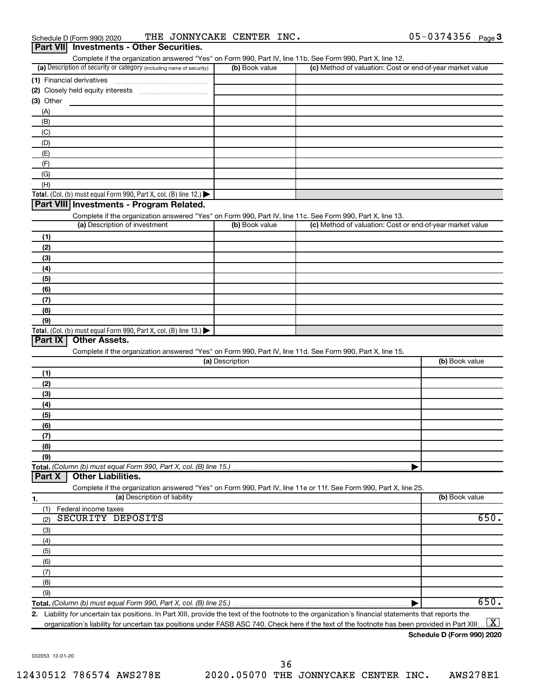| Schedule D (Form 990) 2020 |                                          | THE JONNYCAKE CENTER INC. |  | 05-0374356 $_{Page}$ 3 |  |
|----------------------------|------------------------------------------|---------------------------|--|------------------------|--|
|                            | Part VII Investments - Other Securities. |                           |  |                        |  |

Complete if the organization answered "Yes" on Form 990, Part IV, line 11b. See Form 990, Part X, line 12.

| (a) Description of security or category (including name of security)                                                                                | (b) Book value  | (c) Method of valuation: Cost or end-of-year market value |                |
|-----------------------------------------------------------------------------------------------------------------------------------------------------|-----------------|-----------------------------------------------------------|----------------|
| (1) Financial derivatives                                                                                                                           |                 |                                                           |                |
|                                                                                                                                                     |                 |                                                           |                |
| $(3)$ Other                                                                                                                                         |                 |                                                           |                |
| (A)                                                                                                                                                 |                 |                                                           |                |
| (B)                                                                                                                                                 |                 |                                                           |                |
| (C)                                                                                                                                                 |                 |                                                           |                |
|                                                                                                                                                     |                 |                                                           |                |
| (D)                                                                                                                                                 |                 |                                                           |                |
| (E)                                                                                                                                                 |                 |                                                           |                |
| (F)                                                                                                                                                 |                 |                                                           |                |
| (G)                                                                                                                                                 |                 |                                                           |                |
| (H)                                                                                                                                                 |                 |                                                           |                |
| Total. (Col. (b) must equal Form 990, Part X, col. (B) line 12.) $\blacktriangleright$                                                              |                 |                                                           |                |
| Part VIII Investments - Program Related.                                                                                                            |                 |                                                           |                |
| Complete if the organization answered "Yes" on Form 990, Part IV, line 11c. See Form 990, Part X, line 13.                                          |                 |                                                           |                |
| (a) Description of investment                                                                                                                       | (b) Book value  | (c) Method of valuation: Cost or end-of-year market value |                |
| (1)                                                                                                                                                 |                 |                                                           |                |
| (2)                                                                                                                                                 |                 |                                                           |                |
| (3)                                                                                                                                                 |                 |                                                           |                |
| (4)                                                                                                                                                 |                 |                                                           |                |
|                                                                                                                                                     |                 |                                                           |                |
| (5)                                                                                                                                                 |                 |                                                           |                |
| (6)                                                                                                                                                 |                 |                                                           |                |
| (7)                                                                                                                                                 |                 |                                                           |                |
| (8)                                                                                                                                                 |                 |                                                           |                |
| (9)                                                                                                                                                 |                 |                                                           |                |
| Total. (Col. (b) must equal Form 990, Part X, col. (B) line 13.)<br>Part IX<br><b>Other Assets.</b>                                                 |                 |                                                           |                |
| Complete if the organization answered "Yes" on Form 990, Part IV, line 11d. See Form 990, Part X, line 15.                                          | (a) Description |                                                           | (b) Book value |
| (1)                                                                                                                                                 |                 |                                                           |                |
| (2)                                                                                                                                                 |                 |                                                           |                |
| (3)                                                                                                                                                 |                 |                                                           |                |
| (4)                                                                                                                                                 |                 |                                                           |                |
| (5)                                                                                                                                                 |                 |                                                           |                |
| (6)                                                                                                                                                 |                 |                                                           |                |
| (7)                                                                                                                                                 |                 |                                                           |                |
| (8)                                                                                                                                                 |                 |                                                           |                |
| (9)                                                                                                                                                 |                 |                                                           |                |
| Total. (Column (b) must equal Form 990, Part X, col. (B) line 15.)                                                                                  |                 |                                                           |                |
| <b>Other Liabilities.</b><br>Part X                                                                                                                 |                 |                                                           |                |
|                                                                                                                                                     |                 |                                                           |                |
| Complete if the organization answered "Yes" on Form 990, Part IV, line 11e or 11f. See Form 990, Part X, line 25.                                   |                 |                                                           |                |
| (a) Description of liability<br>1.                                                                                                                  |                 |                                                           | (b) Book value |
| Federal income taxes<br>(1)                                                                                                                         |                 |                                                           |                |
| <b>SECURITY DEPOSITS</b><br>(2)                                                                                                                     |                 |                                                           | 650.           |
| (3)                                                                                                                                                 |                 |                                                           |                |
| (4)                                                                                                                                                 |                 |                                                           |                |
| (5)                                                                                                                                                 |                 |                                                           |                |
| (6)                                                                                                                                                 |                 |                                                           |                |
| (7)                                                                                                                                                 |                 |                                                           |                |
| (8)                                                                                                                                                 |                 |                                                           |                |
| (9)                                                                                                                                                 |                 |                                                           |                |
|                                                                                                                                                     |                 |                                                           | 650.           |
| 2 Liability for uncertain tax positions. In Part XIII, provide the text of the footnote to the organization's financial statements that reports the |                 |                                                           |                |

**2.** uncertain tax positions. In Part XIII, provide the text of the footnote to the organization's financial statements that reports organization's liability for uncertain tax positions under FASB ASC 740. Check here if the text of the footnote has been provided in Part XIII ...  $\fbox{\bf X}$ 

**Schedule D (Form 990) 2020**

032053 12-01-20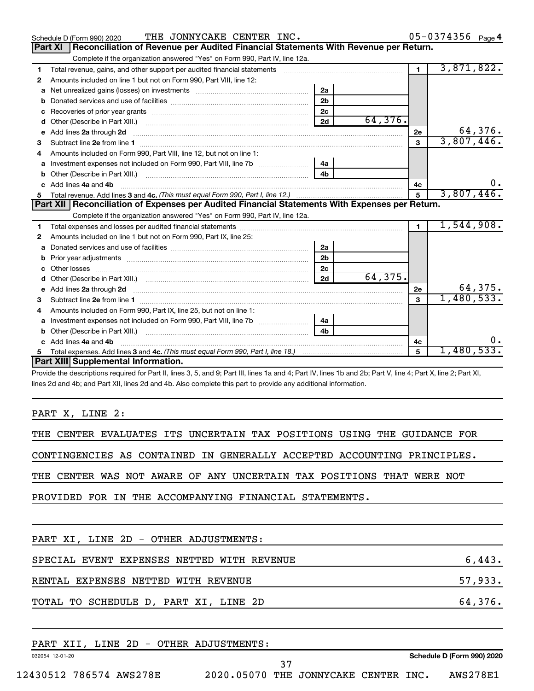|    | THE JONNYCAKE CENTER INC.<br>Schedule D (Form 990) 2020                                                                                                                                                                              |                |         |                | 05-0374356 Page 4 |
|----|--------------------------------------------------------------------------------------------------------------------------------------------------------------------------------------------------------------------------------------|----------------|---------|----------------|-------------------|
|    | Reconciliation of Revenue per Audited Financial Statements With Revenue per Return.<br>Part XI                                                                                                                                       |                |         |                |                   |
|    | Complete if the organization answered "Yes" on Form 990, Part IV, line 12a.                                                                                                                                                          |                |         |                |                   |
| 1  | Total revenue, gains, and other support per audited financial statements [11] [11] Total revenue, gains, and other support per audited financial statements                                                                          |                |         | $\overline{1}$ | 3,871,822.        |
| 2  | Amounts included on line 1 but not on Form 990, Part VIII, line 12:                                                                                                                                                                  |                |         |                |                   |
| a  |                                                                                                                                                                                                                                      | 2a             |         |                |                   |
| b  |                                                                                                                                                                                                                                      | 2 <sub>b</sub> |         |                |                   |
| c  |                                                                                                                                                                                                                                      | 2 <sub>c</sub> |         |                |                   |
| d  |                                                                                                                                                                                                                                      | 2d             | 64,376. |                |                   |
| е  | Add lines 2a through 2d <b>continuum continuum contract and all the contract and all the contract and all the contract and all the contract of the contract of the contract of the contract of the contract of the contract of t</b> |                |         | 2e             | 64,376.           |
| З  |                                                                                                                                                                                                                                      |                |         | 3              | 3,807,446.        |
| 4  | Amounts included on Form 990, Part VIII, line 12, but not on line 1:                                                                                                                                                                 |                |         |                |                   |
|    |                                                                                                                                                                                                                                      | 4a             |         |                |                   |
| b  |                                                                                                                                                                                                                                      | 4 <sub>h</sub> |         |                |                   |
| C. | Add lines 4a and 4b                                                                                                                                                                                                                  |                |         | 4c             | υ.                |
|    |                                                                                                                                                                                                                                      |                |         | 5              | 3,807,446.        |
|    |                                                                                                                                                                                                                                      |                |         |                |                   |
|    | Part XII   Reconciliation of Expenses per Audited Financial Statements With Expenses per Return.                                                                                                                                     |                |         |                |                   |
|    | Complete if the organization answered "Yes" on Form 990, Part IV, line 12a.                                                                                                                                                          |                |         |                |                   |
| 1. |                                                                                                                                                                                                                                      |                |         | $\blacksquare$ | 1,544,908.        |
| 2  | Amounts included on line 1 but not on Form 990, Part IX, line 25:                                                                                                                                                                    |                |         |                |                   |
| a  |                                                                                                                                                                                                                                      | 2a             |         |                |                   |
| b  |                                                                                                                                                                                                                                      | 2 <sub>b</sub> |         |                |                   |
|    |                                                                                                                                                                                                                                      | 2 <sub>c</sub> |         |                |                   |
| d  |                                                                                                                                                                                                                                      | 2d             | 64,375. |                |                   |
| e  | Add lines 2a through 2d <b>contract and a contract and a contract a</b> contract a contract and a contract a contract a                                                                                                              |                |         | 2e             | 64,375.           |
| з  |                                                                                                                                                                                                                                      |                |         | 3              | 1,480,533.        |
| 4  | Amounts included on Form 990, Part IX, line 25, but not on line 1:                                                                                                                                                                   |                |         |                |                   |
| a  |                                                                                                                                                                                                                                      | 4a             |         |                |                   |
| b  | Other (Describe in Part XIII.)                                                                                                                                                                                                       | 4 <sub>b</sub> |         |                |                   |
|    | c Add lines 4a and 4b                                                                                                                                                                                                                |                |         | 4c             | υ.                |
| 5. | Part XIII Supplemental Information.                                                                                                                                                                                                  |                |         | 5              | 1,480,533.        |

Provide the descriptions required for Part II, lines 3, 5, and 9; Part III, lines 1a and 4; Part IV, lines 1b and 2b; Part V, line 4; Part X, line 2; Part XI, lines 2d and 4b; and Part XII, lines 2d and 4b. Also complete this part to provide any additional information.

PART X, LINE 2:

THE CENTER EVALUATES ITS UNCERTAIN TAX POSITIONS USING THE GUIDANCE FOR

CONTINGENCIES AS CONTAINED IN GENERALLY ACCEPTED ACCOUNTING PRINCIPLES.

THE CENTER WAS NOT AWARE OF ANY UNCERTAIN TAX POSITIONS THAT WERE NOT

PROVIDED FOR IN THE ACCOMPANYING FINANCIAL STATEMENTS.

| PART XI, LINE 2D - OTHER ADJUSTMENTS:      |                            |
|--------------------------------------------|----------------------------|
| SPECIAL EVENT EXPENSES NETTED WITH REVENUE | 6,443.                     |
| RENTAL EXPENSES NETTED WITH REVENUE        | 57,933.                    |
| TOTAL TO SCHEDULE D, PART XI, LINE 2D      | 64,376.                    |
| PART XII, LINE 2D - OTHER ADJUSTMENTS:     |                            |
| 032054 12-01-20                            | Schedule D (Form 990) 2020 |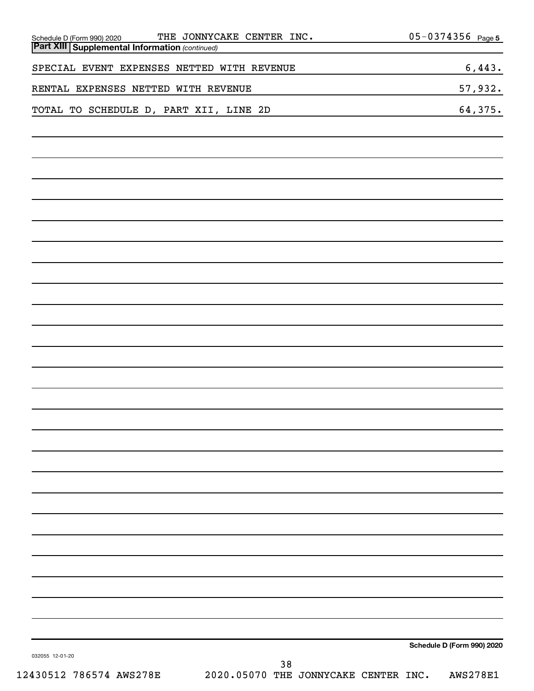| THE JONNYCAKE CENTER INC.<br>Schedule D (Form 990) 2020<br><b>Part XIII Supplemental Information (continued)</b> | 05-0374356 Page 5          |
|------------------------------------------------------------------------------------------------------------------|----------------------------|
| SPECIAL EVENT EXPENSES NETTED WITH REVENUE                                                                       | 6,443.                     |
| RENTAL EXPENSES NETTED WITH REVENUE                                                                              | 57,932.                    |
| TOTAL TO SCHEDULE D, PART XII, LINE 2D                                                                           | 64,375.                    |
|                                                                                                                  |                            |
|                                                                                                                  |                            |
|                                                                                                                  |                            |
|                                                                                                                  |                            |
|                                                                                                                  |                            |
|                                                                                                                  |                            |
|                                                                                                                  |                            |
|                                                                                                                  |                            |
|                                                                                                                  |                            |
|                                                                                                                  |                            |
|                                                                                                                  |                            |
|                                                                                                                  |                            |
|                                                                                                                  |                            |
|                                                                                                                  |                            |
|                                                                                                                  |                            |
|                                                                                                                  |                            |
|                                                                                                                  |                            |
|                                                                                                                  |                            |
|                                                                                                                  |                            |
|                                                                                                                  |                            |
|                                                                                                                  |                            |
|                                                                                                                  |                            |
|                                                                                                                  |                            |
|                                                                                                                  | Schedule D (Form 990) 2020 |
| 032055 12-01-20<br>38                                                                                            |                            |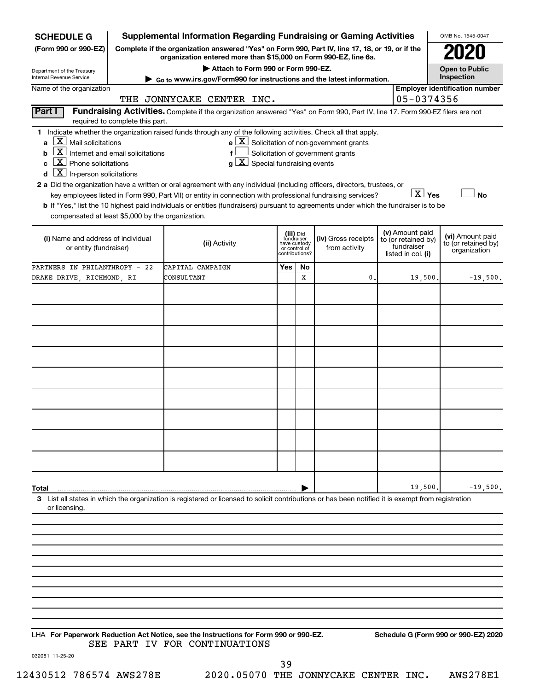| <b>SCHEDULE G</b>                                                                                                                                                                                                                 | <b>Supplemental Information Regarding Fundraising or Gaming Activities</b>                                                                                                                                                                                                                                                                                                                                                                                                                                                                         |                         |                               |                                                                                                   |                                                         | OMB No. 1545-0047                     |
|-----------------------------------------------------------------------------------------------------------------------------------------------------------------------------------------------------------------------------------|----------------------------------------------------------------------------------------------------------------------------------------------------------------------------------------------------------------------------------------------------------------------------------------------------------------------------------------------------------------------------------------------------------------------------------------------------------------------------------------------------------------------------------------------------|-------------------------|-------------------------------|---------------------------------------------------------------------------------------------------|---------------------------------------------------------|---------------------------------------|
| (Form 990 or 990-EZ)                                                                                                                                                                                                              | Complete if the organization answered "Yes" on Form 990, Part IV, line 17, 18, or 19, or if the<br>organization entered more than \$15,000 on Form 990-EZ, line 6a.                                                                                                                                                                                                                                                                                                                                                                                |                         |                               |                                                                                                   |                                                         |                                       |
| Department of the Treasury                                                                                                                                                                                                        | Attach to Form 990 or Form 990-EZ.                                                                                                                                                                                                                                                                                                                                                                                                                                                                                                                 |                         |                               |                                                                                                   |                                                         | <b>Open to Public</b>                 |
| Internal Revenue Service                                                                                                                                                                                                          | ► Go to www.irs.gov/Form990 for instructions and the latest information.                                                                                                                                                                                                                                                                                                                                                                                                                                                                           |                         |                               |                                                                                                   |                                                         | Inspection                            |
| Name of the organization                                                                                                                                                                                                          | THE JONNYCAKE CENTER INC.                                                                                                                                                                                                                                                                                                                                                                                                                                                                                                                          |                         |                               |                                                                                                   | 05-0374356                                              | <b>Employer identification number</b> |
| Part I<br>required to complete this part.                                                                                                                                                                                         | Fundraising Activities. Complete if the organization answered "Yes" on Form 990, Part IV, line 17. Form 990-EZ filers are not                                                                                                                                                                                                                                                                                                                                                                                                                      |                         |                               |                                                                                                   |                                                         |                                       |
| ΧI<br>Mail solicitations<br>a<br> X <br>Internet and email solicitations<br>b<br>$ \mathbf{X} $ Phone solicitations<br>C<br>$\lfloor x \rfloor$ In-person solicitations<br>d<br>compensated at least \$5,000 by the organization. | 1 Indicate whether the organization raised funds through any of the following activities. Check all that apply.<br>f<br>$g\mid X$ Special fundraising events<br>2 a Did the organization have a written or oral agreement with any individual (including officers, directors, trustees, or<br>key employees listed in Form 990, Part VII) or entity in connection with professional fundraising services?<br>b If "Yes," list the 10 highest paid individuals or entities (fundraisers) pursuant to agreements under which the fundraiser is to be | (iii) Did<br>fundraiser |                               | $e$ $\boxed{\text{X}}$ Solicitation of non-government grants<br>Solicitation of government grants | $\boxed{\text{X}}$ Yes<br>(v) Amount paid               | <b>No</b><br>(vi) Amount paid         |
| (i) Name and address of individual<br>or entity (fundraiser)                                                                                                                                                                      | (ii) Activity                                                                                                                                                                                                                                                                                                                                                                                                                                                                                                                                      | contributions?          | have custody<br>or control of | (iv) Gross receipts<br>from activity                                                              | to (or retained by)<br>fundraiser<br>listed in col. (i) | to (or retained by)<br>organization   |
| PARTNERS IN PHILANTHROPY - 22                                                                                                                                                                                                     | CAPITAL CAMPAIGN                                                                                                                                                                                                                                                                                                                                                                                                                                                                                                                                   | Yes                     | No                            |                                                                                                   |                                                         |                                       |
| DRAKE DRIVE, RICHMOND, RI                                                                                                                                                                                                         | CONSULTANT                                                                                                                                                                                                                                                                                                                                                                                                                                                                                                                                         |                         | X                             | $\mathbf{0}$                                                                                      | 19,500.                                                 | $-19,500.$                            |
|                                                                                                                                                                                                                                   |                                                                                                                                                                                                                                                                                                                                                                                                                                                                                                                                                    |                         |                               |                                                                                                   |                                                         |                                       |
|                                                                                                                                                                                                                                   |                                                                                                                                                                                                                                                                                                                                                                                                                                                                                                                                                    |                         |                               |                                                                                                   |                                                         |                                       |
|                                                                                                                                                                                                                                   |                                                                                                                                                                                                                                                                                                                                                                                                                                                                                                                                                    |                         |                               |                                                                                                   |                                                         |                                       |
|                                                                                                                                                                                                                                   |                                                                                                                                                                                                                                                                                                                                                                                                                                                                                                                                                    |                         |                               |                                                                                                   |                                                         |                                       |
|                                                                                                                                                                                                                                   |                                                                                                                                                                                                                                                                                                                                                                                                                                                                                                                                                    |                         |                               |                                                                                                   |                                                         |                                       |
|                                                                                                                                                                                                                                   |                                                                                                                                                                                                                                                                                                                                                                                                                                                                                                                                                    |                         |                               |                                                                                                   |                                                         |                                       |
|                                                                                                                                                                                                                                   |                                                                                                                                                                                                                                                                                                                                                                                                                                                                                                                                                    |                         |                               |                                                                                                   |                                                         |                                       |
|                                                                                                                                                                                                                                   |                                                                                                                                                                                                                                                                                                                                                                                                                                                                                                                                                    |                         |                               |                                                                                                   |                                                         |                                       |
|                                                                                                                                                                                                                                   |                                                                                                                                                                                                                                                                                                                                                                                                                                                                                                                                                    |                         |                               |                                                                                                   |                                                         |                                       |
|                                                                                                                                                                                                                                   |                                                                                                                                                                                                                                                                                                                                                                                                                                                                                                                                                    |                         |                               |                                                                                                   |                                                         |                                       |
|                                                                                                                                                                                                                                   |                                                                                                                                                                                                                                                                                                                                                                                                                                                                                                                                                    |                         |                               |                                                                                                   |                                                         |                                       |
|                                                                                                                                                                                                                                   |                                                                                                                                                                                                                                                                                                                                                                                                                                                                                                                                                    |                         |                               |                                                                                                   |                                                         |                                       |
|                                                                                                                                                                                                                                   |                                                                                                                                                                                                                                                                                                                                                                                                                                                                                                                                                    |                         |                               |                                                                                                   |                                                         |                                       |
|                                                                                                                                                                                                                                   |                                                                                                                                                                                                                                                                                                                                                                                                                                                                                                                                                    |                         |                               |                                                                                                   |                                                         |                                       |
| Total                                                                                                                                                                                                                             |                                                                                                                                                                                                                                                                                                                                                                                                                                                                                                                                                    |                         |                               |                                                                                                   | 19,500.                                                 | $-19,500.$                            |
| or licensing.                                                                                                                                                                                                                     | 3 List all states in which the organization is registered or licensed to solicit contributions or has been notified it is exempt from registration                                                                                                                                                                                                                                                                                                                                                                                                 |                         |                               |                                                                                                   |                                                         |                                       |
|                                                                                                                                                                                                                                   |                                                                                                                                                                                                                                                                                                                                                                                                                                                                                                                                                    |                         |                               |                                                                                                   |                                                         |                                       |
|                                                                                                                                                                                                                                   |                                                                                                                                                                                                                                                                                                                                                                                                                                                                                                                                                    |                         |                               |                                                                                                   |                                                         |                                       |
|                                                                                                                                                                                                                                   |                                                                                                                                                                                                                                                                                                                                                                                                                                                                                                                                                    |                         |                               |                                                                                                   |                                                         |                                       |
|                                                                                                                                                                                                                                   |                                                                                                                                                                                                                                                                                                                                                                                                                                                                                                                                                    |                         |                               |                                                                                                   |                                                         |                                       |
|                                                                                                                                                                                                                                   |                                                                                                                                                                                                                                                                                                                                                                                                                                                                                                                                                    |                         |                               |                                                                                                   |                                                         |                                       |
|                                                                                                                                                                                                                                   |                                                                                                                                                                                                                                                                                                                                                                                                                                                                                                                                                    |                         |                               |                                                                                                   |                                                         |                                       |

**For Paperwork Reduction Act Notice, see the Instructions for Form 990 or 990-EZ. Schedule G (Form 990 or 990-EZ) 2020** LHA SEE PART IV FOR CONTINUATIONS

032081 11-25-20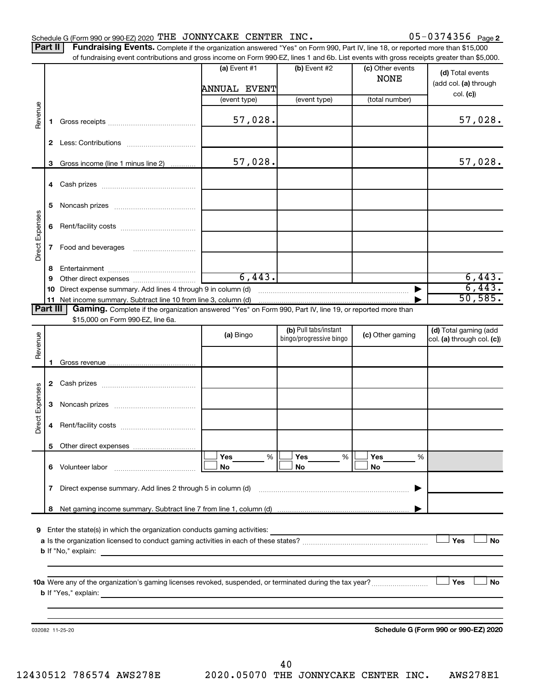#### Schedule G (Form 990 or 990-EZ) 2020 THE JONNYCAKE CENTER INC.  $05-0374356$  Page

05-0374356 Page 2

| <b>Part II</b> Fundraising Events. Complete if the organization answered "Yes" on Form 990, Part IV, line 18, or reported more than \$15,000 |
|----------------------------------------------------------------------------------------------------------------------------------------------|
| of fundraising event contributions and gross income on Form 990-EZ, lines 1 and 6b. List events with gross receipts greater than \$5,000.    |

|                 |              | of fundraising event contributions and gross income on Form 990-EZ, lines T and 6D. List events with gross receipts greater than \$5,000. |                |                         |                                 |                                           |
|-----------------|--------------|-------------------------------------------------------------------------------------------------------------------------------------------|----------------|-------------------------|---------------------------------|-------------------------------------------|
|                 |              |                                                                                                                                           | (a) Event $#1$ | $(b)$ Event #2          | (c) Other events<br><b>NONE</b> | (d) Total events<br>(add col. (a) through |
|                 |              |                                                                                                                                           | ANNUAL EVENT   |                         |                                 |                                           |
|                 |              |                                                                                                                                           | (event type)   | (event type)            | (total number)                  | col. (c)                                  |
|                 |              |                                                                                                                                           |                |                         |                                 |                                           |
| Revenue         | 1.           |                                                                                                                                           | 57,028.        |                         |                                 | 57,028.                                   |
|                 |              |                                                                                                                                           |                |                         |                                 |                                           |
|                 |              |                                                                                                                                           |                |                         |                                 |                                           |
|                 | 3            | Gross income (line 1 minus line 2)                                                                                                        | 57,028.        |                         |                                 | 57,028.                                   |
|                 | 4            |                                                                                                                                           |                |                         |                                 |                                           |
|                 | 5            |                                                                                                                                           |                |                         |                                 |                                           |
|                 | 6            |                                                                                                                                           |                |                         |                                 |                                           |
| Direct Expenses | $\mathbf{7}$ |                                                                                                                                           |                |                         |                                 |                                           |
|                 | 8            |                                                                                                                                           |                |                         |                                 |                                           |
|                 | 9            |                                                                                                                                           | 6,443.         |                         |                                 | 6,443.                                    |
|                 |              | 10 Direct expense summary. Add lines 4 through 9 in column (d)                                                                            |                |                         |                                 | 6,443.                                    |
|                 |              |                                                                                                                                           |                |                         |                                 | 50, 585.                                  |
| Part III        |              | Gaming. Complete if the organization answered "Yes" on Form 990, Part IV, line 19, or reported more than                                  |                |                         |                                 |                                           |
|                 |              | \$15,000 on Form 990-EZ, line 6a.                                                                                                         |                |                         |                                 |                                           |
|                 |              |                                                                                                                                           |                | (b) Pull tabs/instant   |                                 | (d) Total gaming (add                     |
| Revenue         |              |                                                                                                                                           | (a) Bingo      | bingo/progressive bingo | (c) Other gaming                | col. (a) through col. (c))                |
|                 |              |                                                                                                                                           |                |                         |                                 |                                           |
|                 | 1.           |                                                                                                                                           |                |                         |                                 |                                           |
|                 |              |                                                                                                                                           |                |                         |                                 |                                           |
|                 |              |                                                                                                                                           |                |                         |                                 |                                           |
|                 |              |                                                                                                                                           |                |                         |                                 |                                           |
| Direct Expenses | 3            |                                                                                                                                           |                |                         |                                 |                                           |
|                 |              |                                                                                                                                           |                |                         |                                 |                                           |
|                 | 4            |                                                                                                                                           |                |                         |                                 |                                           |
|                 | 5            |                                                                                                                                           |                |                         |                                 |                                           |
|                 |              |                                                                                                                                           | Yes<br>%       | Yes<br>%                | Yes<br>%                        |                                           |
|                 |              |                                                                                                                                           |                | No                      | No                              |                                           |
|                 |              |                                                                                                                                           | No             |                         |                                 |                                           |
|                 | 7            | Direct expense summary. Add lines 2 through 5 in column (d)                                                                               |                |                         |                                 |                                           |
|                 |              |                                                                                                                                           |                |                         |                                 |                                           |
|                 | 8            |                                                                                                                                           |                |                         |                                 |                                           |
|                 |              |                                                                                                                                           |                |                         |                                 |                                           |
|                 |              | 9 Enter the state(s) in which the organization conducts gaming activities:                                                                |                |                         |                                 | Yes<br>No                                 |
|                 |              |                                                                                                                                           |                |                         |                                 |                                           |
|                 |              |                                                                                                                                           |                |                         |                                 |                                           |
|                 |              |                                                                                                                                           |                |                         |                                 |                                           |
|                 |              |                                                                                                                                           |                |                         |                                 | ⊥ Yes<br>No                               |
|                 |              |                                                                                                                                           |                |                         |                                 |                                           |
|                 |              |                                                                                                                                           |                |                         |                                 |                                           |
|                 |              |                                                                                                                                           |                |                         |                                 |                                           |
|                 |              |                                                                                                                                           |                |                         |                                 |                                           |
|                 |              | 032082 11-25-20                                                                                                                           |                |                         |                                 | Schedule G (Form 990 or 990-EZ) 2020      |
|                 |              |                                                                                                                                           |                |                         |                                 |                                           |
|                 |              |                                                                                                                                           |                |                         |                                 |                                           |

40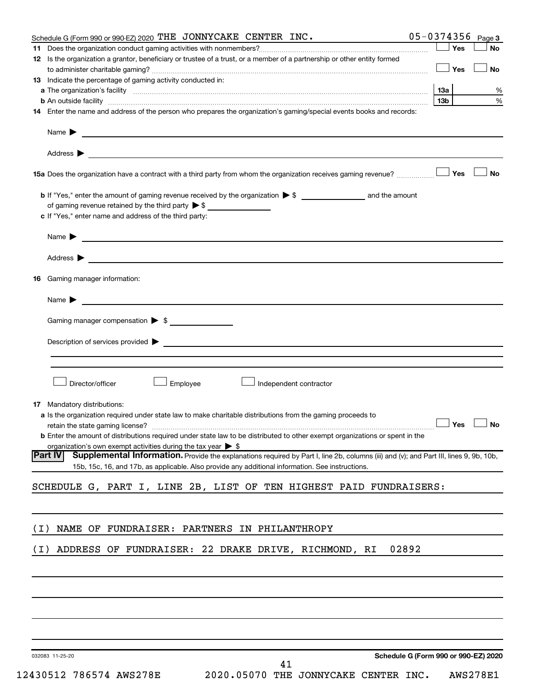|       | Schedule G (Form 990 or 990-EZ) 2020 THE JONNYCAKE CENTER INC.                                                                                                                                                                     | 05-0374356      |            | Page 3    |
|-------|------------------------------------------------------------------------------------------------------------------------------------------------------------------------------------------------------------------------------------|-----------------|------------|-----------|
| 11.   |                                                                                                                                                                                                                                    |                 | Yes        | <b>No</b> |
|       | 12 Is the organization a grantor, beneficiary or trustee of a trust, or a member of a partnership or other entity formed                                                                                                           |                 |            |           |
|       |                                                                                                                                                                                                                                    |                 | $\Box$ Yes | <b>No</b> |
|       | 13 Indicate the percentage of gaming activity conducted in:                                                                                                                                                                        |                 |            |           |
|       |                                                                                                                                                                                                                                    | <b>13a</b>      |            | %         |
|       |                                                                                                                                                                                                                                    | 13 <sub>b</sub> |            | %         |
|       | 14 Enter the name and address of the person who prepares the organization's gaming/special events books and records:                                                                                                               |                 |            |           |
|       | Name $\blacktriangleright$<br><u> 1989 - Johann Barbara, martin amerikan basal dan berasal dan berasal dalam basal dan berasal dan berasal dan</u>                                                                                 |                 |            |           |
|       | Address $\blacktriangleright$<br><u> 1989 - Andrea Stadt Britain, amerikansk politiker (</u>                                                                                                                                       |                 |            |           |
|       |                                                                                                                                                                                                                                    |                 |            | ∣ No      |
|       |                                                                                                                                                                                                                                    |                 |            |           |
|       | of gaming revenue retained by the third party $\triangleright$ \$                                                                                                                                                                  |                 |            |           |
|       | c If "Yes," enter name and address of the third party:                                                                                                                                                                             |                 |            |           |
|       |                                                                                                                                                                                                                                    |                 |            |           |
|       | Name $\blacktriangleright$<br><u> 1989 - Johann John Stone, market fransk konge og det ble større og det ble større og det ble større og det b</u>                                                                                 |                 |            |           |
|       | Address $\blacktriangleright$                                                                                                                                                                                                      |                 |            |           |
|       |                                                                                                                                                                                                                                    |                 |            |           |
|       | <b>16</b> Gaming manager information:                                                                                                                                                                                              |                 |            |           |
|       | Name $\blacktriangleright$<br><u> 1989 - Johann Barbara, martin amerikan basal dan berasal dan berasal dalam basal dan berasal dalam berasal da</u>                                                                                |                 |            |           |
|       |                                                                                                                                                                                                                                    |                 |            |           |
|       | Gaming manager compensation > \$                                                                                                                                                                                                   |                 |            |           |
|       | Description of services provided > The Communication of the Communication of services provided > The Communication of the Communication of the Communication of the Communication of the Communication of the Communication of     |                 |            |           |
|       |                                                                                                                                                                                                                                    |                 |            |           |
|       |                                                                                                                                                                                                                                    |                 |            |           |
|       |                                                                                                                                                                                                                                    |                 |            |           |
|       | Director/officer<br>Employee<br>Independent contractor                                                                                                                                                                             |                 |            |           |
|       |                                                                                                                                                                                                                                    |                 |            |           |
|       | <b>17</b> Mandatory distributions:                                                                                                                                                                                                 |                 |            |           |
|       | <b>a</b> Is the organization required under state law to make charitable distributions from the gaming proceeds to                                                                                                                 |                 |            |           |
|       | retain the state gaming license? $\Box$ No                                                                                                                                                                                         |                 |            |           |
|       | <b>b</b> Enter the amount of distributions required under state law to be distributed to other exempt organizations or spent in the                                                                                                |                 |            |           |
|       | organization's own exempt activities during the tax year $\triangleright$ \$<br>Supplemental Information. Provide the explanations required by Part I, line 2b, columns (iii) and (v); and Part III, lines 9, 9b, 10b,<br> Part IV |                 |            |           |
|       | 15b, 15c, 16, and 17b, as applicable. Also provide any additional information. See instructions.                                                                                                                                   |                 |            |           |
|       |                                                                                                                                                                                                                                    |                 |            |           |
|       | SCHEDULE G, PART I, LINE 2B, LIST OF TEN HIGHEST PAID FUNDRAISERS:                                                                                                                                                                 |                 |            |           |
|       |                                                                                                                                                                                                                                    |                 |            |           |
|       |                                                                                                                                                                                                                                    |                 |            |           |
| ( I ) | NAME OF FUNDRAISER: PARTNERS IN PHILANTHROPY                                                                                                                                                                                       |                 |            |           |
|       |                                                                                                                                                                                                                                    |                 |            |           |
| ( I ) | 02892<br>ADDRESS OF FUNDRAISER: 22 DRAKE DRIVE, RICHMOND, RI                                                                                                                                                                       |                 |            |           |
|       |                                                                                                                                                                                                                                    |                 |            |           |
|       |                                                                                                                                                                                                                                    |                 |            |           |
|       |                                                                                                                                                                                                                                    |                 |            |           |
|       |                                                                                                                                                                                                                                    |                 |            |           |
|       |                                                                                                                                                                                                                                    |                 |            |           |
|       |                                                                                                                                                                                                                                    |                 |            |           |
|       |                                                                                                                                                                                                                                    |                 |            |           |

032083 11-25-20

**Schedule G (Form 990 or 990-EZ) 2020**

12430512 786574 AWS278E 2020.05070 THE JONNYCAKE CENTER INC. AWS278E1

41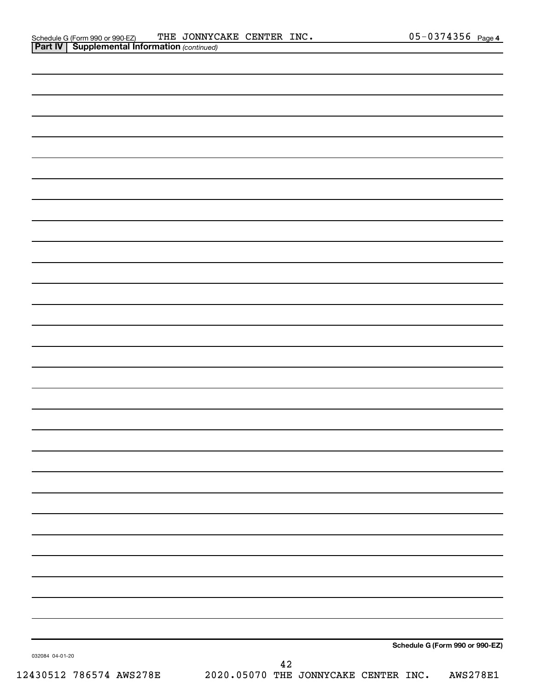|                 | $\mathbf{I}$<br>$\overline{\phantom{a}}$ |             |                                 |  |
|-----------------|------------------------------------------|-------------|---------------------------------|--|
|                 |                                          |             |                                 |  |
|                 |                                          |             |                                 |  |
|                 |                                          |             |                                 |  |
|                 |                                          |             |                                 |  |
|                 |                                          |             |                                 |  |
|                 |                                          |             |                                 |  |
|                 |                                          |             |                                 |  |
|                 |                                          |             |                                 |  |
|                 |                                          |             |                                 |  |
|                 |                                          |             |                                 |  |
|                 |                                          |             |                                 |  |
|                 |                                          |             |                                 |  |
|                 |                                          |             |                                 |  |
|                 |                                          |             |                                 |  |
|                 |                                          |             |                                 |  |
|                 |                                          |             |                                 |  |
|                 |                                          |             |                                 |  |
|                 |                                          |             |                                 |  |
|                 |                                          |             |                                 |  |
|                 |                                          |             |                                 |  |
|                 |                                          |             |                                 |  |
|                 |                                          |             |                                 |  |
|                 |                                          |             |                                 |  |
|                 |                                          |             |                                 |  |
|                 |                                          |             |                                 |  |
|                 |                                          |             |                                 |  |
|                 |                                          |             |                                 |  |
|                 |                                          |             |                                 |  |
|                 |                                          |             |                                 |  |
|                 |                                          |             |                                 |  |
|                 |                                          |             |                                 |  |
|                 |                                          |             |                                 |  |
|                 |                                          |             |                                 |  |
|                 |                                          |             |                                 |  |
|                 |                                          |             |                                 |  |
|                 |                                          |             |                                 |  |
| 032084 04-01-20 |                                          |             | Schedule G (Form 990 or 990-EZ) |  |
|                 |                                          | $\sqrt{42}$ |                                 |  |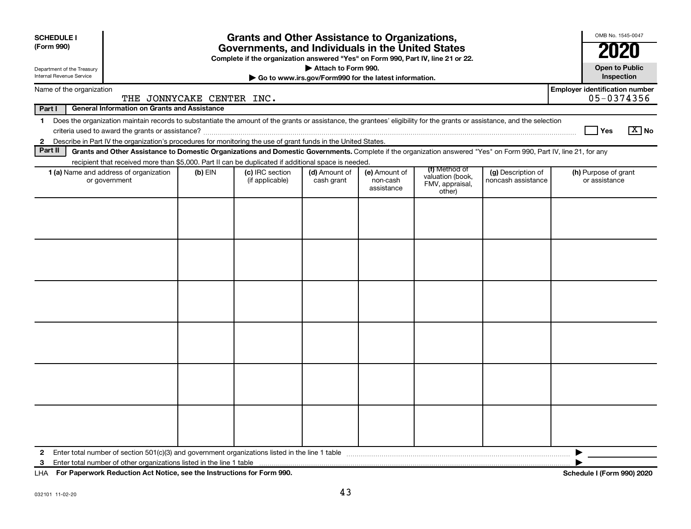| Name of the organization<br>Part I<br>$\mathbf 1$ |                                                                                                                                                                                                                                                                                           |           |                                    |                             |                                         | <b>Grants and Other Assistance to Organizations,</b><br>Governments, and Individuals in the United States<br>Complete if the organization answered "Yes" on Form 990, Part IV, line 21 or 22. |                                          |                                                     |  |
|---------------------------------------------------|-------------------------------------------------------------------------------------------------------------------------------------------------------------------------------------------------------------------------------------------------------------------------------------------|-----------|------------------------------------|-----------------------------|-----------------------------------------|-----------------------------------------------------------------------------------------------------------------------------------------------------------------------------------------------|------------------------------------------|-----------------------------------------------------|--|
|                                                   | Attach to Form 990.<br>Department of the Treasury<br>Internal Revenue Service<br>Go to www.irs.gov/Form990 for the latest information.                                                                                                                                                    |           |                                    |                             |                                         |                                                                                                                                                                                               |                                          |                                                     |  |
|                                                   | THE JONNYCAKE CENTER INC.                                                                                                                                                                                                                                                                 |           |                                    |                             |                                         |                                                                                                                                                                                               |                                          | <b>Employer identification number</b><br>05-0374356 |  |
|                                                   | <b>General Information on Grants and Assistance</b>                                                                                                                                                                                                                                       |           |                                    |                             |                                         |                                                                                                                                                                                               |                                          |                                                     |  |
| $\mathbf{2}$                                      | Does the organization maintain records to substantiate the amount of the grants or assistance, the grantees' eligibility for the grants or assistance, and the selection<br>Describe in Part IV the organization's procedures for monitoring the use of grant funds in the United States. |           |                                    |                             |                                         |                                                                                                                                                                                               |                                          | $\boxed{\text{X}}$ No<br>∣ Yes                      |  |
| Part II                                           | Grants and Other Assistance to Domestic Organizations and Domestic Governments. Complete if the organization answered "Yes" on Form 990, Part IV, line 21, for any<br>recipient that received more than \$5,000. Part II can be duplicated if additional space is needed.                 |           |                                    |                             |                                         |                                                                                                                                                                                               |                                          |                                                     |  |
|                                                   | 1 (a) Name and address of organization<br>or government                                                                                                                                                                                                                                   | $(b)$ EIN | (c) IRC section<br>(if applicable) | (d) Amount of<br>cash grant | (e) Amount of<br>non-cash<br>assistance | (f) Method of<br>valuation (book,<br>FMV, appraisal,<br>other)                                                                                                                                | (g) Description of<br>noncash assistance | (h) Purpose of grant<br>or assistance               |  |
|                                                   |                                                                                                                                                                                                                                                                                           |           |                                    |                             |                                         |                                                                                                                                                                                               |                                          |                                                     |  |
| 2<br>3                                            |                                                                                                                                                                                                                                                                                           |           |                                    |                             |                                         |                                                                                                                                                                                               |                                          | ▶                                                   |  |

**For Paperwork Reduction Act Notice, see the Instructions for Form 990. Schedule I (Form 990) 2020** LHA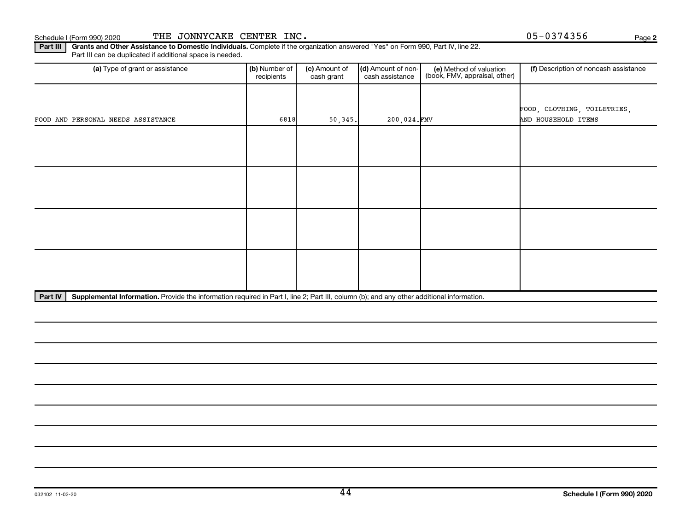**2**

Part III | Grants and Other Assistance to Domestic Individuals. Complete if the organization answered "Yes" on Form 990, Part IV, line 22. Part III can be duplicated if additional space is needed.

| (a) Type of grant or assistance    | (b) Number of<br>recipients | (d) Amount of non-<br>(c) Amount of<br>cash grant |             | (e) Method of valuation<br>(book, FMV, appraisal, other) | (f) Description of noncash assistance |  |  |  |
|------------------------------------|-----------------------------|---------------------------------------------------|-------------|----------------------------------------------------------|---------------------------------------|--|--|--|
|                                    |                             |                                                   |             |                                                          |                                       |  |  |  |
|                                    |                             |                                                   |             |                                                          | FOOD, CLOTHING, TOILETRIES,           |  |  |  |
| FOOD AND PERSONAL NEEDS ASSISTANCE | 6818                        | 50,345.                                           | 200,024.FMV |                                                          | AND HOUSEHOLD ITEMS                   |  |  |  |
|                                    |                             |                                                   |             |                                                          |                                       |  |  |  |
|                                    |                             |                                                   |             |                                                          |                                       |  |  |  |
|                                    |                             |                                                   |             |                                                          |                                       |  |  |  |
|                                    |                             |                                                   |             |                                                          |                                       |  |  |  |
|                                    |                             |                                                   |             |                                                          |                                       |  |  |  |
|                                    |                             |                                                   |             |                                                          |                                       |  |  |  |
|                                    |                             |                                                   |             |                                                          |                                       |  |  |  |
|                                    |                             |                                                   |             |                                                          |                                       |  |  |  |
|                                    |                             |                                                   |             |                                                          |                                       |  |  |  |
|                                    |                             |                                                   |             |                                                          |                                       |  |  |  |
|                                    |                             |                                                   |             |                                                          |                                       |  |  |  |
|                                    |                             |                                                   |             |                                                          |                                       |  |  |  |
|                                    |                             |                                                   |             |                                                          |                                       |  |  |  |

Part IV | Supplemental Information. Provide the information required in Part I, line 2; Part III, column (b); and any other additional information.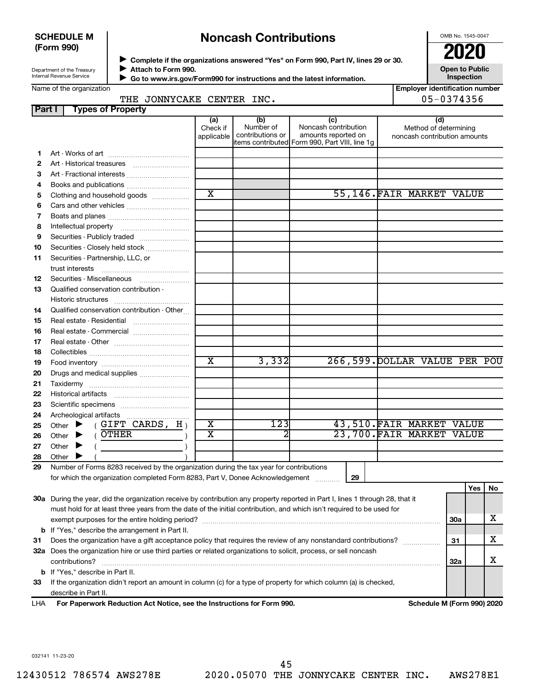#### **SCHEDULE M (Form 990)**

# **Noncash Contributions**

OMB No. 1545-0047

| Department of the Treasury |  |
|----------------------------|--|
| Internal Revenue Service   |  |

◆ Complete if the organizations answered "Yes" on Form 990, Part IV, lines 29 or 30.<br>● Complete if the organizations answered "Yes" on Form 990, Part IV, lines 29 or 30. **Attach to Form 990.**  $\blacktriangleright$ 

**Open to Public Inspection**

| Name of the organization |  |
|--------------------------|--|
|--------------------------|--|

 $\blacktriangleright$ 

 **Go to www.irs.gov/Form990 for instructions and the latest information.**

|        | Name of the organization                                                                                                       |                               |                                      |                                                                                                      |    | <b>Employer identification number</b>                        |            |     |    |
|--------|--------------------------------------------------------------------------------------------------------------------------------|-------------------------------|--------------------------------------|------------------------------------------------------------------------------------------------------|----|--------------------------------------------------------------|------------|-----|----|
|        | THE JONNYCAKE CENTER INC.                                                                                                      |                               |                                      |                                                                                                      |    | 05-0374356                                                   |            |     |    |
| Part I | <b>Types of Property</b>                                                                                                       |                               |                                      |                                                                                                      |    |                                                              |            |     |    |
|        |                                                                                                                                | (a)<br>Check if<br>applicable | (b)<br>Number of<br>contributions or | (c)<br>Noncash contribution<br>amounts reported on<br>items contributed Form 990, Part VIII, line 1g |    | (d)<br>Method of determining<br>noncash contribution amounts |            |     |    |
| 1.     |                                                                                                                                |                               |                                      |                                                                                                      |    |                                                              |            |     |    |
| 2      |                                                                                                                                |                               |                                      |                                                                                                      |    |                                                              |            |     |    |
| 3      | Art - Fractional interests                                                                                                     |                               |                                      |                                                                                                      |    |                                                              |            |     |    |
| 4      |                                                                                                                                |                               |                                      |                                                                                                      |    |                                                              |            |     |    |
| 5      | Clothing and household goods                                                                                                   | $\overline{\text{x}}$         |                                      |                                                                                                      |    | 55,146.FAIR MARKET VALUE                                     |            |     |    |
| 6      |                                                                                                                                |                               |                                      |                                                                                                      |    |                                                              |            |     |    |
| 7      |                                                                                                                                |                               |                                      |                                                                                                      |    |                                                              |            |     |    |
| 8      |                                                                                                                                |                               |                                      |                                                                                                      |    |                                                              |            |     |    |
| 9      | Securities - Publicly traded                                                                                                   |                               |                                      |                                                                                                      |    |                                                              |            |     |    |
| 10     | Securities - Closely held stock                                                                                                |                               |                                      |                                                                                                      |    |                                                              |            |     |    |
| 11     | Securities - Partnership, LLC, or                                                                                              |                               |                                      |                                                                                                      |    |                                                              |            |     |    |
|        | trust interests                                                                                                                |                               |                                      |                                                                                                      |    |                                                              |            |     |    |
| 12     | Securities - Miscellaneous                                                                                                     |                               |                                      |                                                                                                      |    |                                                              |            |     |    |
| 13     | Qualified conservation contribution -                                                                                          |                               |                                      |                                                                                                      |    |                                                              |            |     |    |
|        |                                                                                                                                |                               |                                      |                                                                                                      |    |                                                              |            |     |    |
| 14     | Qualified conservation contribution - Other                                                                                    |                               |                                      |                                                                                                      |    |                                                              |            |     |    |
| 15     |                                                                                                                                |                               |                                      |                                                                                                      |    |                                                              |            |     |    |
| 16     | Real estate - Commercial                                                                                                       |                               |                                      |                                                                                                      |    |                                                              |            |     |    |
| 17     |                                                                                                                                |                               |                                      |                                                                                                      |    |                                                              |            |     |    |
| 18     |                                                                                                                                |                               |                                      |                                                                                                      |    |                                                              |            |     |    |
| 19     |                                                                                                                                | $\overline{\text{x}}$         | 3,332                                |                                                                                                      |    | 266,599. DOLLAR VALUE PER POU                                |            |     |    |
| 20     | Drugs and medical supplies                                                                                                     |                               |                                      |                                                                                                      |    |                                                              |            |     |    |
| 21     |                                                                                                                                |                               |                                      |                                                                                                      |    |                                                              |            |     |    |
| 22     |                                                                                                                                |                               |                                      |                                                                                                      |    |                                                              |            |     |    |
| 23     |                                                                                                                                |                               |                                      |                                                                                                      |    |                                                              |            |     |    |
| 24     | Archeological artifacts                                                                                                        |                               |                                      |                                                                                                      |    |                                                              |            |     |    |
| 25     | (GIFT CARDS, H)<br>Other $\blacktriangleright$                                                                                 | х                             | 123                                  |                                                                                                      |    | 43,510.FAIR MARKET VALUE                                     |            |     |    |
| 26     | $($ OTHER<br>Other $\blacktriangleright$                                                                                       | $\overline{\textbf{x}}$       |                                      |                                                                                                      |    | 23,700. FAIR MARKET VALUE                                    |            |     |    |
| 27     | Other $\blacktriangleright$                                                                                                    |                               |                                      |                                                                                                      |    |                                                              |            |     |    |
| 28     | Other I                                                                                                                        |                               |                                      |                                                                                                      |    |                                                              |            |     |    |
| 29     | Number of Forms 8283 received by the organization during the tax year for contributions                                        |                               |                                      |                                                                                                      |    |                                                              |            |     |    |
|        | for which the organization completed Form 8283, Part V, Donee Acknowledgement                                                  |                               |                                      |                                                                                                      | 29 |                                                              |            |     |    |
|        |                                                                                                                                |                               |                                      |                                                                                                      |    |                                                              |            | Yes | No |
|        | 30a During the year, did the organization receive by contribution any property reported in Part I, lines 1 through 28, that it |                               |                                      |                                                                                                      |    |                                                              |            |     |    |
|        | must hold for at least three years from the date of the initial contribution, and which isn't required to be used for          |                               |                                      |                                                                                                      |    |                                                              |            |     |    |
|        |                                                                                                                                |                               |                                      |                                                                                                      |    |                                                              | 30a        |     | х  |
|        | <b>b</b> If "Yes," describe the arrangement in Part II.                                                                        |                               |                                      |                                                                                                      |    |                                                              |            |     |    |
| 31     | Does the organization have a gift acceptance policy that requires the review of any nonstandard contributions?                 |                               |                                      |                                                                                                      |    |                                                              | 31         |     | х  |
|        | 32a Does the organization hire or use third parties or related organizations to solicit, process, or sell noncash              |                               |                                      |                                                                                                      |    |                                                              |            |     |    |
|        | contributions?                                                                                                                 |                               |                                      |                                                                                                      |    |                                                              | <b>32a</b> |     | X  |
|        | <b>b</b> If "Yes," describe in Part II.                                                                                        |                               |                                      |                                                                                                      |    |                                                              |            |     |    |
| 33     | If the organization didn't report an amount in column (c) for a type of property for which column (a) is checked,              |                               |                                      |                                                                                                      |    |                                                              |            |     |    |
|        | describe in Part II.                                                                                                           |                               |                                      |                                                                                                      |    |                                                              |            |     |    |

032141 11-23-20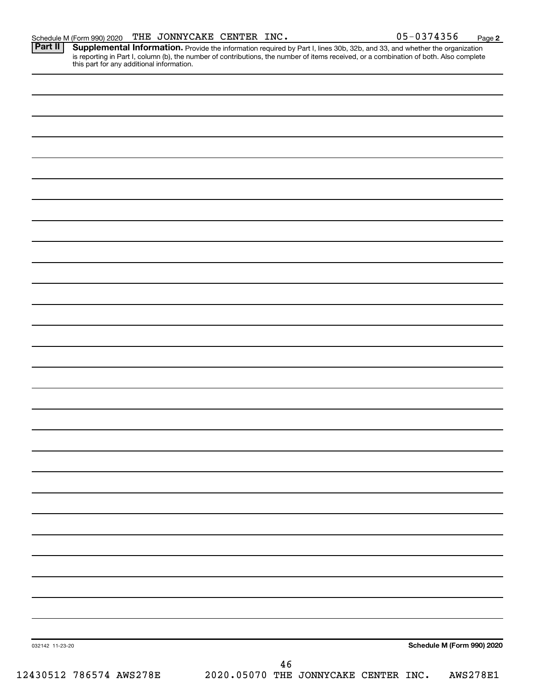Provide the information required by Part I, lines 30b, 32b, and 33, and whether the organization is reporting in Part I, column (b), the number of contributions, the number of items received, or a combination of both. Also complete this part for any additional information. **Part II Supplemental Information.** 

032142 11-23-20 **Schedule M (Form 990) 2020** 12430512 786574 AWS278E 2020.05070 THE JONNYCAKE CENTER INC. AWS278E1 46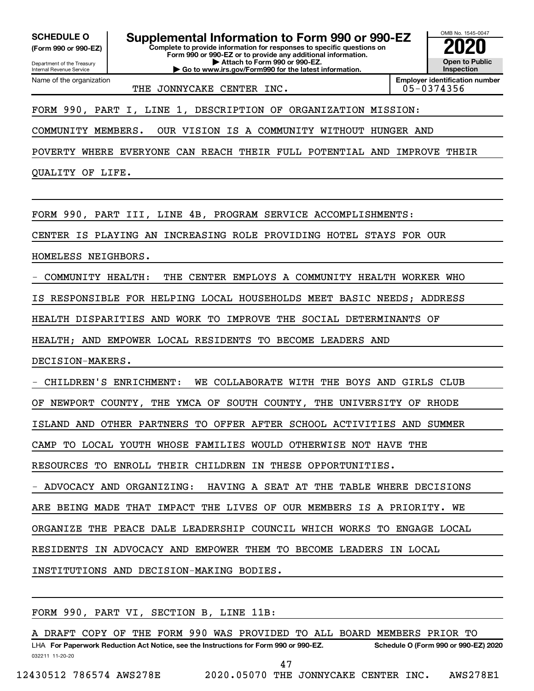Department of the Treasury **(Form 990 or 990-EZ)**

Name of the organization

Internal Revenue Service

**SCHEDULE O Supplemental Information to Form 990 or 990-EZ 2020**<br>(Form 990 or 990-EZ) **2020** 

**Complete to provide information for responses to specific questions on Form 990 or 990-EZ or to provide any additional information. | Attach to Form 990 or 990-EZ.**

**| Go to www.irs.gov/Form990 for the latest information.**

OMB No. 1545-0047 **Open to Public Inspection**

THE JONNYCAKE CENTER INC.  $\vert$  05-0374356

**Employer identification number**

FORM 990, PART I, LINE 1, DESCRIPTION OF ORGANIZATION MISSION:

COMMUNITY MEMBERS. OUR VISION IS A COMMUNITY WITHOUT HUNGER AND

POVERTY WHERE EVERYONE CAN REACH THEIR FULL POTENTIAL AND IMPROVE THEIR

QUALITY OF LIFE.

FORM 990, PART III, LINE 4B, PROGRAM SERVICE ACCOMPLISHMENTS:

CENTER IS PLAYING AN INCREASING ROLE PROVIDING HOTEL STAYS FOR OUR

HOMELESS NEIGHBORS.

- COMMUNITY HEALTH: THE CENTER EMPLOYS A COMMUNITY HEALTH WORKER WHO

IS RESPONSIBLE FOR HELPING LOCAL HOUSEHOLDS MEET BASIC NEEDS; ADDRESS

HEALTH DISPARITIES AND WORK TO IMPROVE THE SOCIAL DETERMINANTS OF

HEALTH; AND EMPOWER LOCAL RESIDENTS TO BECOME LEADERS AND

DECISION-MAKERS.

- CHILDREN'S ENRICHMENT: WE COLLABORATE WITH THE BOYS AND GIRLS CLUB

OF NEWPORT COUNTY, THE YMCA OF SOUTH COUNTY, THE UNIVERSITY OF RHODE

ISLAND AND OTHER PARTNERS TO OFFER AFTER SCHOOL ACTIVITIES AND SUMMER

CAMP TO LOCAL YOUTH WHOSE FAMILIES WOULD OTHERWISE NOT HAVE THE

RESOURCES TO ENROLL THEIR CHILDREN IN THESE OPPORTUNITIES.

- ADVOCACY AND ORGANIZING: HAVING A SEAT AT THE TABLE WHERE DECISIONS

ARE BEING MADE THAT IMPACT THE LIVES OF OUR MEMBERS IS A PRIORITY. WE

ORGANIZE THE PEACE DALE LEADERSHIP COUNCIL WHICH WORKS TO ENGAGE LOCAL

RESIDENTS IN ADVOCACY AND EMPOWER THEM TO BECOME LEADERS IN LOCAL

INSTITUTIONS AND DECISION-MAKING BODIES.

FORM 990, PART VI, SECTION B, LINE 11B:

032211 11-20-20 **For Paperwork Reduction Act Notice, see the Instructions for Form 990 or 990-EZ. Schedule O (Form 990 or 990-EZ) 2020** LHA A DRAFT COPY OF THE FORM 990 WAS PROVIDED TO ALL BOARD MEMBERS PRIOR TO

47